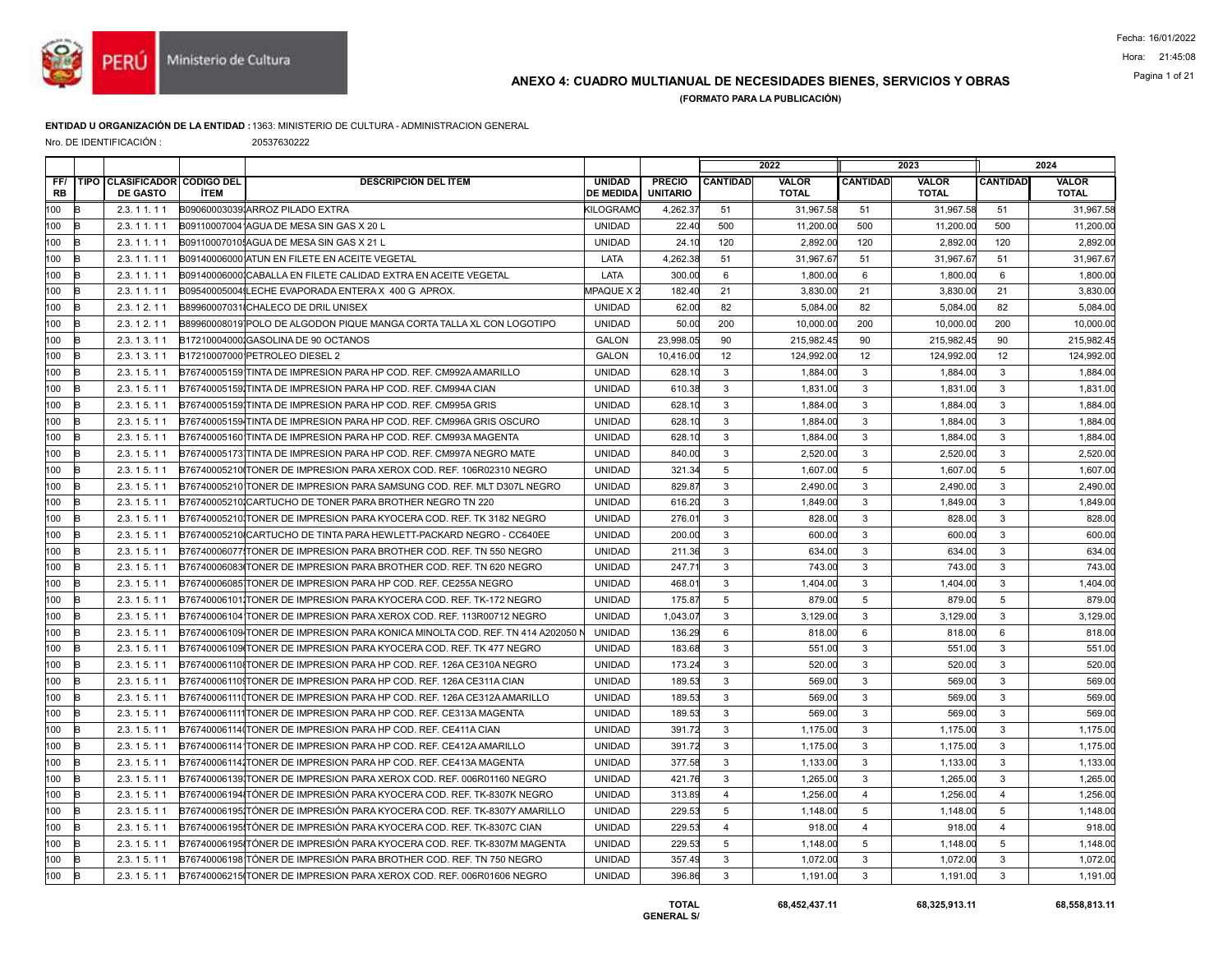

## ANEXO 4: CUADRO MULTIANUAL DE NECESIDADES BIENES, SERVICIOS Y OBRAS Pagina 1 of 21

(FORMATO PARA LA PUBLICACIÓN)

#### ENTIDAD U ORGANIZACIÓN DE LA ENTIDAD :1363: MINISTERIO DE CULTURA - ADMINISTRACION GENERAL

Nro. DE IDENTIFICACIÓN : 20537630222

|                  |      |                                                   |             |                                                                              |                                   |                           |                 | 2022                         |                 | 2023                         |                 | 2024                         |
|------------------|------|---------------------------------------------------|-------------|------------------------------------------------------------------------------|-----------------------------------|---------------------------|-----------------|------------------------------|-----------------|------------------------------|-----------------|------------------------------|
| FF/<br><b>RB</b> | TIPO | <b>CLASIFICADOR CODIGO DEL</b><br><b>DE GASTO</b> | <b>İTEM</b> | <b>DESCRIPCIÓN DEL ÍTEM</b>                                                  | <b>UNIDAD</b><br><b>DE MEDIDA</b> | PRECIO<br><b>UNITARIO</b> | <b>CANTIDAD</b> | <b>VALOR</b><br><b>TOTAL</b> | <b>CANTIDAD</b> | <b>VALOR</b><br><b>TOTAL</b> | <b>CANTIDAD</b> | <b>VALOR</b><br><b>TOTAL</b> |
| 100              | B    | 2.3.11.11                                         |             | B090600030391ARROZ PILADO EXTRA                                              | <b>KILOGRAMC</b>                  | 4,262.3                   | 51              | 31,967.58                    | 51              | 31,967.58                    | 51              | 31,967.58                    |
| 100              |      | 2.3.11.11                                         |             | B091100070041AGUA DE MESA SIN GAS X 20 L                                     | <b>UNIDAD</b>                     | 22.40                     | 500             | 11.200.00                    | 500             | 11,200.00                    | 500             | 11,200.00                    |
| 100              | R    | 2.3.11.11                                         |             | B09110007010! AGUA DE MESA SIN GAS X 21 L                                    | <b>UNIDAD</b>                     | 24.10                     | 120             | 2,892.00                     | 120             | 2,892.00                     | 120             | 2,892.00                     |
| 100              |      | 2.3.11.11                                         |             | B09140006000 ATUN EN FILETE EN ACEITE VEGETAL                                | LATA                              | 4.262.38                  | 51              | 31.967.67                    | 51              | 31.967.67                    | 51              | 31,967.6                     |
| 100              | R    | 2.3.11.11                                         |             | B091400060001CABALLA EN FILETE CALIDAD EXTRA EN ACEITE VEGETAL               | LATA                              | 300.00                    | 6               | 1,800.00                     | 6               | 1,800.00                     | 6               | 1,800.00                     |
| 100              |      | 2.3.11.11                                         |             | B095400050041LECHE EVAPORADA ENTERA X 400 G APROX.                           | <b>MPAQUE X2</b>                  | 182.40                    | 21              | 3.830.00                     | 21              | 3.830.00                     | 21              | 3,830.00                     |
| 100              | k    | 2.3.12.11                                         |             | B89960007031ICHALECO DE DRIL UNISEX                                          | <b>UNIDAD</b>                     | 62.00                     | 82              | 5,084.00                     | 82              | 5,084.00                     | 82              | 5,084.00                     |
| 100              | R    | 2.3.12.11                                         |             | B89960008019 POLO DE ALGODON PIQUE MANGA CORTA TALLA XL CON LOGOTIPO         | <b>UNIDAD</b>                     | 50.00                     | 200             | 10.000.00                    | 200             | 10.000.00                    | 200             | 10,000.00                    |
| 100              |      | 2.3.13.11                                         |             | B17210004000 GASOLINA DE 90 OCTANOS                                          | <b>GALON</b>                      | 23,998.05                 | 90              | 215,982.45                   | 90              | 215,982.45                   | 90              | 215,982.4                    |
| 100              | R    | 2.3.13.11                                         |             | B17210007000 PETROLEO DIESEL 2                                               | <b>GALON</b>                      | 10,416.00                 | 12              | 124,992.00                   | 12              | 124,992.00                   | 12              | 124,992.0                    |
| 100              | R    | 2.3.15.11                                         |             | B76740005159 TINTA DE IMPRESION PARA HP COD. REF. CM992A AMARILLO            | <b>UNIDAD</b>                     | 628.10                    | 3               | 1,884.00                     | $\mathbf{3}$    | 1,884.00                     | $\mathbf{3}$    | 1,884.00                     |
| 100              |      | 2.3.15.11                                         |             | B76740005159JTINTA DE IMPRESION PARA HP COD, REF. CM994A CIAN                | <b>UNIDAD</b>                     | 610.38                    | 3               | 1,831.00                     | $\mathbf{3}$    | 1,831.00                     | 3               | 1,831.00                     |
| 100              | R    | 2.3.15.11                                         |             | B767400051591TINTA DE IMPRESION PARA HP COD. REF. CM995A GRIS                | <b>UNIDAD</b>                     | 628.10                    | 3               | 1,884.00                     | $\mathbf{3}$    | 1,884.00                     | 3               | 1,884.00                     |
| 100              | B    | 2.3.15.11                                         |             | B76740005159 TINTA DE IMPRESION PARA HP COD. REF. CM996A GRIS OSCURO         | <b>UNIDAD</b>                     | 628.10                    | 3               | 1.884.00                     | $\mathbf{3}$    | 1,884.00                     | $\mathbf{3}$    | 1,884.00                     |
| 100              |      | 2.3.15.11                                         |             | B76740005160 TINTA DE IMPRESION PARA HP COD. REF. CM993A MAGENTA             | <b>UNIDAD</b>                     | 628.10                    | 3               | 1,884.00                     | 3               | 1,884.00                     | 3               | 1,884.00                     |
| 100              | R    | 2.3.15.11                                         |             | B76740005173 TINTA DE IMPRESION PARA HP COD. REF. CM997A NEGRO MATE          | <b>UNIDAD</b>                     | 840.00                    | $\overline{3}$  | 2.520.00                     | $\mathbf{3}$    | 2.520.00                     | 3               | 2,520.0                      |
| 100              | R    | 2.3.15.11                                         |             | B76740005210ITONER DE IMPRESION PARA XEROX COD. REF. 106R02310 NEGRO         | <b>UNIDAD</b>                     | 321.34                    | 5               | 1,607.00                     | $5\phantom{.0}$ | 1,607.00                     | 5               | 1,607.0                      |
| 100              | k    | 2.3.15.11                                         |             | B76740005210 TONER DE IMPRESION PARA SAMSUNG COD. REF. MLT D307L NEGRO       | <b>UNIDAD</b>                     | 829.87                    | 3               | 2.490.00                     | $\mathbf{3}$    | 2.490.00                     | 3               | 2,490.0                      |
| 100              |      | 2.3.15.11                                         |             | B76740005210ICARTUCHO DE TONER PARA BROTHER NEGRO TN 220                     | <b>UNIDAD</b>                     | 616.20                    | 3               | 1,849.00                     | 3               | 1.849.00                     | 3               | 1,849.00                     |
| 100              | R    | 2.3.15.11                                         |             | B767400052101TONER DE IMPRESION PARA KYOCERA COD. REF. TK 3182 NEGRO         | <b>UNIDAD</b>                     | 276.01                    | $\mathsf 3$     | 828.00                       | $\mathbf{3}$    | 828.00                       | 3               | 828.00                       |
| 100              | R    | 2.3.15.11                                         |             | B76740005210ICARTUCHO DE TINTA PARA HEWLETT-PACKARD NEGRO - CC640EE          | <b>UNIDAD</b>                     | 200.00                    | 3               | 600.00                       | $\mathbf{3}$    | 600.00                       | $\mathbf{3}$    | 600.00                       |
| 100              |      | 2.3.15.11                                         |             | B76740006077ITONER DE IMPRESION PARA BROTHER COD. REF. TN 550 NEGRO          | <b>UNIDAD</b>                     | 211.36                    | 3               | 634.00                       | $\mathbf{3}$    | 634.00                       | 3               | 634.00                       |
| 100              | R    | 2.3.15.11                                         |             | B76740006083ITONER DE IMPRESION PARA BROTHER COD. REF. TN 620 NEGRO          | <b>UNIDAD</b>                     | 247.7                     | 3               | 743.00                       | $\mathbf{3}$    | 743.00                       | 3               | 743.0                        |
| 100              | k    | 2.3.15.11                                         |             | B76740006085 TONER DE IMPRESION PARA HP COD. REF. CE255A NEGRO               | <b>UNIDAD</b>                     | 468.01                    | 3               | 1,404.00                     | $\mathbf{3}$    | 1,404.00                     | 3               | 1,404.00                     |
| 100              | R    | 2.3.15.11                                         |             | B76740006101JTONER DE IMPRESION PARA KYOCERA COD. REF. TK-172 NEGRO          | <b>UNIDAD</b>                     | 175.87                    | 5               | 879.00                       | 5               | 879.00                       | 5               | 879.00                       |
| 100              |      | 2.3.15.11                                         |             | B76740006104 TONER DE IMPRESION PARA XEROX COD. REF. 113R00712 NEGRO         | <b>UNIDAD</b>                     | 1,043.07                  | 3               | 3,129.00                     | $\mathbf{3}$    | 3,129.00                     | 3               | 3,129.00                     |
| 100              | R    | 2.3.15.11                                         |             | B76740006109 TONER DE IMPRESION PARA KONICA MINOLTA COD. REF. TN 414 A202050 | <b>UNIDAD</b>                     | 136.29                    | 6               | 818.00                       | 6               | 818.00                       | $6\phantom{1}$  | 818.00                       |
| 100              | B    | 2.3.15.11                                         |             | B76740006109 TONER DE IMPRESION PARA KYOCERA COD. REF. TK 477 NEGRO          | <b>UNIDAD</b>                     | 183.68                    | 3               | 551.00                       | $\mathbf{3}$    | 551.00                       | 3               | 551.00                       |
| 100              |      | 2.3.15.11                                         |             | B76740006110 TONER DE IMPRESION PARA HP COD. REF. 126A CE310A NEGRO          | <b>UNIDAD</b>                     | 173.24                    | 3               | 520.00                       | $\mathbf{3}$    | 520.00                       | 3               | 520.0                        |
| 100              | R    | 2.3.15.11                                         |             | B76740006110 TONER DE IMPRESION PARA HP COD. REF. 126A CE311A CIAN           | <b>UNIDAD</b>                     | 189.53                    | $\mathsf 3$     | 569.00                       | $\mathbf{3}$    | 569.00                       | 3               | 569.00                       |
| 100              | k    | 2.3.15.11                                         |             | B767400061110TONER DE IMPRESION PARA HP COD. REF. 126A CE312A AMARILLO       | <b>UNIDAD</b>                     | 189.53                    | 3               | 569.00                       | $\mathbf{3}$    | 569.00                       | $\mathbf{3}$    | 569.00                       |
| 100              |      | 2.3.15.11                                         |             | B767400061111TONER DE IMPRESION PARA HP COD. REF. CE313A MAGENTA             | <b>UNIDAD</b>                     | 189.53                    | 3               | 569.00                       | $\mathbf{3}$    | 569.00                       | 3               | 569.00                       |
| 100              |      | 2.3.15.11                                         |             | B767400061140TONER DE IMPRESION PARA HP COD. REF. CE411A CIAN                | <b>UNIDAD</b>                     | 391.72                    | 3               | 1,175.00                     | 3               | 1,175.00                     | 3               | 1,175.0                      |
| 100              | B    | 2.3.15.11                                         |             | B767400061141TONER DE IMPRESION PARA HP COD. REF. CE412A AMARILLO            | <b>UNIDAD</b>                     | 391.72                    | 3               | 1,175.00                     | $\mathbf{3}$    | 1,175.00                     | $\mathbf{3}$    | 1,175.0                      |
| 100              | k    | 2.3.15.11                                         |             | B767400061141TONER DE IMPRESION PARA HP COD. REF. CE413A MAGENTA             | <b>UNIDAD</b>                     | 377.58                    | 3               | 1,133.00                     | $\mathbf{3}$    | 1,133.00                     | 3               | 1,133.00                     |
| 100              | R    | 2.3.15.11                                         |             | B767400061391TONER DE IMPRESION PARA XEROX COD. REF. 006R01160 NEGRO         | <b>UNIDAD</b>                     | 421.76                    | 3               | 1,265.00                     | $\mathbf{3}$    | 1,265.00                     | 3               | 1,265.0                      |
| 100              | R    | 2.3.15.11                                         |             | B767400061941TÓNER DE IMPRESIÓN PARA KYOCERA COD. REF. TK-8307K NEGRO        | <b>UNIDAD</b>                     | 313.89                    | $\overline{4}$  | 1,256.00                     | $\overline{4}$  | 1,256.00                     | $\overline{4}$  | 1,256.00                     |
| 100              |      | 2.3.15.11                                         |             | B76740006195JTÓNER DE IMPRESIÓN PARA KYOCERA COD. REF. TK-8307Y AMARILLO     | <b>UNIDAD</b>                     | 229.53                    | 5               | 1.148.00                     | 5               | 1.148.00                     | 5               | 1,148.00                     |
| 100              | R    | 2.3.15.11                                         |             | B76740006195 TÓNER DE IMPRESIÓN PARA KYOCERA COD. REF. TK-8307C CIAN         | <b>UNIDAD</b>                     | 229.53                    | $\overline{4}$  | 918.00                       | $\overline{4}$  | 918.00                       | $\overline{4}$  | 918.00                       |
| 100              | B    | 2.3.15.11                                         |             | B767400061951TÓNER DE IMPRESIÓN PARA KYOCERA COD. REF. TK-8307M MAGENTA      | <b>UNIDAD</b>                     | 229.53                    | 5               | 1.148.00                     | 5               | 1.148.00                     | 5               | 1,148.00                     |
| 100              | R    | 2.3.15.11                                         |             | B76740006198 TÓNER DE IMPRESIÓN PARA BROTHER COD. REF. TN 750 NEGRO          | <b>UNIDAD</b>                     | 357.49                    | 3               | 1,072.00                     | $\mathbf{3}$    | 1,072.00                     | 3               | 1,072.00                     |
| 100              | B    | 2.3.15.11                                         |             | B76740006215(TONER DE IMPRESION PARA XEROX COD, REF, 006R01606 NEGRO         | <b>UNIDAD</b>                     | 396.86                    | 3               | 1.191.00                     | 3               | 1.191.00                     | 3               | 1.191.00                     |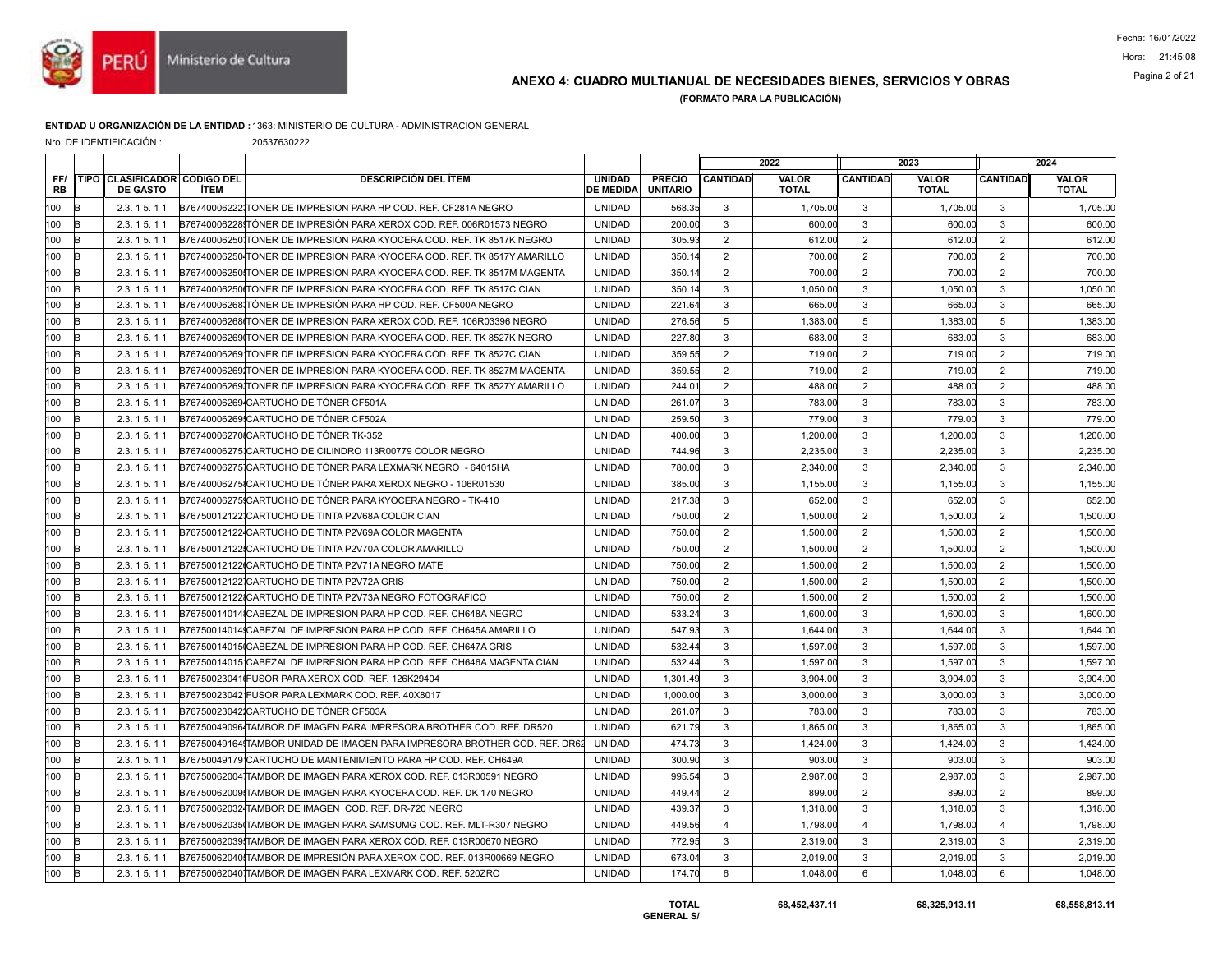

## ANEXO 4: CUADRO MULTIANUAL DE NECESIDADES BIENES, SERVICIOS Y OBRAS Pagina 2 of 21

(FORMATO PARA LA PUBLICACIÓN)

### ENTIDAD U ORGANIZACIÓN DE LA ENTIDAD :1363: MINISTERIO DE CULTURA - ADMINISTRACION GENERAL

Nro. DE IDENTIFICACIÓN : 20537630222

|                  |                                                 |             |                                                                            |                                   |                                  |                 | 2022                  |                 | 2023                         |                 | 2024                         |
|------------------|-------------------------------------------------|-------------|----------------------------------------------------------------------------|-----------------------------------|----------------------------------|-----------------|-----------------------|-----------------|------------------------------|-----------------|------------------------------|
| FF/<br><b>RB</b> | TIPO CLASIFICADOR CODIGO DEL<br><b>DE GASTO</b> | <b>ÍTEM</b> | <b>DESCRIPCIÓN DEL ÍTEM</b>                                                | <b>UNIDAD</b><br><b>DE MEDIDA</b> | <b>PRECIO</b><br><b>UNITARIO</b> | <b>CANTIDAD</b> | VALOR<br><b>TOTAL</b> | <b>CANTIDAD</b> | <b>VALOR</b><br><b>TOTAL</b> | <b>CANTIDAD</b> | <b>VALOR</b><br><b>TOTAL</b> |
| 100              | 2.3.15.11                                       |             | B767400062221TONER DE IMPRESION PARA HP COD. REF. CF281A NEGRO             | <b>UNIDAD</b>                     | 568.35                           | 3               | 1,705.00              | 3               | 1,705.00                     | 3               | 1,705.00                     |
| 100<br>R         | 2.3.15.11                                       |             | B76740006228 TÓNER DE IMPRESIÓN PARA XEROX COD. REF. 006R01573 NEGRO       | <b>UNIDAD</b>                     | 200.00                           | 3               | 600.00                | 3               | 600.00                       | 3               | 600.00                       |
| 100              | 2.3.15.11                                       |             | B767400062501TONER DE IMPRESION PARA KYOCERA COD. REF. TK 8517K NEGRO      | <b>UNIDAD</b>                     | 305.93                           | $\overline{2}$  | 612.00                | 2               | 612.00                       | 2               | 612.00                       |
| 100              | 2.3.15.11                                       |             | B76740006250 TONER DE IMPRESION PARA KYOCERA COD. REF. TK 8517Y AMARILLO   | <b>UNIDAD</b>                     | 350.14                           | $\overline{2}$  | 700.00                | $\overline{2}$  | 700.00                       | $\overline{2}$  | 700.00                       |
| 100              | 2.3.15.11                                       |             | B76740006250 TONER DE IMPRESION PARA KYOCERA COD. REF. TK 8517M MAGENTA    | <b>UNIDAD</b>                     | 350.14                           | $\overline{2}$  | 700.00                | $\overline{2}$  | 700.00                       | 2               | 700.00                       |
| 100              | 2.3.15.11                                       |             | B76740006250 TONER DE IMPRESION PARA KYOCERA COD. REF. TK 8517C CIAN       | <b>UNIDAD</b>                     | 350.14                           | 3               | 1.050.00              | 3               | 1.050.00                     | 3               | 1.050.00                     |
| 100              | 2.3.15.11                                       |             | B76740006268 TÓNER DE IMPRESIÓN PARA HP COD. REF. CF500A NEGRO             | <b>UNIDAD</b>                     | 221.64                           | 3               | 665.00                | $\mathbf{3}$    | 665.00                       | $\mathbf{3}$    | 665.00                       |
| 100              | 2.3.15.11                                       |             | B76740006268 TONER DE IMPRESION PARA XEROX COD. REF. 106R03396 NEGRO       | <b>UNIDAD</b>                     | 276.56                           | $\overline{5}$  | 1,383.00              | $5\phantom{.0}$ | 1,383.00                     | $5\phantom{.0}$ | 1,383.00                     |
| 100              | 2.3.15.11                                       |             | B76740006269ITONER DE IMPRESION PARA KYOCERA COD. REF. TK 8527K NEGRO      | <b>UNIDAD</b>                     | 227.80                           | 3               | 683.00                | 3               | 683.00                       | $\mathbf{3}$    | 683.00                       |
| 100              | 2.3.15.11                                       |             | B76740006269 TONER DE IMPRESION PARA KYOCERA COD. REF. TK 8527C CIAN       | <b>UNIDAD</b>                     | 359.55                           | $\overline{2}$  | 719.00                | $\overline{2}$  | 719.00                       | $\overline{2}$  | 719.00                       |
| 100<br>B         | 2.3.15.11                                       |             | B767400062691TONER DE IMPRESION PARA KYOCERA COD. REF. TK 8527M MAGENTA    | <b>UNIDAD</b>                     | 359.55                           | $\overline{2}$  | 719.00                | $\overline{2}$  | 719.00                       | $\overline{2}$  | 719.00                       |
| 100              | 2.3.15.11                                       |             | B767400062691TONER DE IMPRESION PARA KYOCERA COD. REF. TK 8527Y AMARILLO   | <b>UNIDAD</b>                     | $244.0^{\circ}$                  | $\overline{2}$  | 488.00                | 2               | 488.00                       | 2               | 488.00                       |
| 100              | 2.3.15.11                                       |             | B76740006269 CARTUCHO DE TÓNER CF501A                                      | <b>UNIDAD</b>                     | 261.07                           | 3               | 783.00                | 3               | 783.00                       | 3               | 783.00                       |
| 100              | 2.3.15.11                                       |             | B76740006269 CARTUCHO DE TÓNER CF502A                                      | <b>UNIDAD</b>                     | 259.50                           | 3               | 779.00                | $\mathbf{3}$    | 779.00                       | $\mathbf{3}$    | 779.00                       |
| 100              | 2.3.15.11                                       |             | B76740006270ICARTUCHO DE TÓNER TK-352                                      | <b>UNIDAD</b>                     | 400.00                           | 3               | 1.200.00              | $\mathbf{3}$    | 1.200.00                     | $\mathbf{3}$    | 1,200.00                     |
| 100              | 2.3.15.11                                       |             | B76740006275 CARTUCHO DE CILINDRO 113R00779 COLOR NEGRO                    | <b>UNIDAD</b>                     | 744.96                           | 3               | 2,235.00              | 3               | 2,235.00                     | 3               | 2,235.00                     |
| 100              | 2.3.15.11                                       |             | B76740006275 CARTUCHO DE TÓNER PARA LEXMARK NEGRO - 64015HA                | <b>UNIDAD</b>                     | 780.00                           | 3               | 2,340.00              | 3               | 2,340.00                     | 3               | 2,340.00                     |
| 100              | 2.3.15.11                                       |             | B76740006275ICARTUCHO DE TÓNER PARA XEROX NEGRO - 106R01530                | <b>UNIDAD</b>                     | 385.00                           | 3               | 1,155.00              | $\mathbf{3}$    | 1,155.00                     | $\mathbf{3}$    | 1,155.00                     |
| 100<br>R         | 2.3.15.11                                       |             | B76740006275 CARTUCHO DE TÓNER PARA KYOCERA NEGRO - TK-410                 | <b>UNIDAD</b>                     | 217.38                           | 3               | 652.00                | $\mathbf{3}$    | 652.00                       | $\mathbf{3}$    | 652.00                       |
| 100              | 2.3.15.11                                       |             | B76750012122 CARTUCHO DE TINTA P2V68A COLOR CIAN                           | <b>UNIDAD</b>                     | 750.00                           | $\overline{c}$  | 1.500.00              | 2               | 1.500.00                     | $\overline{2}$  | 1,500.00                     |
| 100              | 2.3.15.11                                       |             | B76750012122 CARTUCHO DE TINTA P2V69A COLOR MAGENTA                        | <b>UNIDAD</b>                     | 750.00                           | $\overline{2}$  | 1,500.00              | 2               | 1,500.00                     | 2               | 1,500.00                     |
| 100<br>R         | 2.3.15.11                                       |             | B76750012122 CARTUCHO DE TINTA P2V70A COLOR AMARILLO                       | <b>UNIDAD</b>                     | 750.00                           | $\overline{2}$  | 1,500.00              | $\overline{2}$  | 1,500.00                     | 2               | 1,500.00                     |
| 100              | 2.3.15.11                                       |             | B76750012122 CARTUCHO DE TINTA P2V71A NEGRO MATE                           | <b>UNIDAD</b>                     | 750.00                           | $\overline{2}$  | 1,500.00              | 2               | 1.500.00                     | 2               | 1,500.00                     |
| 100              | 2.3.15.11                                       |             | B76750012122 CARTUCHO DE TINTA P2V72A GRIS                                 | <b>UNIDAD</b>                     | 750.00                           | $\overline{2}$  | 1,500.00              | 2               | 1,500.00                     | 2               | 1,500.00                     |
| 100<br>R         | 2.3.15.11                                       |             | B76750012122 CARTUCHO DE TINTA P2V73A NEGRO FOTOGRAFICO                    | <b>UNIDAD</b>                     | 750.00                           | $\overline{2}$  | 1,500.00              | $\overline{2}$  | 1,500.00                     | 2               | 1,500.00                     |
| 100              | 2.3.15.11                                       |             | B76750014014ICABEZAL DE IMPRESION PARA HP COD. REF. CH648A NEGRO           | <b>UNIDAD</b>                     | 533.24                           | 3               | 1.600.00              | $\mathbf{3}$    | 1.600.00                     | $\mathbf{3}$    | 1,600.00                     |
| 100              | 2.3.15.11                                       |             | B76750014014 CABEZAL DE IMPRESION PARA HP COD. REF. CH645A AMARILLO        | <b>UNIDAD</b>                     | 547.93                           | 3               | 1.644.00              | 3               | 1.644.00                     | $\mathbf{3}$    | 1.644.00                     |
| 100              | 2.3.15.11                                       |             | B76750014015ICABEZAL DE IMPRESION PARA HP COD. REF. CH647A GRIS            | <b>UNIDAD</b>                     | 532.44                           | 3               | 1,597.00              | 3               | 1,597.00                     | 3               | 1,597.00                     |
| 100              | 2.3.15.11                                       |             | B76750014015 CABEZAL DE IMPRESION PARA HP COD. REF. CH646A MAGENTA CIAN    | <b>UNIDAD</b>                     | 532.44                           | 3               | 1.597.00              | $\mathbf{3}$    | 1.597.00                     | $\mathbf{3}$    | 1,597.00                     |
| 100              | 2.3.15.11                                       |             | B76750023041IFUSOR PARA XEROX COD, REF. 126K29404                          | <b>UNIDAD</b>                     | 1,301.49                         | 3               | 3.904.00              | 3               | 3.904.00                     | 3               | 3,904.00                     |
| 100              | 2.3.15.11                                       |             | B76750023042 FUSOR PARA LEXMARK COD. REF. 40X8017                          | <b>UNIDAD</b>                     | 1,000.00                         | 3               | 3,000.00              | 3               | 3,000.00                     | 3               | 3,000.00                     |
| 100              | 2.3.15.11                                       |             | B76750023042 CARTUCHO DE TÓNER CF503A                                      | <b>UNIDAD</b>                     | 261.07                           | 3               | 783.00                | 3               | 783.00                       | $\mathbf{3}$    | 783.00                       |
| 100              | 2.3.15.11                                       |             | B76750049096 TAMBOR DE IMAGEN PARA IMPRESORA BROTHER COD, REF. DR520       | <b>UNIDAD</b>                     | 621.79                           | 3               | 1,865.00              | $\mathbf{3}$    | 1,865.00                     | 3               | 1,865.00                     |
| 100              | 2.3.15.11                                       |             | B767500491641TAMBOR UNIDAD DE IMAGEN PARA IMPRESORA BROTHER COD. REF. DR62 | <b>UNIDAD</b>                     | 474.73                           | 3               | 1.424.00              | 3               | 1.424.00                     | 3               | 1,424.00                     |
| 100              | 2.3.15.11                                       |             | B76750049179 CARTUCHO DE MANTENIMIENTO PARA HP COD. REF. CH649A            | <b>UNIDAD</b>                     | 300.90                           | $\mathbf{3}$    | 903.00                | $\mathbf{3}$    | 903.00                       | $\mathbf{3}$    | 903.00                       |
| 100<br>R         | 2.3.15.11                                       |             | B76750062004 TAMBOR DE IMAGEN PARA XEROX COD. REF. 013R00591 NEGRO         | <b>UNIDAD</b>                     | 995.54                           | 3               | 2,987.00              | $\mathbf{3}$    | 2,987.00                     | 3               | 2,987.00                     |
| 100<br>R         | 2.3.15.11                                       |             | B76750062009 TAMBOR DE IMAGEN PARA KYOCERA COD. REF. DK 170 NEGRO          | <b>UNIDAD</b>                     | 449.44                           | 2               | 899.00                | 2               | 899.00                       | 2               | 899.00                       |
| 100              | 2.3.15.11                                       |             | B76750062032 TAMBOR DE IMAGEN COD. REF. DR-720 NEGRO                       | <b>UNIDAD</b>                     | 439.37                           | 3               | 1,318.00              | 3               | 1,318.00                     | 3               | 1,318.00                     |
| 100              | 2.3.15.11                                       |             | B76750062035(TAMBOR DE IMAGEN PARA SAMSUMG COD. REF. MLT-R307 NEGRO        | <b>UNIDAD</b>                     | 449.56                           | $\overline{4}$  | 1,798.00              | $\overline{4}$  | 1,798.00                     | $\overline{4}$  | 1,798.00                     |
| 100<br>R         | 2.3.15.11                                       |             | B76750062039 TAMBOR DE IMAGEN PARA XEROX COD. REF. 013R00670 NEGRO         | <b>UNIDAD</b>                     | 772.95                           | 3               | 2.319.00              | $\mathbf{3}$    | 2.319.00                     | $\mathbf{3}$    | 2,319.00                     |
| 100              | 2.3.15.11                                       |             | B76750062040 TAMBOR DE IMPRESIÓN PARA XEROX COD. REF. 013R00669 NEGRO      | <b>UNIDAD</b>                     | 673.04                           | 3               | 2,019.00              | 3               | 2.019.00                     | 3               | 2.019.00                     |
| 100<br>B         | 2.3.15.11                                       |             | B76750062040 TAMBOR DE IMAGEN PARA LEXMARK COD. REF. 520ZRO                | <b>UNIDAD</b>                     | 174.70                           | 6               | 1,048.00              | 6               | 1,048.00                     | 6               | 1,048.00                     |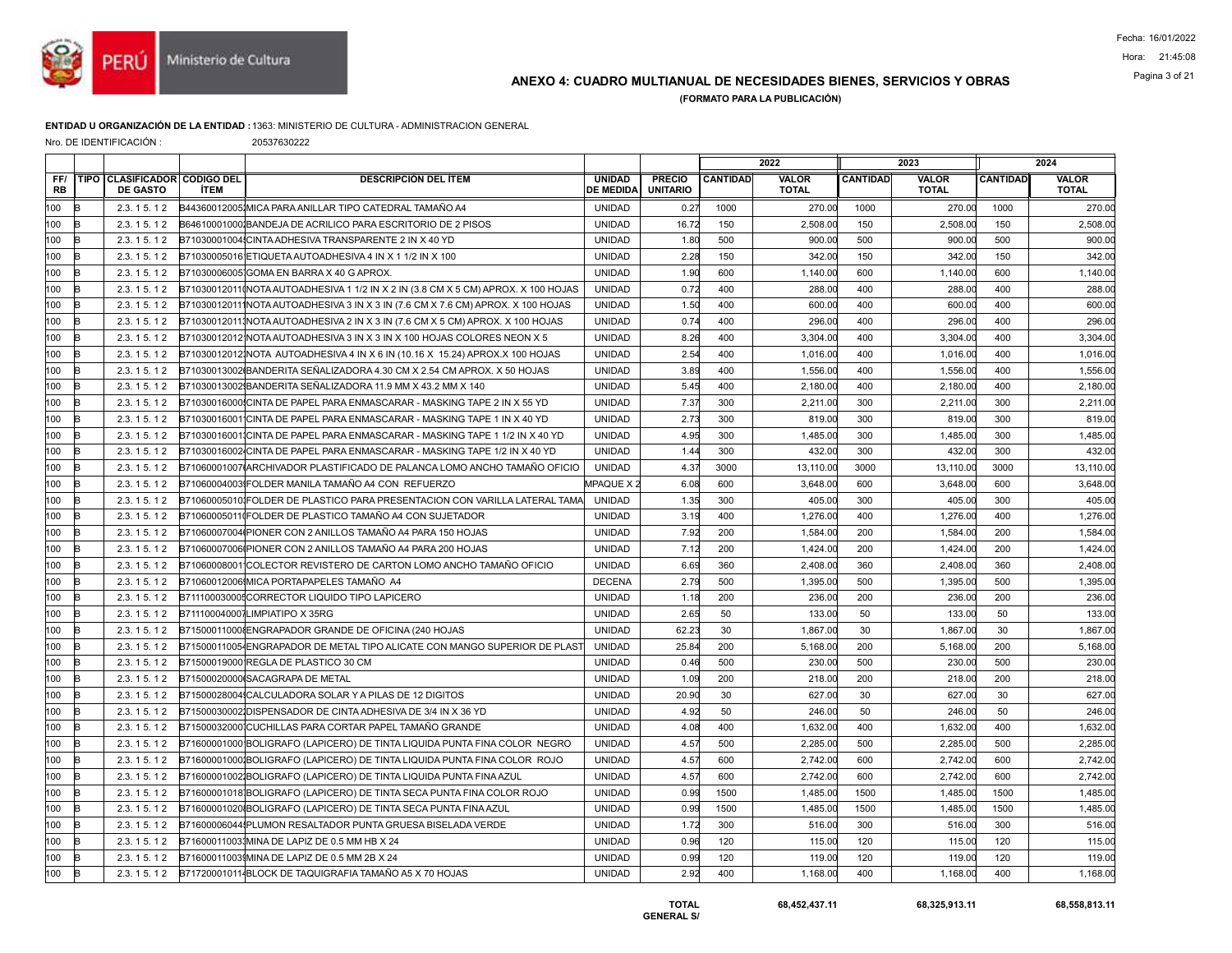

## ANEXO 4: CUADRO MULTIANUAL DE NECESIDADES BIENES, SERVICIOS Y OBRAS Pagina 3 of 21

(FORMATO PARA LA PUBLICACIÓN)

### ENTIDAD U ORGANIZACIÓN DE LA ENTIDAD :1363: MINISTERIO DE CULTURA - ADMINISTRACION GENERAL

Nro. DE IDENTIFICACIÓN : 20537630222

|                  |          |                                                 |             |                                                                                    |                                   |                                  |                 | 2022                         |                 | 2023                         |                 | 2024                         |
|------------------|----------|-------------------------------------------------|-------------|------------------------------------------------------------------------------------|-----------------------------------|----------------------------------|-----------------|------------------------------|-----------------|------------------------------|-----------------|------------------------------|
| FF/<br><b>RB</b> |          | TIPO CLASIFICADOR CODIGO DEL<br><b>DE GASTO</b> | <b>ÍTEM</b> | <b>DESCRIPCIÓN DEL ÍTEM</b>                                                        | <b>UNIDAD</b><br><b>DE MEDIDA</b> | <b>PRECIO</b><br><b>UNITARIO</b> | <b>CANTIDAD</b> | <b>VALOR</b><br><b>TOTAL</b> | <b>CANTIDAD</b> | <b>VALOR</b><br><b>TOTAL</b> | <b>CANTIDAD</b> | <b>VALOR</b><br><b>TOTAL</b> |
| 100              | B        | 2.3.15.12                                       |             | B44360012005 MICA PARA ANILLAR TIPO CATEDRAL TAMAÑO A4                             | <b>UNIDAD</b>                     | 0.27                             | 1000            | 270.00                       | 1000            | 270.00                       | 1000            | 270.00                       |
| 100              | B        | 2.3.15.12                                       |             | B64610001000 BANDEJA DE ACRILICO PARA ESCRITORIO DE 2 PISOS                        | <b>UNIDAD</b>                     | 16.72                            | 150             | 2,508.00                     | 150             | 2,508.00                     | 150             | 2,508.00                     |
| 100              | B        | 2.3.15.12                                       |             | B71030001004 CINTA ADHESIVA TRANSPARENTE 2 IN X 40 YD                              | <b>UNIDAD</b>                     | 1.80                             | 500             | 900.00                       | 500             | 900.00                       | 500             | 900.00                       |
| 100              | k        | 2.3.15.12                                       |             | B71030005016 ETIQUETA AUTOADHESIVA 4 IN X 1 1/2 IN X 100                           | <b>UNIDAD</b>                     | 2.28                             | 150             | 342.00                       | 150             | 342.00                       | 150             | 342.00                       |
| 100              | k        | 2.3.15.12                                       |             | B710300060051GOMA EN BARRA X 40 G APROX.                                           | <b>UNIDAD</b>                     | 1.90                             | 600             | 1,140.00                     | 600             | 1,140.00                     | 600             | 1,140.00                     |
| 100              | R        | 2.3.15.12                                       |             | B71030012011(INOTA AUTOADHESIVA 1 1/2 IN X 2 IN (3.8 CM X 5 CM) APROX. X 100 HOJAS | <b>UNIDAD</b>                     | 0.72                             | 400             | 288.00                       | 400             | 288.00                       | 400             | 288.00                       |
| 100              | k        | 2.3.15.12                                       |             | B710300120111NOTA AUTOADHESIVA 3 IN X 3 IN (7.6 CM X 7.6 CM) APROX. X 100 HOJAS    | <b>UNIDAD</b>                     | 1.50                             | 400             | 600.00                       | 400             | 600.00                       | 400             | 600.00                       |
| 100              | k        | 2.3.15.12                                       |             | B710300120111NOTA AUTOADHESIVA 2 IN X 3 IN (7.6 CM X 5 CM) APROX. X 100 HOJAS      | <b>UNIDAD</b>                     | 0.74                             | 400             | 296.00                       | 400             | 296.00                       | 400             | 296.00                       |
| 100              | R        | 2.3.15.12                                       |             | B71030012012 INOTA AUTOADHESIVA 3 IN X 3 IN X 100 HOJAS COLORES NEON X 5           | <b>UNIDAD</b>                     | 8.26                             | 400             | 3,304.00                     | 400             | 3,304.00                     | 400             | 3,304.00                     |
| 100              | k        | 2.3.15.12                                       |             | B71030012012(NOTA AUTOADHESIVA 4 IN X 6 IN (10.16 X 15.24) APROX.X 100 HOJAS       | <b>UNIDAD</b>                     | 2.54                             | 400             | 1,016.00                     | 400             | 1,016.00                     | 400             | 1,016.0                      |
| 100              | B        | 2.3.15.12                                       |             | B71030013002 BANDERITA SENALIZADORA 4.30 CM X 2.54 CM APROX. X 50 HOJAS            | <b>UNIDAD</b>                     | 3.89                             | 400             | 1,556.00                     | 400             | 1.556.00                     | 400             | 1,556.00                     |
| 100              | R        | 2.3.15.12                                       |             | B71030013002 BANDERITA SEÑALIZADORA 11.9 MM X 43.2 MM X 140                        | <b>UNIDAD</b>                     | 5.45                             | 400             | 2,180.00                     | 400             | 2,180.00                     | 400             | 2,180.00                     |
| 100              | k        | 2.3.15.12                                       |             | B71030016000 CINTA DE PAPEL PARA ENMASCARAR - MASKING TAPE 2 IN X 55 YD            | <b>UNIDAD</b>                     | 7.37                             | 300             | 2,211.00                     | 300             | 2,211.00                     | 300             | 2,211.00                     |
| 100              | <b>B</b> | 2.3.15.12                                       |             | B710300160011CINTA DE PAPEL PARA ENMASCARAR - MASKING TAPE 1 IN X 40 YD            | <b>UNIDAD</b>                     | 2.73                             | 300             | 819.00                       | 300             | 819.00                       | 300             | 819.00                       |
| 100              | B        | 2.3.15.12                                       |             | B71030016001 CINTA DE PAPEL PARA ENMASCARAR - MASKING TAPE 1 1/2 IN X 40 YD        | <b>UNIDAD</b>                     | 4.95                             | 300             | 1,485.00                     | 300             | 1,485.00                     | 300             | 1,485.00                     |
| 100              | R        | 2.3.15.12                                       |             | B71030016002 CINTA DE PAPEL PARA ENMASCARAR - MASKING TAPE 1/2 IN X 40 YD          | <b>UNIDAD</b>                     | 1.44                             | 300             | 432.00                       | 300             | 432.00                       | 300             | 432.0                        |
| 100              | <b>B</b> | 2.3.15.12                                       |             | B71060001007IARCHIVADOR PLASTIFICADO DE PALANCA LOMO ANCHO TAMAÑO OFICIO           | <b>UNIDAD</b>                     | 4.37                             | 3000            | 13.110.00                    | 3000            | 13,110.00                    | 3000            | 13,110.00                    |
| 100              | B        | 2.3.15.12                                       |             | B71060004003 FOLDER MANILA TAMAÑO A4 CON REFUERZO                                  | MPAQUE X 2                        | 6.08                             | 600             | 3,648.00                     | 600             | 3,648.00                     | 600             | 3,648.00                     |
| 100              | R        | 2.3.15.12                                       |             | B71060005010IFOLDER DE PLASTICO PARA PRESENTACION CON VARILLA LATERAL TAMA         | <b>UNIDAD</b>                     | 1.35                             | 300             | 405.00                       | 300             | 405.00                       | 300             | 405.00                       |
| 100              | B        | 2.3.15.12                                       |             | B710600050110FOLDER DE PLASTICO TAMAÑO A4 CON SUJETADOR                            | <b>UNIDAD</b>                     | 3.19                             | 400             | 1,276.00                     | 400             | 1,276.00                     | 400             | 1,276.00                     |
| 100              | B        | 2.3.15.12                                       |             | B71060007004 PIONER CON 2 ANILLOS TAMAÑO A4 PARA 150 HOJAS                         | <b>UNIDAD</b>                     | 7.92                             | 200             | 1,584.00                     | 200             | 1,584.00                     | 200             | 1,584.00                     |
| 100              | R        | 2.3.15.12                                       |             | B71060007006 PIONER CON 2 ANILLOS TAMAÑO A4 PARA 200 HOJAS                         | <b>UNIDAD</b>                     | 7.12                             | 200             | 1,424.00                     | 200             | 1,424.00                     | 200             | 1,424.0                      |
| 100              | B        | 2.3.15.12                                       |             | B71060008001 COLECTOR REVISTERO DE CARTON LOMO ANCHO TAMAÑO OFICIO                 | <b>UNIDAD</b>                     | 6.69                             | 360             | 2,408.00                     | 360             | 2,408.00                     | 360             | 2,408.00                     |
| 100              | k        | 2.3.15.12                                       |             | B71060012006 MICA PORTAPAPELES TAMAÑO A4                                           | <b>DECENA</b>                     | 2.79                             | 500             | 1,395.00                     | 500             | 1,395.00                     | 500             | 1,395.00                     |
| 100              | R        | 2.3.15.12                                       |             | B711100030005CORRECTOR LIQUIDO TIPO LAPICERO                                       | <b>UNIDAD</b>                     | 1.18                             | 200             | 236.00                       | 200             | 236.00                       | 200             | 236.00                       |
| 100              | B        | 2.3.15.12                                       |             | B711100040007LIMPIATIPO X 35RG                                                     | <b>UNIDAD</b>                     | 2.65                             | 50              | 133.00                       | 50              | 133.00                       | 50              | 133.00                       |
| 100              | k        | 2.3.15.12                                       |             | B715000110008ENGRAPADOR GRANDE DE OFICINA (240 HOJAS                               | <b>UNIDAD</b>                     | 62.23                            | 30              | 1,867.00                     | 30              | 1,867.00                     | 30              | 1,867.00                     |
| 100              | k        | 2.3.15.12                                       |             | B715000110054ENGRAPADOR DE METAL TIPO ALICATE CON MANGO SUPERIOR DE PLAST          | <b>UNIDAD</b>                     | 25.84                            | 200             | 5,168.00                     | 200             | 5,168.00                     | 200             | 5,168.00                     |
| 100              | в        | 2.3.15.12                                       |             | B71500019000 REGLA DE PLASTICO 30 CM                                               | <b>UNIDAD</b>                     | 0.46                             | 500             | 230.00                       | 500             | 230.00                       | 500             | 230.00                       |
| 100              | R        | 2.3.15.12                                       |             | B71500020000ISACAGRAPA DE METAL                                                    | <b>UNIDAD</b>                     | 1.09                             | 200             | 218.00                       | 200             | 218.00                       | 200             | 218.00                       |
| 100              | k        | 2.3.15.12                                       |             | B71500028004 CALCULADORA SOLAR Y A PILAS DE 12 DIGITOS                             | <b>UNIDAD</b>                     | 20.90                            | 30              | 627.00                       | 30              | 627.00                       | 30              | 627.00                       |
| 100              |          | 2.3.15.12                                       |             | B71500030002 DISPENSADOR DE CINTA ADHESIVA DE 3/4 IN X 36 YD                       | <b>UNIDAD</b>                     | 4.92                             | 50              | 246.00                       | 50              | 246.00                       | 50              | 246.00                       |
| 100              | k        | 2.3.15.12                                       |             | B71500032000 CUCHILLAS PARA CORTAR PAPEL TAMAÑO GRANDE                             | <b>UNIDAD</b>                     | 4.08                             | 400             | 1,632.00                     | 400             | 1,632.00                     | 400             | 1,632.00                     |
| 100              | B        | 2.3.15.12                                       |             | B71600001000 BOLIGRAFO (LAPICERO) DE TINTA LIQUIDA PUNTA FINA COLOR NEGRO          | <b>UNIDAD</b>                     | 4.57                             | 500             | 2,285.00                     | 500             | 2,285.00                     | 500             | 2,285.00                     |
| 100              | R        | 2.3.15.12                                       |             | B716000010001BOLIGRAFO (LAPICERO) DE TINTA LIQUIDA PUNTA FINA COLOR ROJO           | <b>UNIDAD</b>                     | 4.57                             | 600             | 2,742.00                     | 600             | 2,742.00                     | 600             | 2,742.0                      |
| 100              | k        | 2.3.15.12                                       |             | B71600001002 BOLIGRAFO (LAPICERO) DE TINTA LIQUIDA PUNTA FINA AZUL                 | <b>UNIDAD</b>                     | 4.57                             | 600             | 2.742.00                     | 600             | 2,742.00                     | 600             | 2,742.0                      |
| 100              | в        | 2.3.15.12                                       |             | B71600001018 BOLIGRAFO (LAPICERO) DE TINTA SECA PUNTA FINA COLOR ROJO              | <b>UNIDAD</b>                     | 0.99                             | 1500            | 1,485.00                     | 1500            | 1,485.00                     | 1500            | 1,485.00                     |
| 100              | k        | 2.3.15.12                                       |             | B71600001020IBOLIGRAFO (LAPICERO) DE TINTA SECA PUNTA FINA AZUL                    | <b>UNIDAD</b>                     | 0.99                             | 1500            | 1,485.00                     | 1500            | 1,485.00                     | 1500            | 1,485.00                     |
| 100              | R        | 2.3.15.12                                       |             | B71600006044IPLUMON RESALTADOR PUNTA GRUESA BISELADA VERDE                         | <b>UNIDAD</b>                     | 1.72                             | 300             | 516.00                       | 300             | 516.00                       | 300             | 516.00                       |
| 100              | B        | 2.3.15.12                                       |             | B716000110031MINA DE LAPIZ DE 0.5 MM HB X 24                                       | <b>UNIDAD</b>                     | 0.96                             | 120             | 115.00                       | 120             | 115.00                       | 120             | 115.00                       |
| 100              | R        | 2.3.15.12                                       |             | B716000110039MINA DE LAPIZ DE 0.5 MM 2B X 24                                       | <b>UNIDAD</b>                     | 0.99                             | 120             | 119.00                       | 120             | 119.00                       | 120             | 119.00                       |
| 100              | B        | 2.3.15.12                                       |             | B717200010114BLOCK DE TAQUIGRAFIA TAMAÑO A5 X 70 HOJAS                             | <b>UNIDAD</b>                     | 2.92                             | 400             | 1,168.00                     | 400             | 1,168.00                     | 400             | 1,168.00                     |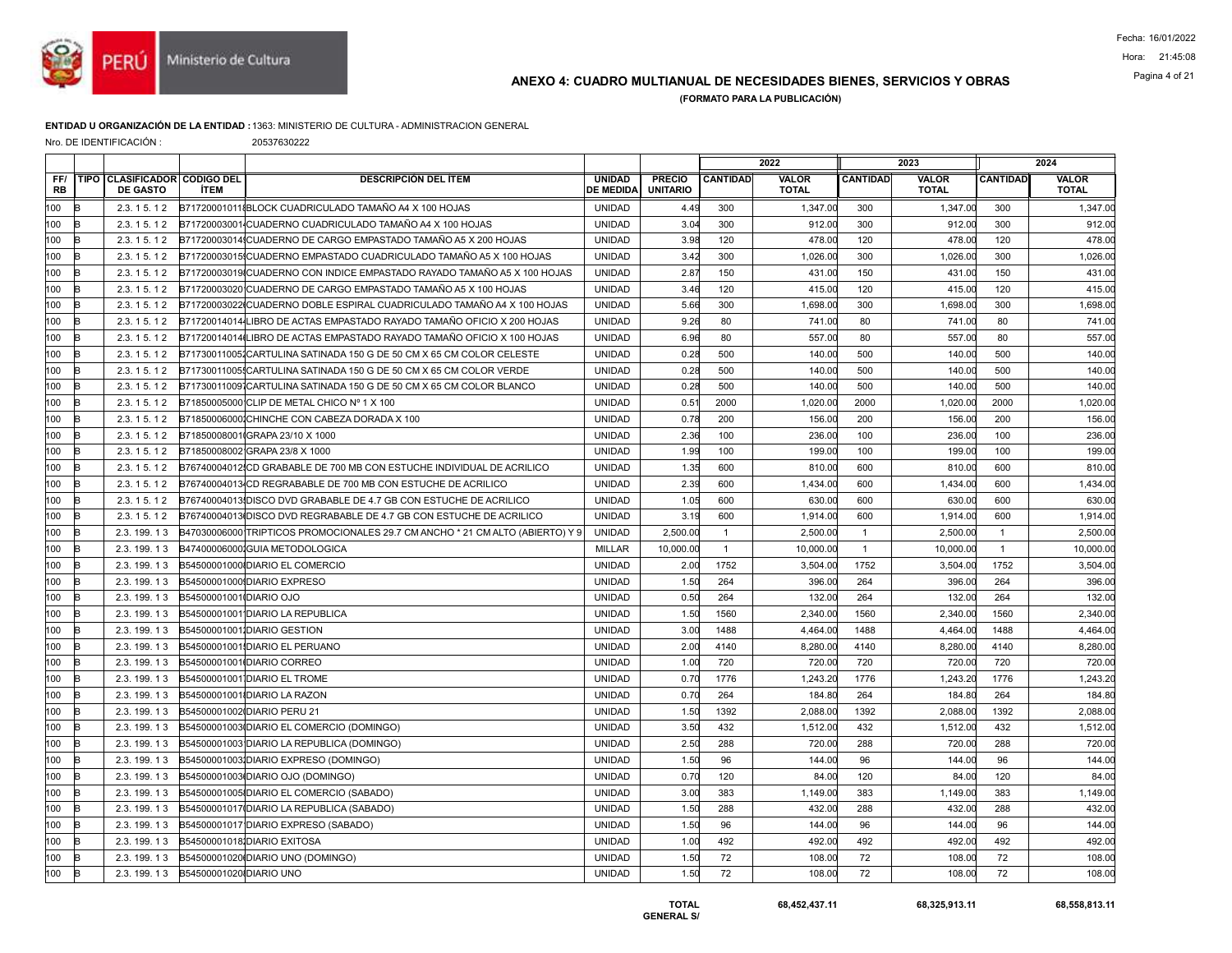

## ANEXO 4: CUADRO MULTIANUAL DE NECESIDADES BIENES, SERVICIOS Y OBRAS Pagina 4 of 21

(FORMATO PARA LA PUBLICACIÓN)

### ENTIDAD U ORGANIZACIÓN DE LA ENTIDAD :1363: MINISTERIO DE CULTURA - ADMINISTRACION GENERAL

Nro. DE IDENTIFICACIÓN : 20537630222

|           |              |                                                 |                         |                                                                               |                                   |                                  |                 | 2022                  |                 | 2023                         |                 | 2024                         |
|-----------|--------------|-------------------------------------------------|-------------------------|-------------------------------------------------------------------------------|-----------------------------------|----------------------------------|-----------------|-----------------------|-----------------|------------------------------|-----------------|------------------------------|
| FF/<br>RB |              | TIPO CLASIFICADOR CODIGO DEL<br><b>DE GASTO</b> | <b>ÍTEM</b>             | <b>DESCRIPCIÓN DEL ÍTEM</b>                                                   | <b>UNIDAD</b><br><b>DE MEDIDA</b> | <b>PRECIO</b><br><b>UNITARIO</b> | <b>CANTIDAD</b> | VALOR<br><b>TOTAL</b> | <b>CANTIDAD</b> | <b>VALOR</b><br><b>TOTAL</b> | <b>CANTIDAD</b> | <b>VALOR</b><br><b>TOTAL</b> |
| 100       | B            | 2.3.15.12                                       |                         | B717200010118BLOCK CUADRICULADO TAMAÑO A4 X 100 HOJAS                         | UNIDAD                            | 4.49                             | 300             | 1,347.00              | 300             | 1,347.00                     | 300             | 1,347.00                     |
| 100       | B            | 2.3.15.12                                       |                         | B71720003001 CUADERNO CUADRICULADO TAMAÑO A4 X 100 HOJAS                      | <b>UNIDAD</b>                     | 3.04                             | 300             | 912.00                | 300             | 912.00                       | 300             | 912.00                       |
| 100       | B            | 2.3.15.12                                       |                         | B71720003014 CUADERNO DE CARGO EMPASTADO TAMAÑO A5 X 200 HOJAS                | <b>UNIDAD</b>                     | 3.98                             | 120             | 478.00                | 120             | 478.00                       | 120             | 478.00                       |
| 100       | B            | 2.3.15.12                                       |                         | B71720003015 CUADERNO EMPASTADO CUADRICULADO TAMAÑO A5 X 100 HOJAS            | <b>UNIDAD</b>                     | 3.42                             | 300             | 1,026.00              | 300             | 1,026.00                     | 300             | 1,026.00                     |
| 100       | B            | 2.3.15.12                                       |                         | B71720003019 CUADERNO CON INDICE EMPASTADO RAYADO TAMAÑO A5 X 100 HOJAS       | <b>UNIDAD</b>                     | 2.87                             | 150             | 431.00                | 150             | 431.00                       | 150             | 431.00                       |
| 100       | B            | 2.3.15.12                                       |                         | B71720003020 CUADERNO DE CARGO EMPASTADO TAMAÑO A5 X 100 HOJAS                | <b>UNIDAD</b>                     | 3.46                             | 120             | 415.00                | 120             | 415.00                       | 120             | 415.00                       |
| 100       | R            | 2.3.15.12                                       |                         | B71720003022 CUADERNO DOBLE ESPIRAL CUADRICULADO TAMAÑO A4 X 100 HOJAS        | <b>UNIDAD</b>                     | 5.66                             | 300             | 1,698.00              | 300             | 1,698.00                     | 300             | 1,698.00                     |
| 100       | <b>B</b>     | 2.3.15.12                                       |                         | B71720014014 LIBRO DE ACTAS EMPASTADO RAYADO TAMAÑO OFICIO X 200 HOJAS        | <b>UNIDAD</b>                     | 9.26                             | 80              | 741.00                | 80              | 741.00                       | 80              | 741.00                       |
| 100       | B            | 2.3.15.12                                       |                         | B71720014014(LIBRO DE ACTAS EMPASTADO RAYADO TAMAÑO OFICIO X 100 HOJAS        | <b>UNIDAD</b>                     | 6.96                             | 80              | 557.00                | 80              | 557.00                       | 80              | 557.00                       |
| 100       | $\mathbb{P}$ | 2.3.15.12                                       |                         | B717300110051CARTULINA SATINADA 150 G DE 50 CM X 65 CM COLOR CELESTE          | <b>UNIDAD</b>                     | 0.28                             | 500             | 140.00                | 500             | 140.00                       | 500             | 140.00                       |
| 100       | B            | 2.3.15.12                                       |                         | B71730011005{CARTULINA SATINADA 150 G DE 50 CM X 65 CM COLOR VERDE            | <b>UNIDAD</b>                     | 0.28                             | 500             | 140.00                | 500             | 140.00                       | 500             | 140.00                       |
| 100       | k            | 2.3.15.12                                       |                         | B71730011009 CARTULINA SATINADA 150 G DE 50 CM X 65 CM COLOR BLANCO           | <b>UNIDAD</b>                     | 0.28                             | 500             | 140.00                | 500             | 140.00                       | 500             | 140.00                       |
| 100       | R            | 2.3.15.12                                       |                         | B71850005000 CLIP DE METAL CHICO Nº 1 X 100                                   | <b>UNIDAD</b>                     | 0.51                             | 2000            | 1,020.00              | 2000            | 1,020.00                     | 2000            | 1,020.00                     |
| 100       | B            | 2.3.15.12                                       |                         | B718500060001CHINCHE CON CABEZA DORADA X 100                                  | <b>UNIDAD</b>                     | 0.78                             | 200             | 156.00                | 200             | 156.00                       | 200             | 156.00                       |
| 100       | k            | 2.3.15.12                                       |                         | B71850008001 GRAPA 23/10 X 1000                                               | <b>UNIDAD</b>                     | 2.36                             | 100             | 236.00                | 100             | 236.00                       | 100             | 236.00                       |
| 100       | R            | 2.3.15.12                                       |                         | B71850008002 GRAPA 23/8 X 1000                                                | <b>UNIDAD</b>                     | 1.99                             | 100             | 199.00                | 100             | 199.00                       | 100             | 199.00                       |
| 100       | B            | 2.3.15.12                                       |                         | B76740004012 CD GRABABLE DE 700 MB CON ESTUCHE INDIVIDUAL DE ACRILICO         | <b>UNIDAD</b>                     | 1.35                             | 600             | 810.00                | 600             | 810.00                       | 600             | 810.00                       |
| 100       | k            | 2.3.15.12                                       |                         | B76740004013 CD REGRABABLE DE 700 MB CON ESTUCHE DE ACRILICO                  | <b>UNIDAD</b>                     | 2.39                             | 600             | 1,434.00              | 600             | 1,434.00                     | 600             | 1,434.00                     |
| 100       | k            | 2.3.15.12                                       |                         | B76740004013 DISCO DVD GRABABLE DE 4.7 GB CON ESTUCHE DE ACRILICO             | <b>UNIDAD</b>                     | 1.05                             | 600             | 630.00                | 600             | 630.00                       | 600             | 630.00                       |
| 100       | R            | 2.3.15.12                                       |                         | B76740004013IDISCO DVD REGRABABLE DE 4.7 GB CON ESTUCHE DE ACRILICO           | <b>UNIDAD</b>                     | 3.19                             | 600             | 1,914.00              | 600             | 1,914.00                     | 600             | 1,914.00                     |
| 100       | B            | 2.3.199.13                                      |                         | B47030006000 TRIPTICOS PROMOCIONALES 29.7 CM ANCHO * 21 CM ALTO (ABIERTO) Y 9 | <b>UNIDAD</b>                     | 2,500.00                         | $\overline{1}$  | 2,500.00              | $\mathbf{1}$    | 2,500.00                     | $\overline{1}$  | 2,500.00                     |
| 100       | k            | 2.3.199.13                                      |                         | B47400006000 GUIA METODOLOGICA                                                | <b>MILLAR</b>                     | 10,000.00                        | $\overline{1}$  | 10,000.00             | $\mathbf{1}$    | 10,000.00                    | $\overline{1}$  | 10,000.00                    |
| 100       | B            | 2.3.199.13                                      |                         | B54500001000IDIARIO EL COMERCIO                                               | <b>UNIDAD</b>                     | 2.00                             | 1752            | 3.504.00              | 1752            | 3,504.00                     | 1752            | 3,504.00                     |
| 100       | в            | 2.3.199.13                                      |                         | B54500001000 DIARIO EXPRESO                                                   | <b>UNIDAD</b>                     | 1.50                             | 264             | 396.00                | 264             | 396.00                       | 264             | 396.00                       |
| 100       | B            | 2.3.199.13                                      | B54500001001 DIARIO OJO |                                                                               | <b>UNIDAD</b>                     | 0.50                             | 264             | 132.00                | 264             | 132.00                       | 264             | 132.00                       |
| 100       | R            | 2.3.199.13                                      |                         | B54500001001 DIARIO LA REPUBLICA                                              | <b>UNIDAD</b>                     | 1.50                             | 1560            | 2,340.00              | 1560            | 2,340.00                     | 1560            | 2,340.00                     |
| 100       | k            | 2.3.199.13                                      |                         | B545000010011DIARIO GESTION                                                   | <b>UNIDAD</b>                     | 3.00                             | 1488            | 4,464.00              | 1488            | 4,464.00                     | 1488            | 4,464.00                     |
| 100       | B            | 2.3.199.13                                      |                         | B54500001001 DIARIO EL PERUANO                                                | <b>UNIDAD</b>                     | 2.00                             | 4140            | 8,280.00              | 4140            | 8,280.00                     | 4140            | 8,280.00                     |
| 100       | R            | 2.3.199.13                                      |                         | B54500001001 DIARIO CORREO                                                    | <b>UNIDAD</b>                     | 1.00                             | 720             | 720.00                | 720             | 720.00                       | 720             | 720.00                       |
| 100       | в            | 2.3.199.13                                      |                         | B54500001001 DIARIO EL TROME                                                  | <b>UNIDAD</b>                     | 0.70                             | 1776            | 1,243.20              | 1776            | 1,243.20                     | 1776            | 1,243.20                     |
| 100       | B            | 2.3.199.13                                      |                         | B54500001001IDIARIO LA RAZON                                                  | <b>UNIDAD</b>                     | 0.70                             | 264             | 184.80                | 264             | 184.80                       | 264             | 184.80                       |
| 100       | R            | 2.3.199.13                                      |                         | B54500001002 DIARIO PERU 21                                                   | <b>UNIDAD</b>                     | 1.50                             | 1392            | 2,088.00              | 1392            | 2,088.00                     | 1392            | 2,088.00                     |
| 100       | в            | 2.3.199.13                                      |                         | B54500001003 DIARIO EL COMERCIO (DOMINGO)                                     | <b>UNIDAD</b>                     | 3.50                             | 432             | 1,512.00              | 432             | 1,512.00                     | 432             | 1,512.00                     |
| 100       | $\mathsf B$  | 2.3.199.13                                      |                         | B54500001003 DIARIO LA REPUBLICA (DOMINGO)                                    | <b>UNIDAD</b>                     | 2.50                             | 288             | 720.00                | 288             | 720.00                       | 288             | 720.00                       |
| 100       | R            | 2.3.199.13                                      |                         | B545000010031DIARIO EXPRESO (DOMINGO)                                         | <b>UNIDAD</b>                     | 1.50                             | 96              | 144.00                | 96              | 144.00                       | 96              | 144.00                       |
| 100       | в            | 2.3.199.13                                      |                         | B54500001003 DIARIO OJO (DOMINGO)                                             | <b>UNIDAD</b>                     | 0.70                             | 120             | 84.00                 | 120             | 84.00                        | 120             | 84.00                        |
| 100       | B            | 2.3.199.13                                      |                         | B54500001005 DIARIO EL COMERCIO (SABADO)                                      | <b>UNIDAD</b>                     | 3.00                             | 383             | 1,149.00              | 383             | 1,149.00                     | 383             | 1,149.00                     |
| 100       | B            | 2.3.199.13                                      |                         | B54500001017 (DIARIO LA REPUBLICA (SABADO)                                    | <b>UNIDAD</b>                     | 1.50                             | 288             | 432.00                | 288             | 432.00                       | 288             | 432.00                       |
| 100       | в            | 2.3.199.13                                      |                         | B54500001017 DIARIO EXPRESO (SABADO)                                          | <b>UNIDAD</b>                     | 1.50                             | 96              | 144.00                | 96              | 144.00                       | 96              | 144.00                       |
| 100       | B            | 2.3.199.13                                      |                         | B54500001018 DIARIO EXITOSA                                                   | <b>UNIDAD</b>                     | 1.00                             | 492             | 492.00                | 492             | 492.00                       | 492             | 492.00                       |
| 100       | B            | 2.3.199.13                                      |                         | B54500001020 DIARIO UNO (DOMINGO)                                             | <b>UNIDAD</b>                     | 1.50                             | 72              | 108.00                | 72              | 108.00                       | 72              | 108.00                       |
| 100       | в            | 2.3. 199. 13                                    | B54500001020 DIARIO UNO |                                                                               | <b>UNIDAD</b>                     | 1.50                             | 72              | 108.00                | 72              | 108.00                       | 72              | 108.00                       |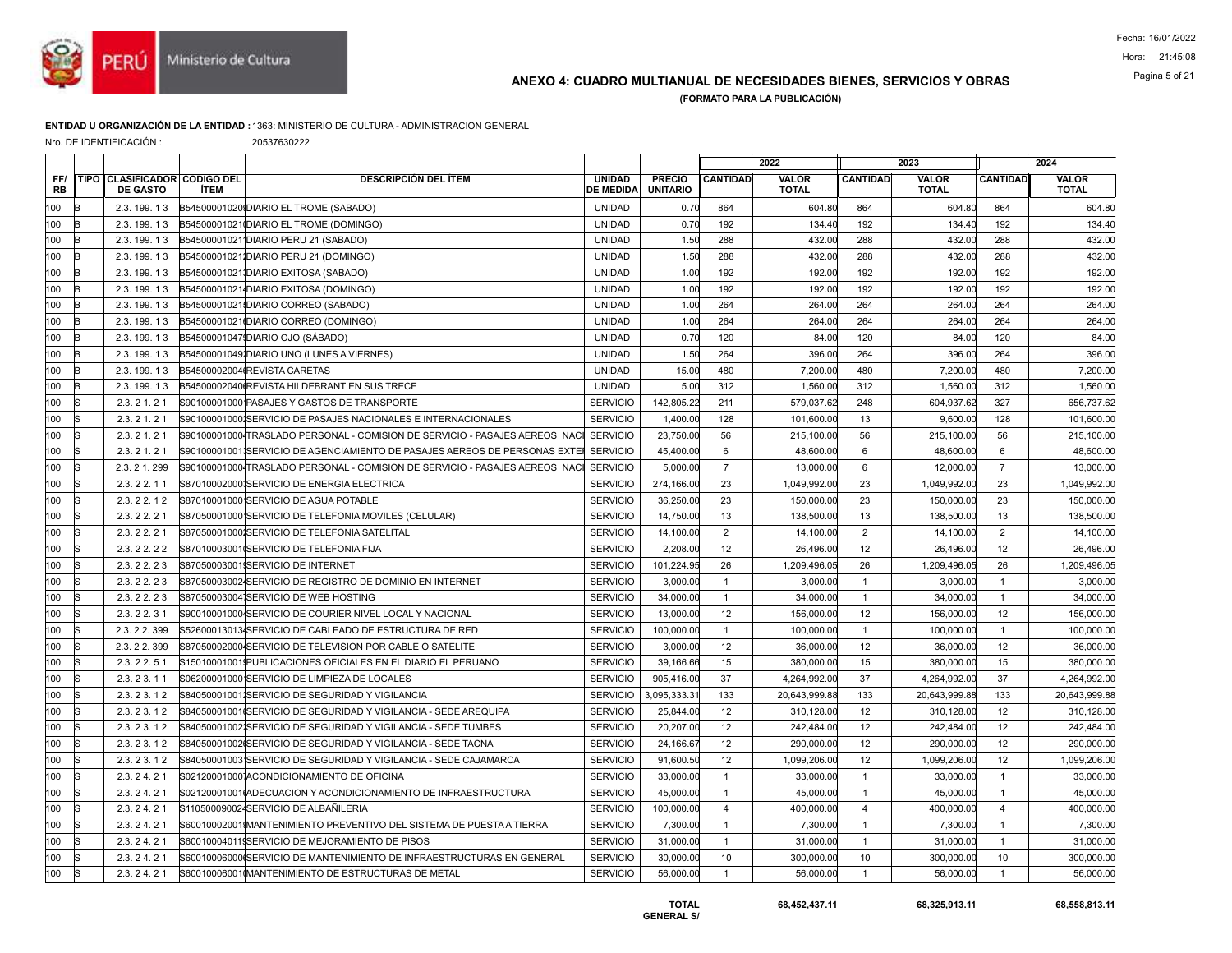

## ANEXO 4: CUADRO MULTIANUAL DE NECESIDADES BIENES, SERVICIOS Y OBRAS Pagina 5 of 21

(FORMATO PARA LA PUBLICACIÓN)

#### ENTIDAD U ORGANIZACIÓN DE LA ENTIDAD :1363: MINISTERIO DE CULTURA - ADMINISTRACION GENERAL

|  |  | Nro. DE IDENTIFICACIÓN : |  |
|--|--|--------------------------|--|
|--|--|--------------------------|--|

20537630222

|                  |    |                                                 |             |                                                                             |                                   |                                  |                 | 2022                         |                 | 2023                         |                 | 2024                  |
|------------------|----|-------------------------------------------------|-------------|-----------------------------------------------------------------------------|-----------------------------------|----------------------------------|-----------------|------------------------------|-----------------|------------------------------|-----------------|-----------------------|
| FF/<br><b>RB</b> |    | TIPO CLASIFICADOR CODIGO DEL<br><b>DE GASTO</b> | <b>İTEM</b> | <b>DESCRIPCIÓN DEL ÍTEM</b>                                                 | <b>UNIDAD</b><br><b>DE MEDIDA</b> | <b>PRECIO</b><br><b>UNITARIO</b> | <b>CANTIDAD</b> | <b>VALOR</b><br><b>TOTAL</b> | <b>CANTIDAD</b> | <b>VALOR</b><br><b>TOTAL</b> | <b>CANTIDAD</b> | VALOR<br><b>TOTAL</b> |
| 100              |    | 2.3.199.13                                      |             | B54500001020 DIARIO EL TROME (SABADO)                                       | <b>UNIDAD</b>                     | 0.70                             | 864             | 604.80                       | 864             | 604.80                       | 864             | 604.80                |
| 100              | R  | 2.3.199.13                                      |             | B54500001021 (DIARIO EL TROME (DOMINGO)                                     | <b>UNIDAD</b>                     | 0.70                             | 192             | 134.40                       | 192             | 134.40                       | 192             | 134.40                |
| 100              | R  | 2.3.199.13                                      |             | B54500001021 DIARIO PERU 21 (SABADO)                                        | <b>UNIDAD</b>                     | 1.50                             | 288             | 432.00                       | 288             | 432.00                       | 288             | 432.00                |
| 100              |    | 2.3.199.13                                      |             | B54500001021 DIARIO PERU 21 (DOMINGO)                                       | <b>UNIDAD</b>                     | 1.50                             | 288             | 432.00                       | 288             | 432.00                       | 288             | 432.00                |
| 100              |    | 2.3.199.13                                      |             | B54500001021IDIARIO EXITOSA (SABADO)                                        | <b>UNIDAD</b>                     | 1.00                             | 192             | 192.00                       | 192             | 192.00                       | 192             | 192.00                |
| 100              | в  | 2.3.199.13                                      |             | B54500001021 DIARIO EXITOSA (DOMINGO)                                       | <b>UNIDAD</b>                     | 1.00                             | 192             | 192.00                       | 192             | 192.00                       | 192             | 192.00                |
| 100              | R  | 2.3.199.13                                      |             | B54500001021 DIARIO CORREO (SABADO)                                         | <b>UNIDAD</b>                     | 1.00                             | 264             | 264.00                       | 264             | 264.00                       | 264             | 264.00                |
| 100              |    | 2.3.199.13                                      |             | B54500001021IDIARIO CORREO (DOMINGO)                                        | <b>UNIDAD</b>                     | 1.00                             | 264             | 264.00                       | 264             | 264.00                       | 264             | 264.00                |
| 100              | R  | 2.3.199.13                                      |             | B54500001047 DIARIO OJO (SÁBADO)                                            | <b>UNIDAD</b>                     | 0.70                             | 120             | 84.00                        | 120             | 84.00                        | 120             | 84.00                 |
| 100              |    | 2.3.199.13                                      |             | B545000010491DIARIO UNO (LUNES A VIERNES)                                   | <b>UNIDAD</b>                     | 1.50                             | 264             | 396.00                       | 264             | 396.00                       | 264             | 396.00                |
| 100              |    | 2.3.199.13                                      |             | B54500002004 REVISTA CARETAS                                                | <b>UNIDAD</b>                     | 15.00                            | 480             | 7,200.00                     | 480             | 7,200.00                     | 480             | 7,200.00              |
| 100              |    | 2.3.199.13                                      |             | B54500002040 REVISTA HILDEBRANT EN SUS TRECE                                | <b>UNIDAD</b>                     | 5.00                             | 312             | 1,560.00                     | 312             | 1,560.00                     | 312             | 1,560.00              |
| 100              | k  | 2.3.21.21                                       |             | S90100001000 PASAJES Y GASTOS DE TRANSPORTE                                 | <b>SERVICIO</b>                   | 142,805.22                       | 211             | 579,037.62                   | 248             | 604,937.62                   | 327             | 656,737.62            |
| 100              |    | 2.3.21.21                                       |             | S901000010001SERVICIO DE PASAJES NACIONALES E INTERNACIONALES               | <b>SERVICIO</b>                   | 1,400.00                         | 128             | 101,600.00                   | 13              | 9,600.00                     | 128             | 101,600.00            |
| 100              |    | 2.3.21.21                                       |             | S90100001000 TRASLADO PERSONAL - COMISION DE SERVICIO - PASAJES AEREOS NACI | <b>SERVICIO</b>                   | 23,750.00                        | 56              | 215,100.00                   | 56              | 215,100.00                   | 56              | 215,100.00            |
| 100              | R  | 2.3.21.21                                       |             | S90100001001¦SERVICIO DE AGENCIAMIENTO DE PASAJES AEREOS DE PERSONAS EXTEI  | <b>SERVICIO</b>                   | 45,400.00                        | 6               | 48,600.00                    | 6               | 48,600.00                    | 6               | 48,600.00             |
| 100              | ls | 2.3.21.299                                      |             | S90100001000 TRASLADO PERSONAL - COMISION DE SERVICIO - PASAJES AEREOS NACI | <b>SERVICIO</b>                   | 5,000.00                         | $\overline{7}$  | 13,000.00                    | 6               | 12,000.00                    | $\overline{7}$  | 13,000.00             |
| 100              |    | 2.3.22.11                                       |             | S87010002000 SERVICIO DE ENERGIA ELECTRICA                                  | <b>SERVICIO</b>                   | 274,166.00                       | 23              | 1,049,992.00                 | 23              | 1,049,992.00                 | 23              | 1,049,992.00          |
| 100              |    | 2.3.22.12                                       |             | S87010001000 SERVICIO DE AGUA POTABLE                                       | <b>SERVICIO</b>                   | 36,250.00                        | 23              | 150,000.00                   | 23              | 150,000.00                   | 23              | 150,000.00            |
| 100              | R  | 2.3.22.21                                       |             | S87050001000 SERVICIO DE TELEFONIA MOVILES (CELULAR)                        | <b>SERVICIO</b>                   | 14,750.00                        | 13              | 138,500.00                   | 13              | 138,500.00                   | 13              | 138,500.00            |
| 100              |    | 2.3.22.21                                       |             | S870500010001SERVICIO DE TELEFONIA SATELITAL                                | <b>SERVICIO</b>                   | 14,100.00                        | $\overline{2}$  | 14,100.00                    | $\overline{2}$  | 14,100.00                    | $\overline{2}$  | 14,100.00             |
| 100              |    | 2.3.22.22                                       |             | S87010003001 SERVICIO DE TELEFONIA FIJA                                     | <b>SERVICIO</b>                   | 2,208.00                         | 12              | 26,496.00                    | 12              | 26,496.00                    | 12              | 26,496.00             |
| 100              | IS | 2.3.22.23                                       |             | S87050003001 SERVICIO DE INTERNET                                           | <b>SERVICIO</b>                   | 101,224.95                       | 26              | 1,209,496.05                 | 26              | 1,209,496.05                 | 26              | 1,209,496.05          |
| 100              |    | 2.3.22.23                                       |             | S87050003002 SERVICIO DE REGISTRO DE DOMINIO EN INTERNET                    | <b>SERVICIO</b>                   | 3,000.00                         | $\overline{1}$  | 3,000.00                     | $\mathbf{1}$    | 3,000.00                     | $\overline{1}$  | 3,000.00              |
| 100              |    | 2.3.22.23                                       |             | S87050003004 SERVICIO DE WEB HOSTING                                        | <b>SERVICIO</b>                   | 34,000.00                        | $\overline{1}$  | 34,000.00                    | $\mathbf{1}$    | 34,000.00                    | $\overline{1}$  | 34,000.00             |
| 100              |    | 2.3.22.31                                       |             | S90010001000-SERVICIO DE COURIER NIVEL LOCAL Y NACIONAL                     | <b>SERVICIO</b>                   | 13,000.00                        | 12              | 156,000.00                   | 12              | 156,000.00                   | 12              | 156,000.00            |
| 100              | ls | 2.3.22.399                                      |             | S52600013013 SERVICIO DE CABLEADO DE ESTRUCTURA DE RED                      | <b>SERVICIO</b>                   | 100,000.00                       | $\overline{1}$  | 100,000.00                   | $\mathbf{1}$    | 100,000.00                   | $\overline{1}$  | 100,000.00            |
| 100              |    | 2.3.22.399                                      |             | S87050002000 SERVICIO DE TELEVISION POR CABLE O SATELITE                    | <b>SERVICIO</b>                   | 3,000.00                         | 12              | 36,000.00                    | 12              | 36,000.00                    | 12              | 36,000.00             |
| 100              |    | 2.3.22.51                                       |             | S15010001001IPUBLICACIONES OFICIALES EN EL DIARIO EL PERUANO                | <b>SERVICIO</b>                   | 39,166.66                        | 15              | 380,000.00                   | 15              | 380,000.00                   | 15              | 380,000.00            |
| 100              | R  | 2.3.23.11                                       |             | S06200001000 SERVICIO DE LIMPIEZA DE LOCALES                                | <b>SERVICIO</b>                   | 905,416.00                       | 37              | 4,264,992.00                 | 37              | 4,264,992.00                 | 37              | 4,264,992.00          |
| 100              | lS | 2.3.23.12                                       |             | S84050001001ISERVICIO DE SEGURIDAD Y VIGILANCIA                             | <b>SERVICIO</b>                   | 3,095,333.31                     | 133             | 20,643,999.88                | 133             | 20,643,999.88                | 133             | 20,643,999.88         |
| 100              |    | 2.3.23.12                                       |             | S84050001001 SERVICIO DE SEGURIDAD Y VIGILANCIA - SEDE AREQUIPA             | <b>SERVICIO</b>                   | 25,844.00                        | 12              | 310,128.00                   | 12              | 310,128.00                   | 12              | 310.128.00            |
| 100              |    | 2.3.23.12                                       |             | S84050001002 SERVICIO DE SEGURIDAD Y VIGILANCIA - SEDE TUMBES               | <b>SERVICIO</b>                   | 20,207.00                        | 12              | 242,484.00                   | 12              | 242,484.00                   | 12              | 242,484.00            |
| 100              | lS | 2.3.23.12                                       |             | S84050001002ISERVICIO DE SEGURIDAD Y VIGILANCIA - SEDE TACNA                | <b>SERVICIO</b>                   | 24.166.67                        | 12              | 290.000.00                   | 12              | 290.000.00                   | 12              | 290,000.00            |
| 100              |    | 2.3.23.12                                       |             | S84050001003 SERVICIO DE SEGURIDAD Y VIGILANCIA - SEDE CAJAMARCA            | <b>SERVICIO</b>                   | 91,600.50                        | 12              | 1,099,206.00                 | 12              | 1,099,206.00                 | 12              | 1,099,206.00          |
| 100              | R  | 2.3.24.21                                       |             | S021200010001ACONDICIONAMIENTO DE OFICINA                                   | <b>SERVICIO</b>                   | 33,000.00                        | $\overline{1}$  | 33,000.00                    | $\mathbf{1}$    | 33,000.00                    | $\overline{1}$  | 33,000.00             |
| 100              | lS | 2.3.24.21                                       |             | S02120001001(ADECUACION Y ACONDICIONAMIENTO DE INFRAESTRUCTURA              | <b>SERVICIO</b>                   | 45,000.00                        | $\overline{1}$  | 45,000.00                    | $\overline{1}$  | 45,000.00                    | $\overline{1}$  | 45,000.00             |
| 100              |    | 2.3.24.21                                       |             | S110500090024SERVICIO DE ALBAÑILERIA                                        | <b>SERVICIO</b>                   | 100,000.00                       | $\overline{4}$  | 400.000.00                   | $\overline{4}$  | 400,000.00                   | $\overline{4}$  | 400,000.00            |
| 100              |    | 2.3.24.21                                       |             | S60010002001IMANTENIMIENTO PREVENTIVO DEL SISTEMA DE PUESTA A TIERRA        | <b>SERVICIO</b>                   | 7,300.00                         | $\overline{1}$  | 7,300.00                     | $\mathbf{1}$    | 7,300.00                     | $\overline{1}$  | 7,300.00              |
| 100              | R  | 2.3.24.21                                       |             | S600100040119SERVICIO DE MEJORAMIENTO DE PISOS                              | <b>SERVICIO</b>                   | 31,000.00                        | $\overline{1}$  | 31,000.00                    | $\mathbf{1}$    | 31,000.00                    | $\overline{1}$  | 31,000.00             |
| 100              |    | 2.3.24.21                                       |             | S60010006000ISERVICIO DE MANTENIMIENTO DE INFRAESTRUCTURAS EN GENERAL       | <b>SERVICIO</b>                   | 30,000.00                        | 10              | 300,000.00                   | 10              | 300,000.00                   | 10              | 300,000.00            |
| 100              | lS | 2.3.24.21                                       |             | S60010006001 MANTENIMIENTO DE ESTRUCTURAS DE METAL                          | <b>SERVICIO</b>                   | 56,000.00                        | $\overline{1}$  | 56,000.00                    | $\overline{1}$  | 56,000.00                    | $\overline{1}$  | 56,000.00             |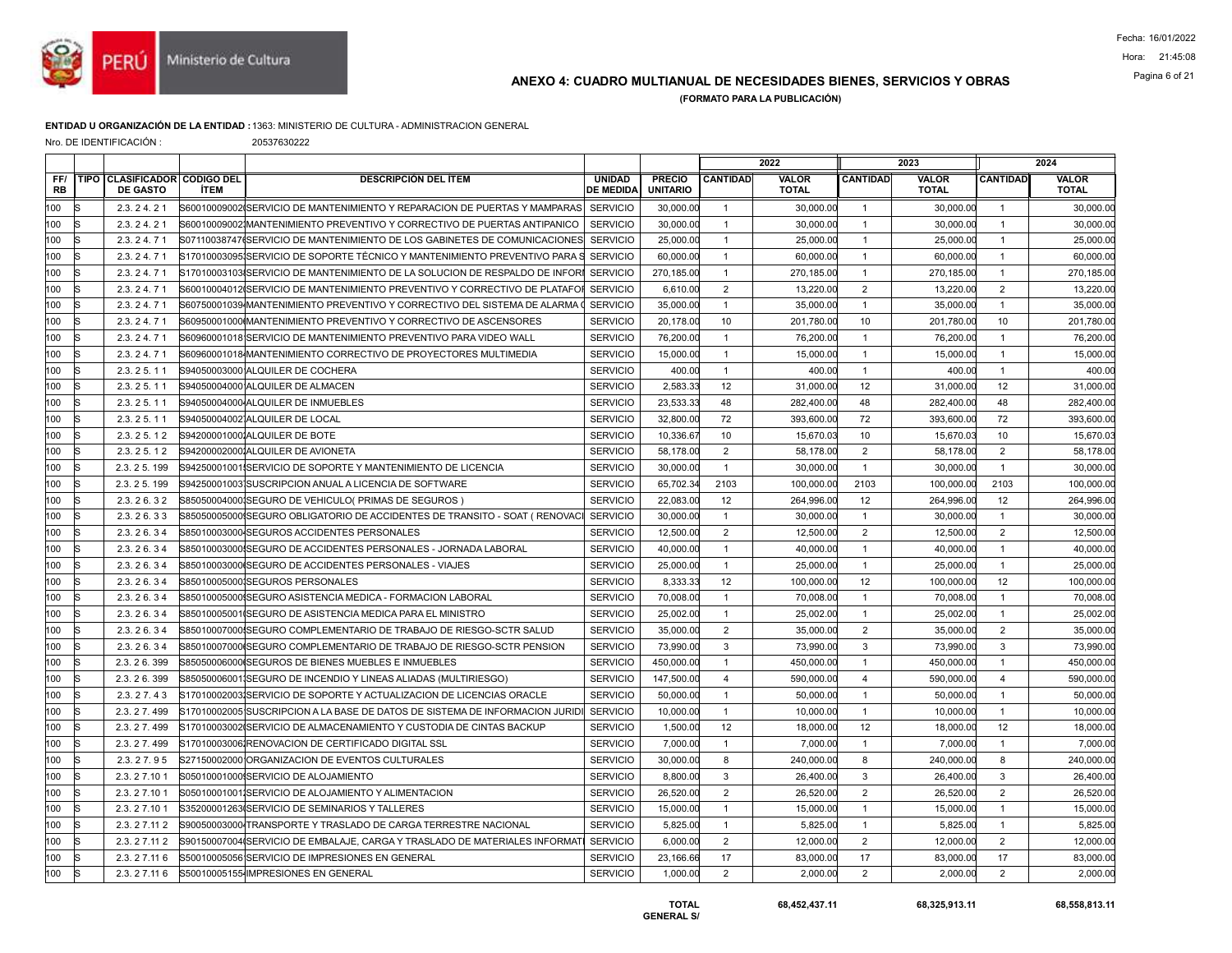

## ANEXO 4: CUADRO MULTIANUAL DE NECESIDADES BIENES, SERVICIOS Y OBRAS Pagina 6 of 21

(FORMATO PARA LA PUBLICACIÓN)

### ENTIDAD U ORGANIZACIÓN DE LA ENTIDAD :1363: MINISTERIO DE CULTURA - ADMINISTRACION GENERAL

Nro. DE IDENTIFICACIÓN : 20537630222

|                  |                                                 |             |                                                                              |                                   |                                  |                 | 2022                  |                 | 2023                         |                 | 2024                  |
|------------------|-------------------------------------------------|-------------|------------------------------------------------------------------------------|-----------------------------------|----------------------------------|-----------------|-----------------------|-----------------|------------------------------|-----------------|-----------------------|
| FF/<br><b>RB</b> | TIPO CLASIFICADOR CODIGO DEL<br><b>DE GASTO</b> | <b>İTEM</b> | <b>DESCRIPCIÓN DEL ÍTEM</b>                                                  | <b>UNIDAD</b><br><b>DE MEDIDA</b> | <b>PRECIO</b><br><b>UNITARIO</b> | <b>CANTIDAD</b> | VALOR<br><b>TOTAL</b> | <b>CANTIDAD</b> | <b>VALOR</b><br><b>TOTAL</b> | <b>CANTIDAD</b> | VALOR<br><b>TOTAL</b> |
| 100<br>R         | 2.3.24.21                                       |             | S60010009002 SERVICIO DE MANTENIMIENTO Y REPARACION DE PUERTAS Y MAMPARAS    | <b>SERVICIO</b>                   | 30,000.00                        | $\overline{1}$  | 30.000.00             | $\overline{1}$  | 30,000.00                    | $\overline{1}$  | 30,000.00             |
| 100<br>lS        | 2.3.24.21                                       |             | S600100090021MANTENIMIENTO PREVENTIVO Y CORRECTIVO DE PUERTAS ANTIPANICO     | <b>SERVICIO</b>                   | 30,000.00                        | $\mathbf{1}$    | 30,000.00             | $\mathbf{1}$    | 30,000.00                    | $\overline{1}$  | 30,000.00             |
| 100              | 2.3.24.71                                       |             | S07110038747(SERVICIO DE MANTENIMIENTO DE LOS GABINETES DE COMUNICACIONES    | <b>SERVICIO</b>                   | 25,000.00                        | $\overline{1}$  | 25,000.00             | $\overline{1}$  | 25,000.00                    | $\overline{1}$  | 25,000.00             |
| 100              | 2.3.24.71                                       |             | S17010003095ISERVICIO DE SOPORTE TÉCNICO Y MANTENIMIENTO PREVENTIVO PARA S   | <b>SERVICIO</b>                   | 60,000.00                        | $\mathbf{1}$    | 60,000.00             | $\mathbf{1}$    | 60,000.00                    | $\overline{1}$  | 60,000.00             |
| 100<br>lS        | 2.3.24.71                                       |             | S170100031031SERVICIO DE MANTENIMIENTO DE LA SOLUCION DE RESPALDO DE INFORI  | <b>SERVICIO</b>                   | 270,185.00                       | $\mathbf{1}$    | 270,185.00            | $\mathbf{1}$    | 270,185.00                   | $\overline{1}$  | 270,185.00            |
| 100              | 2.3.24.71                                       |             | S60010004012(SERVICIO DE MANTENIMIENTO PREVENTIVO Y CORRECTIVO DE PLATAFOR   | <b>SERVICIO</b>                   | 6,610.00                         | $\overline{2}$  | 13,220.00             | 2               | 13,220.00                    | 2               | 13,220.00             |
| 100              | 2.3.24.71                                       |             | S60750001039 MANTENIMIENTO PREVENTIVO Y CORRECTIVO DEL SISTEMA DE ALARMA     | <b>SERVICIO</b>                   | 35,000.00                        | $\overline{1}$  | 35,000.00             | $\mathbf{1}$    | 35,000.00                    | $\overline{1}$  | 35,000.00             |
| 100<br>lS        | 2.3.24.71                                       |             | S60950001000 MANTENIMIENTO PREVENTIVO Y CORRECTIVO DE ASCENSORES             | <b>SERVICIO</b>                   | 20,178.00                        | 10              | 201,780.00            | 10              | 201,780.00                   | 10              | 201,780.00            |
| 100              | 2.3.24.71                                       |             | S60960001018 SERVICIO DE MANTENIMIENTO PREVENTIVO PARA VIDEO WALL            | <b>SERVICIO</b>                   | 76,200.00                        | $\mathbf{1}$    | 76,200.00             | $\overline{1}$  | 76,200.00                    | $\overline{1}$  | 76,200.00             |
| 100              | 2.3.24.71                                       |             | S60960001018 MANTENIMIENTO CORRECTIVO DE PROYECTORES MULTIMEDIA              | <b>SERVICIO</b>                   | 15,000.00                        | $\overline{1}$  | 15,000.00             | $\overline{1}$  | 15,000.00                    | $\overline{1}$  | 15,000.00             |
| 100              | 2.3.25.11                                       |             | S94050003000 ALQUILER DE COCHERA                                             | <b>SERVICIO</b>                   | 400.00                           | $\overline{1}$  | 400.00                | $\mathbf{1}$    | 400.00                       | $\overline{1}$  | 400.00                |
| 100              | 2.3.25.11                                       |             | S94050004000 ALQUILER DE ALMACEN                                             | <b>SERVICIO</b>                   | 2.583.33                         | 12              | 31.000.00             | 12              | 31.000.00                    | 12              | 31,000.00             |
| 100              | 2.3.25.11                                       |             | S94050004000 ALQUILER DE INMUEBLES                                           | <b>SERVICIO</b>                   | 23,533.33                        | 48              | 282,400.00            | 48              | 282,400.00                   | 48              | 282.400.00            |
| 100              | 2.3.25.11                                       |             | S94050004002 ALQUILER DE LOCAL                                               | <b>SERVICIO</b>                   | 32,800.00                        | 72              | 393,600.00            | 72              | 393,600.00                   | 72              | 393,600.00            |
| 100              | 2.3.25.12                                       |             | S942000010001ALQUILER DE BOTE                                                | <b>SERVICIO</b>                   | 10,336.67                        | 10              | 15,670.03             | 10              | 15,670.03                    | 10              | 15,670.03             |
| 100              | 2.3.25.12                                       |             | S942000020001ALQUILER DE AVIONETA                                            | <b>SERVICIO</b>                   | 58,178.00                        | 2               | 58,178.00             | $\overline{2}$  | 58,178.00                    | 2               | 58,178.00             |
| 100              | 2.3.25.199                                      |             | S94250001001ISERVICIO DE SOPORTE Y MANTENIMIENTO DE LICENCIA                 | <b>SERVICIO</b>                   | 30,000.00                        | $\overline{1}$  | 30,000.00             | $\overline{1}$  | 30,000.00                    | $\overline{1}$  | 30,000.00             |
| 100              | 2.3.25.199                                      |             | S94250001003 SUSCRIPCION ANUAL A LICENCIA DE SOFTWARE                        | <b>SERVICIO</b>                   | 65,702.34                        | 2103            | 100.000.00            | 2103            | 100.000.00                   | 2103            | 100,000.00            |
| 100              | 2.3.26.32                                       |             | S85050004000ISEGURO DE VEHICULO( PRIMAS DE SEGUROS )                         | <b>SERVICIO</b>                   | 22,083.00                        | 12              | 264,996.00            | 12              | 264,996.00                   | 12              | 264,996.00            |
| 100              | 2.3.26.33                                       |             | S85050005000ISEGURO OBLIGATORIO DE ACCIDENTES DE TRANSITO - SOAT ( RENOVACI  | <b>SERVICIO</b>                   | 30,000.00                        | $\mathbf{1}$    | 30,000.00             | $\mathbf{1}$    | 30,000.00                    | $\overline{1}$  | 30,000.00             |
| 100              | 2.3.26.34                                       |             | S85010003000 SEGUROS ACCIDENTES PERSONALES                                   | <b>SERVICIO</b>                   | 12,500.00                        | 2               | 12,500.00             | 2               | 12,500.00                    | 2               | 12,500.00             |
| 100              | 2.3.26.34                                       |             | S85010003000 SEGURO DE ACCIDENTES PERSONALES - JORNADA LABORAL               | <b>SERVICIO</b>                   | 40,000.00                        | $\overline{1}$  | 40,000.00             | $\overline{1}$  | 40,000.00                    | $\overline{1}$  | 40,000.00             |
| 100              | 2.3.26.34                                       |             | S85010003000 SEGURO DE ACCIDENTES PERSONALES - VIAJES                        | <b>SERVICIO</b>                   | 25,000.00                        | $\overline{1}$  | 25,000.00             | $\mathbf{1}$    | 25,000.00                    | $\overline{1}$  | 25,000.00             |
| 100              | 2.3.26.34                                       |             | S85010005000ISEGUROS PERSONALES                                              | <b>SERVICIO</b>                   | 8.333.33                         | 12              | 100.000.00            | 12              | 100,000.00                   | 12              | 100.000.00            |
| 100              | 2.3.26.34                                       |             | S85010005000ISEGURO ASISTENCIA MEDICA - FORMACION LABORAL                    | <b>SERVICIO</b>                   | 70,008.00                        | $\overline{1}$  | 70,008.00             | $\overline{1}$  | 70,008.00                    | $\overline{1}$  | 70,008.00             |
| 100              | 2.3.26.34                                       |             | S85010005001 SEGURO DE ASISTENCIA MEDICA PARA EL MINISTRO                    | <b>SERVICIO</b>                   | 25,002.00                        | $\overline{1}$  | 25,002.00             | $\mathbf{1}$    | 25,002.00                    | $\overline{1}$  | 25,002.00             |
| 100              | 2.3.26.34                                       |             | S85010007000ISEGURO COMPLEMENTARIO DE TRABAJO DE RIESGO-SCTR SALUD           | <b>SERVICIO</b>                   | 35,000.00                        | $\overline{2}$  | 35,000.00             | $\overline{2}$  | 35,000.00                    | $\overline{2}$  | 35,000.00             |
| 100              | 2.3.26.34                                       |             | S85010007000ISEGURO COMPLEMENTARIO DE TRABAJO DE RIESGO-SCTR PENSION         | <b>SERVICIO</b>                   | 73,990.00                        | 3               | 73,990.00             | 3               | 73,990.00                    | $\mathbf{3}$    | 73,990.00             |
| 100              | 2.3.26.399                                      |             | S85050006000 SEGUROS DE BIENES MUEBLES E INMUEBLES                           | <b>SERVICIO</b>                   | 450,000.00                       | $\overline{1}$  | 450,000.00            | $\mathbf{1}$    | 450,000.00                   | $\overline{1}$  | 450,000.00            |
| 100              | 2.3.26.399                                      |             | S85050006001 SEGURO DE INCENDIO Y LINEAS ALIADAS (MULTIRIESGO)               | <b>SERVICIO</b>                   | 147,500.00                       | $\overline{4}$  | 590,000.00            | $\overline{4}$  | 590,000.00                   | $\overline{4}$  | 590,000.00            |
| 100              | 2.3.27.43                                       |             | S17010002003 SERVICIO DE SOPORTE Y ACTUALIZACION DE LICENCIAS ORACLE         | <b>SERVICIO</b>                   | 50,000.00                        | $\overline{1}$  | 50,000.00             | $\overline{1}$  | 50,000.00                    | $\overline{1}$  | 50,000.00             |
| 100              | 2.3.27.499                                      |             | S17010002005 SUSCRIPCION A LA BASE DE DATOS DE SISTEMA DE INFORMACION JURIDI | <b>SERVICIO</b>                   | 10,000.00                        | $\overline{1}$  | 10,000.00             | $\mathbf{1}$    | 10,000.00                    | $\overline{1}$  | 10,000.00             |
| 100              | 2.3.27.499                                      |             | S17010003002ISERVICIO DE ALMACENAMIENTO Y CUSTODIA DE CINTAS BACKUP          | <b>SERVICIO</b>                   | 1,500.00                         | 12              | 18,000.00             | 12              | 18,000.00                    | 12              | 18,000.00             |
| 100<br>lS        | 2.3.27.499                                      |             | S17010003006 RENOVACION DE CERTIFICADO DIGITAL SSL                           | <b>SERVICIO</b>                   | 7,000.00                         | $\mathbf{1}$    | 7,000.00              | $\mathbf{1}$    | 7,000.00                     | $\overline{1}$  | 7,000.00              |
| 100              | 2.3.27.95                                       |             | S27150002000 ORGANIZACION DE EVENTOS CULTURALES                              | <b>SERVICIO</b>                   | 30,000.00                        | 8               | 240,000.00            | 8               | 240,000.00                   | 8               | 240,000.00            |
| 100              | 2.3.27.101                                      |             | S05010001000ISERVICIO DE ALOJAMIENTO                                         | <b>SERVICIO</b>                   | 8,800.00                         | $\mathbf{3}$    | 26,400.00             | $\mathbf 3$     | 26,400.00                    | $\mathbf{3}$    | 26,400.00             |
| 100<br>lS        | 2.3.27.101                                      |             | S050100010011SERVICIO DE ALOJAMIENTO Y ALIMENTACION                          | <b>SERVICIO</b>                   | 26,520.00                        | $\overline{2}$  | 26,520.00             | $\overline{2}$  | 26,520.00                    | $\overline{2}$  | 26,520.00             |
| 100              | 2.3.27.101                                      |             | S35200001263ISERVICIO DE SEMINARIOS Y TALLERES                               | <b>SERVICIO</b>                   | 15,000.00                        | $\overline{1}$  | 15,000.00             | $\mathbf{1}$    | 15,000.00                    | $\overline{1}$  | 15,000.00             |
| 100              | 2.3.27.112                                      |             | S90050003000 TRANSPORTE Y TRASLADO DE CARGA TERRESTRE NACIONAL               | <b>SERVICIO</b>                   | 5,825.00                         | $\mathbf{1}$    | 5,825.00              | $\mathbf{1}$    | 5,825.00                     | $\overline{1}$  | 5,825.00              |
| 100<br>lS        | 2.3.27.112                                      |             | S90150007004(SERVICIO DE EMBALAJE, CARGA Y TRASLADO DE MATERIALES INFORMATI  | <b>SERVICIO</b>                   | 6,000.00                         | $\overline{2}$  | 12,000.00             | $\overline{2}$  | 12,000.00                    | 2               | 12,000.00             |
| 100              | 2.3.27.116                                      |             | S50010005056 SERVICIO DE IMPRESIONES EN GENERAL                              | <b>SERVICIO</b>                   | 23,166.66                        | 17              | 83,000.00             | 17              | 83,000.00                    | 17              | 83,000.00             |
| 100              | 2.3.27.116                                      |             | S50010005155 IMPRESIONES EN GENERAL                                          | <b>SERVICIO</b>                   | 1,000.00                         | $\overline{2}$  | 2,000.00              | $\overline{2}$  | 2,000.00                     | 2               | 2,000.00              |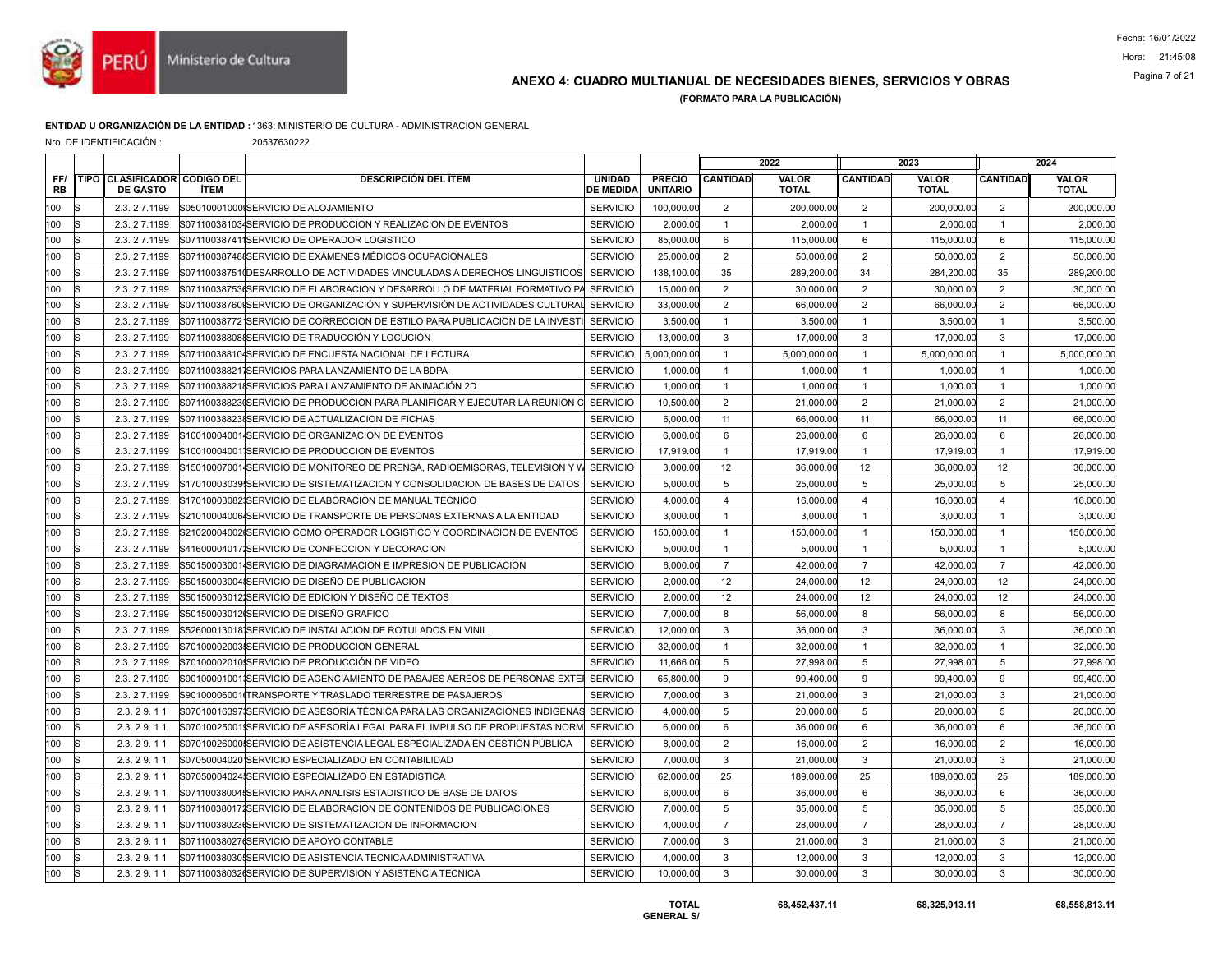

## ANEXO 4: CUADRO MULTIANUAL DE NECESIDADES BIENES, SERVICIOS Y OBRAS Pagina 7 of 21

(FORMATO PARA LA PUBLICACIÓN)

#### ENTIDAD U ORGANIZACIÓN DE LA ENTIDAD :1363: MINISTERIO DE CULTURA - ADMINISTRACION GENERAL

Nro. DE IDENTIFICACIÓN : 20537630222

|                  |    |                                                 |                                                                                             |                                   |                                  |                 | 2022                         |                 | 2023                         |                 | 2024                         |
|------------------|----|-------------------------------------------------|---------------------------------------------------------------------------------------------|-----------------------------------|----------------------------------|-----------------|------------------------------|-----------------|------------------------------|-----------------|------------------------------|
| FF/<br><b>RB</b> |    | TIPO CLASIFICADOR CODIGO DEL<br><b>DE GASTO</b> | <b>DESCRIPCIÓN DEL ÍTEM</b><br><b>ÍTEM</b>                                                  | <b>UNIDAD</b><br><b>DE MEDIDA</b> | <b>PRECIO</b><br><b>UNITARIO</b> | <b>CANTIDAD</b> | <b>VALOR</b><br><b>TOTAL</b> | <b>CANTIDAD</b> | <b>VALOR</b><br><b>TOTAL</b> | <b>CANTIDAD</b> | <b>VALOR</b><br><b>TOTAL</b> |
| 100              | R  | 2.3.27.1199                                     | S05010001000ISERVICIO DE ALOJAMIENTO                                                        | <b>SERVICIO</b>                   | 100,000.00                       | 2               | 200.000.00                   | 2               | 200.000.00                   | 2               | 200.000.00                   |
| 100              |    | 2.3.27.1199                                     | S07110038103 SERVICIO DE PRODUCCION Y REALIZACION DE EVENTOS                                | <b>SERVICIO</b>                   | 2,000.00                         | $\mathbf{1}$    | 2,000.00                     | $\overline{1}$  | 2,000.00                     | $\mathbf{1}$    | 2,000.00                     |
| 100              |    | 2.3.27.1199                                     | S071100387411SERVICIO DE OPERADOR LOGISTICO                                                 | <b>SERVICIO</b>                   | 85,000.00                        | 6               | 115,000.00                   | 6               | 115,000.00                   | 6               | 115,000.00                   |
| 100              |    | 2.3.27.1199                                     | S07110038748ISERVICIO DE EXÁMENES MÉDICOS OCUPACIONALES                                     | <b>SERVICIO</b>                   | 25,000.00                        | 2               | 50.000.00                    | 2               | 50,000.00                    | 2               | 50,000.00                    |
| 100              |    | 2.3.27.1199                                     | S07110038751(DESARROLLO DE ACTIVIDADES VINCULADAS A DERECHOS LINGUISTICOS                   | <b>SERVICIO</b>                   | 138,100.00                       | 35              | 289,200.00                   | 34              | 284,200.00                   | 35              | 289,200.00                   |
| 100              |    | 2.3.27.1199                                     | S07110038753(SERVICIO DE ELABORACION Y DESARROLLO DE MATERIAL FORMATIVO PA                  | <b>SERVICIO</b>                   | 15,000.00                        | $\overline{2}$  | 30,000.00                    | $\overline{2}$  | 30,000.00                    | 2               | 30,000.00                    |
| 100              |    | 2.3.27.1199                                     | S07110038760\$SERVICIO DE ORGANIZACIÓN Y SUPERVISIÓN DE ACTIVIDADES CULTURAL│ SERVICIO      |                                   | 33,000.00                        | $\overline{c}$  | 66,000.00                    | $\overline{2}$  | 66,000.00                    | $\overline{2}$  | 66,000.00                    |
| 100              |    | 2.3.27.1199                                     | S071100387721SERVICIO DE CORRECCION DE ESTILO PARA PUBLICACION DE LA INVESTI                | <b>SERVICIO</b>                   | 3,500.00                         | $\overline{1}$  | 3,500.00                     | $\overline{1}$  | 3,500.00                     | $\overline{1}$  | 3,500.00                     |
| 100              |    | 2.3.27.1199                                     | S071100388088SERVICIO DE TRADUCCIÓN Y LOCUCIÓN                                              | <b>SERVICIO</b>                   | 13,000.00                        | 3               | 17,000.00                    | $\mathbf{3}$    | 17,000.00                    | 3               | 17,000.00                    |
| 100              |    | 2.3.27.1199                                     | S071100388104SERVICIO DE ENCUESTA NACIONAL DE LECTURA                                       | <b>SERVICIO</b>                   | 5,000,000.00                     | $\mathbf{1}$    | 5,000,000.00                 | $\overline{1}$  | 5,000,000.00                 | $\mathbf{1}$    | 5,000,000.00                 |
| 100              | lS | 2.3.27.1199                                     | S071100388211SERVICIOS PARA LANZAMIENTO DE LA BDPA                                          | <b>SERVICIO</b>                   | 1,000.00                         | $\mathbf{1}$    | 1,000.00                     | $\overline{1}$  | 1,000.00                     | $\overline{1}$  | 1,000.00                     |
| 100              |    | 2.3.27.1199                                     | S071100388218SERVICIOS PARA LANZAMIENTO DE ANIMACIÓN 2D                                     | <b>SERVICIO</b>                   | 1,000.00                         | $\mathbf{1}$    | 1,000.00                     | $\overline{1}$  | 1,000.00                     | $\overline{1}$  | 1,000.00                     |
| 100              |    | 2.3.27.1199                                     | S07110038823(SERVICIO DE PRODUCCIÓN PARA PLANIFICAR Y EJECUTAR LA REUNIÓN C $\mid$ SERVICIO |                                   | 10,500.00                        | $\overline{c}$  | 21,000.00                    | $\overline{2}$  | 21,000.00                    | $\overline{2}$  | 21,000.00                    |
| 100              | lS | 2.3.27.1199                                     | S07110038823{SERVICIO DE ACTUALIZACION DE FICHAS                                            | <b>SERVICIO</b>                   | 6,000.00                         | 11              | 66,000.00                    | 11              | 66,000.00                    | 11              | 66,000.00                    |
| 100              |    | 2.3.27.1199                                     | S10010004001 SERVICIO DE ORGANIZACION DE EVENTOS                                            | <b>SERVICIO</b>                   | 6,000.00                         | 6               | 26,000.00                    | 6               | 26,000.00                    | 6               | 26,000.00                    |
| 100              |    | 2.3.27.1199                                     | S10010004001 SERVICIO DE PRODUCCION DE EVENTOS                                              | <b>SERVICIO</b>                   | 17,919.00                        | $\mathbf{1}$    | 17,919.00                    | $\overline{1}$  | 17,919.00                    | $\overline{1}$  | 17,919.0                     |
| 100              | lS | 2.3.27.1199                                     | S15010007001 SERVICIO DE MONITOREO DE PRENSA, RADIOEMISORAS, TELEVISION Y W                 | <b>SERVICIO</b>                   | 3,000.00                         | 12              | 36,000.00                    | 12              | 36,000.00                    | 12              | 36,000.00                    |
| 100              |    | 2.3.27.1199                                     | S17010003039ISERVICIO DE SISTEMATIZACION Y CONSOLIDACION DE BASES DE DATOS                  | <b>SERVICIO</b>                   | 5,000.00                         | 5               | 25,000.00                    | 5               | 25,000.00                    | 5               | 25,000.00                    |
| 100              |    | 2.3.27.1199                                     | S17010003082 SERVICIO DE ELABORACION DE MANUAL TECNICO                                      | <b>SERVICIO</b>                   | 4,000.00                         | $\overline{4}$  | 16,000.00                    | $\overline{4}$  | 16,000.00                    | $\overline{4}$  | 16,000.00                    |
| 100              | lS | 2.3.27.1199                                     | S21010004006 SERVICIO DE TRANSPORTE DE PERSONAS EXTERNAS A LA ENTIDAD                       | <b>SERVICIO</b>                   | 3,000.00                         | $\mathbf{1}$    | 3,000.00                     | $\overline{1}$  | 3,000.00                     | $\overline{1}$  | 3,000.00                     |
| 100              |    | 2.3.27.1199                                     | S21020004002ISERVICIO COMO OPERADOR LOGISTICO Y COORDINACION DE EVENTOS                     | <b>SERVICIO</b>                   | 150,000.00                       | $\mathbf{1}$    | 150,000.00                   | $\overline{1}$  | 150,000.00                   | $\mathbf{1}$    | 150,000.00                   |
| 100              |    | 2.3.27.1199                                     | S41600004017 SERVICIO DE CONFECCION Y DECORACION                                            | <b>SERVICIO</b>                   | 5,000.00                         | $\overline{1}$  | 5,000.00                     | $\overline{1}$  | 5,000.00                     | $\overline{1}$  | 5,000.00                     |
| 100              |    | 2.3.27.1199                                     | S50150003001 SERVICIO DE DIAGRAMACION E IMPRESION DE PUBLICACION                            | <b>SERVICIO</b>                   | 6,000.00                         | $\overline{7}$  | 42,000.00                    | $\overline{7}$  | 42,000.00                    | $\overline{7}$  | 42,000.00                    |
| 100              |    | 2.3.27.1199                                     | S50150003004ISERVICIO DE DISEÑO DE PUBLICACION                                              | <b>SERVICIO</b>                   | 2,000.00                         | 12              | 24.000.00                    | 12              | 24.000.00                    | 12              | 24,000.00                    |
| 100              |    | 2.3.27.1199                                     | S50150003012 SERVICIO DE EDICION Y DISEÑO DE TEXTOS                                         | <b>SERVICIO</b>                   | 2,000.00                         | 12              | 24,000.00                    | 12              | 24,000.00                    | 12              | 24,000.00                    |
| 100              |    | 2.3.27.1199                                     | S50150003012ISERVICIO DE DISEÑO GRAFICO                                                     | <b>SERVICIO</b>                   | 7,000.00                         | 8               | 56,000.00                    | 8               | 56,000.00                    | 8               | 56,000.00                    |
| 100              |    | 2.3.27.1199                                     | S52600013018 SERVICIO DE INSTALACION DE ROTULADOS EN VINIL                                  | <b>SERVICIO</b>                   | 12,000.00                        | 3               | 36,000.00                    | 3               | 36,000.00                    | 3               | 36,000.00                    |
| 100              |    | 2.3.27.1199                                     | S70100002003 SERVICIO DE PRODUCCION GENERAL                                                 | <b>SERVICIO</b>                   | 32,000.00                        | $\overline{1}$  | 32,000.00                    | $\overline{1}$  | 32,000.00                    | $\overline{1}$  | 32,000.00                    |
| 100              | s  | 2.3.27.1199                                     | S70100002010ISERVICIO DE PRODUCCIÓN DE VIDEO                                                | <b>SERVICIO</b>                   | 11,666.00                        | 5               | 27.998.00                    | $5\phantom{.0}$ | 27.998.00                    | 5               | 27,998.00                    |
| 100              | R  | 2.3.27.1199                                     | S90100001001¦SERVICIO DE AGENCIAMIENTO DE PASAJES AEREOS DE PERSONAS EXTEI                  | <b>SERVICIO</b>                   | 65,800.00                        | 9               | 99,400.00                    | 9               | 99,400.00                    | 9               | 99,400.00                    |
| 100              | R  | 2.3.27.1199                                     | S90100006001(TRANSPORTE Y TRASLADO TERRESTRE DE PASAJEROS                                   | <b>SERVICIO</b>                   | 7,000.00                         | 3               | 21,000.00                    | 3               | 21,000.00                    | 3               | 21,000.00                    |
| 100              |    | 2.3.29.11                                       | S07010016397 SERVICIO DE ASESORÍA TÉCNICA PARA LAS ORGANIZACIONES INDÍGENAS SERVICIO        |                                   | 4,000.00                         | 5               | 20,000.00                    | 5               | 20,000.00                    | 5               | 20,000.00                    |
| 100              | k  | 2.3.29.11                                       | S07010025001 SERVICIO DE ASESORÍA LEGAL PARA EL IMPULSO DE PROPUESTAS NORM SERVICIO         |                                   | 6,000.00                         | 6               | 36,000.00                    | 6               | 36,000.00                    | 6               | 36,000.00                    |
| 100              |    | 2.3.29.11                                       | S07010026000 SERVICIO DE ASISTENCIA LEGAL ESPECIALIZADA EN GESTIÓN PÚBLICA                  | <b>SERVICIO</b>                   | 8,000.00                         | $\overline{2}$  | 16,000.00                    | $\overline{2}$  | 16,000.00                    | 2               | 16,000.00                    |
| 100              |    | 2.3.29.11                                       | S07050004020 SERVICIO ESPECIALIZADO EN CONTABILIDAD                                         | <b>SERVICIO</b>                   | 7,000.00                         | 3               | 21,000.00                    | 3               | 21.000.00                    | 3               | 21,000.0                     |
| 100              | R  | 2.3.29.11                                       | S07050004024 SERVICIO ESPECIALIZADO EN ESTADISTICA                                          | <b>SERVICIO</b>                   | 62,000.00                        | 25              | 189,000.00                   | 25              | 189,000.00                   | 25              | 189,000.0                    |
| 100              |    | 2.3.29.11                                       | S071100380045SERVICIO PARA ANALISIS ESTADISTICO DE BASE DE DATOS                            | <b>SERVICIO</b>                   | 6,000.00                         | 6               | 36,000.00                    | 6               | 36,000.00                    | 6               | 36,000.00                    |
| 100              |    | 2.3.29.11                                       | S071100380171SERVICIO DE ELABORACION DE CONTENIDOS DE PUBLICACIONES                         | <b>SERVICIO</b>                   | 7,000.00                         | 5               | 35,000.00                    | 5               | 35,000.00                    | 5               | 35,000.00                    |
| 100              |    | 2.3.29.11                                       | S07110038023(SERVICIO DE SISTEMATIZACION DE INFORMACION                                     | <b>SERVICIO</b>                   | 4,000.00                         | $\overline{7}$  | 28,000.00                    | $\overline{7}$  | 28,000.00                    | $\overline{7}$  | 28,000.00                    |
| 100              | lS | 2.3.29.11                                       | S07110038027(SERVICIO DE APOYO CONTABLE                                                     | <b>SERVICIO</b>                   | 7,000.00                         | 3               | 21,000.00                    | 3               | 21,000.00                    | $\mathbf{3}$    | 21,000.00                    |
| 100              |    | 2.3.29.11                                       | S071100380305SERVICIO DE ASISTENCIA TECNICA ADMINISTRATIVA                                  | <b>SERVICIO</b>                   | 4,000.00                         | 3               | 12,000.00                    | 3               | 12,000.00                    | 3               | 12,000.00                    |
| 100              | IS | 2.3.29.11                                       | S07110038032(SERVICIO DE SUPERVISION Y ASISTENCIA TECNICA                                   | <b>SERVICIO</b>                   | 10,000.00                        | 3               | 30,000.00                    | 3               | 30,000.00                    | 3               | 30,000.00                    |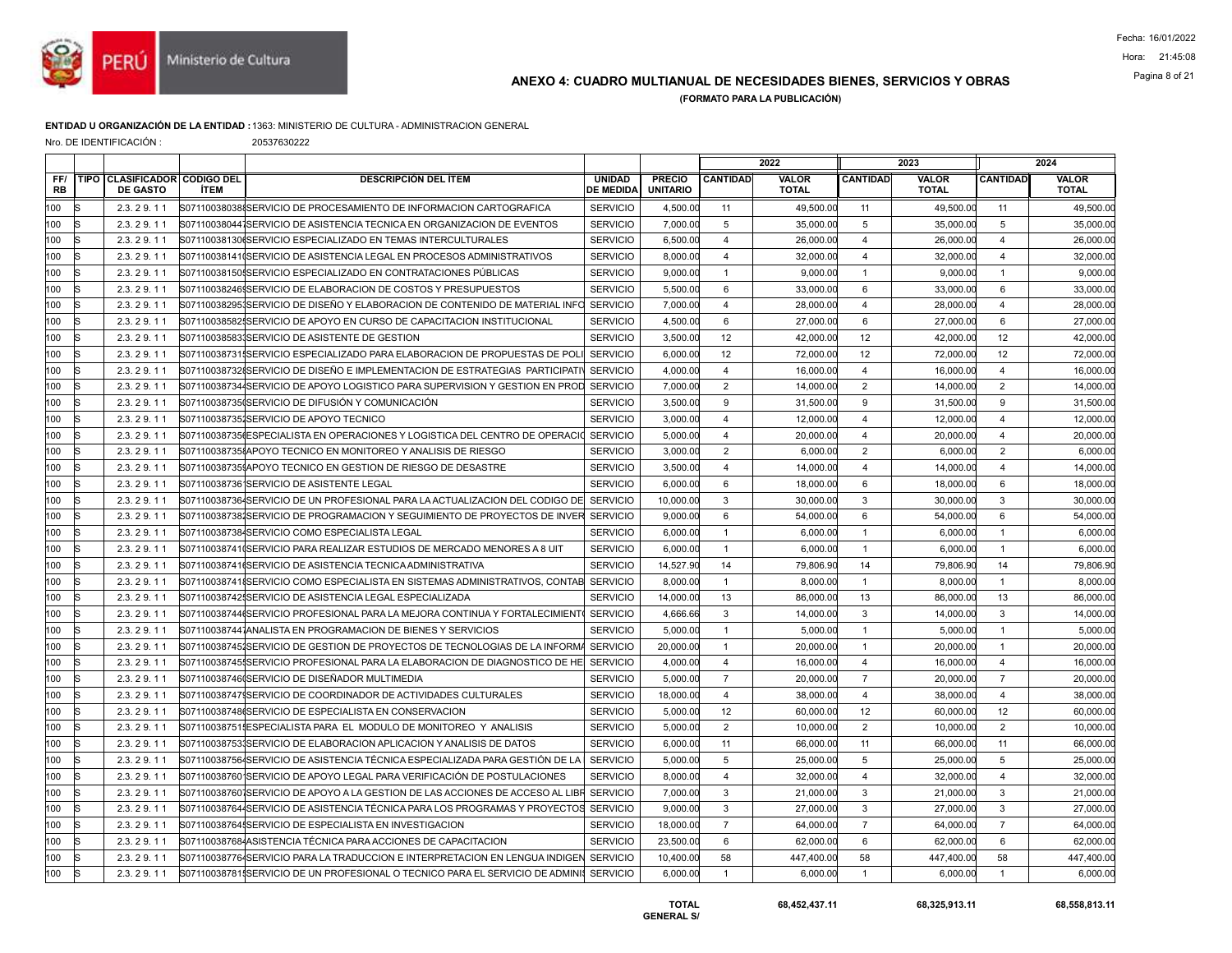

## ANEXO 4: CUADRO MULTIANUAL DE NECESIDADES BIENES, SERVICIOS Y OBRAS Pagina 8 of 21

(FORMATO PARA LA PUBLICACIÓN)

### ENTIDAD U ORGANIZACIÓN DE LA ENTIDAD :1363: MINISTERIO DE CULTURA - ADMINISTRACION GENERAL

Nro. DE IDENTIFICACIÓN : 20537630222

|                  |    |                                                 |                                                                                        |                                   |                                  |                 | 2022                  |                 | 2023                         |                 | 2024                         |
|------------------|----|-------------------------------------------------|----------------------------------------------------------------------------------------|-----------------------------------|----------------------------------|-----------------|-----------------------|-----------------|------------------------------|-----------------|------------------------------|
| FF/<br><b>RB</b> |    | TIPO CLASIFICADOR CODIGO DEL<br><b>DE GASTO</b> | <b>DESCRIPCIÓN DEL ÍTEM</b><br><b>İTEM</b>                                             | <b>UNIDAD</b><br><b>DE MEDIDA</b> | <b>PRECIO</b><br><b>UNITARIO</b> | <b>CANTIDAD</b> | VALOR<br><b>TOTAL</b> | <b>CANTIDAD</b> | <b>VALOR</b><br><b>TOTAL</b> | <b>CANTIDAD</b> | <b>VALOR</b><br><b>TOTAL</b> |
| 100              | R  | 2.3.29.11                                       | S07110038038ISERVICIO DE PROCESAMIENTO DE INFORMACION CARTOGRAFICA                     | <b>SERVICIO</b>                   | 4,500.00                         | 11              | 49,500.00             | 11              | 49,500.00                    | 11              | 49,500.00                    |
| 100              | lS | 2.3.29.11                                       | S071100380441SERVICIO DE ASISTENCIA TECNICA EN ORGANIZACION DE EVENTOS                 | <b>SERVICIO</b>                   | 7.000.00                         | 5               | 35,000.00             | 5               | 35,000.00                    | 5               | 35,000.00                    |
| 100              |    | 2.3.29.11                                       | S07110038130(SERVICIO ESPECIALIZADO EN TEMAS INTERCULTURALES                           | <b>SERVICIO</b>                   | 6,500.00                         | $\overline{4}$  | 26,000.00             | $\overline{4}$  | 26,000.00                    | $\overline{4}$  | 26,000.00                    |
| 100              |    | 2.3.29.11                                       | S071100381410SERVICIO DE ASISTENCIA LEGAL EN PROCESOS ADMINISTRATIVOS                  | <b>SERVICIO</b>                   | 8.000.00                         | $\overline{4}$  | 32,000.00             | $\overline{4}$  | 32,000.00                    | $\overline{4}$  | 32,000.00                    |
| 100              | lS | 2.3.29.11                                       | S071100381501SERVICIO ESPECIALIZADO EN CONTRATACIONES PÚBLICAS                         | <b>SERVICIO</b>                   | 9.000.00                         | $\mathbf{1}$    | 9.000.00              | $\mathbf{1}$    | 9.000.00                     | $\overline{1}$  | 9.000.00                     |
| 100              |    | 2.3.29.11                                       | S07110038246 SERVICIO DE ELABORACION DE COSTOS Y PRESUPUESTOS                          | <b>SERVICIO</b>                   | 5,500.00                         | 6               | 33,000.00             | 6               | 33,000.00                    | 6               | 33,000.00                    |
| 100              |    | 2.3.29.11                                       | S071100382953SERVICIO DE DISEÑO Y ELABORACION DE CONTENIDO DE MATERIAL INFO            | <b>SERVICIO</b>                   | 7,000.00                         | $\overline{4}$  | 28,000.00             | $\overline{4}$  | 28,000.00                    | $\overline{4}$  | 28,000.00                    |
| 100              | R  | 2.3.29.11                                       | S07110038582ISERVICIO DE APOYO EN CURSO DE CAPACITACION INSTITUCIONAL                  | <b>SERVICIO</b>                   | 4,500.00                         | 6               | 27,000.00             | 6               | 27,000.00                    | 6               | 27,000.00                    |
| 100              |    | 2.3.29.11                                       | S071100385831SERVICIO DE ASISTENTE DE GESTION                                          | <b>SERVICIO</b>                   | 3,500.00                         | 12              | 42,000.00             | 12              | 42,000.00                    | 12              | 42,000.00                    |
| 100              |    | 2.3.29.11                                       | S07110038731ISERVICIO ESPECIALIZADO PARA ELABORACION DE PROPUESTAS DE POL              | <b>SERVICIO</b>                   | 6,000.00                         | 12              | 72,000.00             | 12              | 72,000.00                    | 12              | 72,000.00                    |
| 100              | IS | 2.3.29.11                                       | S071100387328SERVICIO DE DISEÑO E IMPLEMENTACION DE ESTRATEGIAS PARTICIPATI            | <b>SERVICIO</b>                   | 4,000.00                         | $\overline{4}$  | 16,000.00             | $\overline{4}$  | 16,000.00                    | $\overline{4}$  | 16,000.00                    |
| 100              |    | 2.3.29.11                                       | S071100387344SERVICIO DE APOYO LOGISTICO PARA SUPERVISION Y GESTION EN PROD            | <b>SERVICIO</b>                   | 7,000.00                         | 2               | 14,000.00             | $\overline{2}$  | 14,000.00                    | $\overline{2}$  | 14,000.00                    |
| 100              |    | 2.3.29.11                                       | S07110038735(SERVICIO DE DIFUSIÓN Y COMUNICACIÓN                                       | <b>SERVICIO</b>                   | 3,500.00                         | 9               | 31,500.00             | 9               | 31,500.00                    | 9               | 31,500.00                    |
| 100              | R  | 2.3.29.11                                       | S071100387351SERVICIO DE APOYO TECNICO                                                 | <b>SERVICIO</b>                   | 3,000.00                         | $\overline{4}$  | 12,000.00             | $\overline{4}$  | 12,000.00                    | $\overline{4}$  | 12,000.00                    |
| 100              |    | 2.3.29.11                                       | S07110038735 ESPECIALISTA EN OPERACIONES Y LOGISTICA DEL CENTRO DE OPERACIO            | <b>SERVICIO</b>                   | 5,000.00                         | $\overline{4}$  | 20,000.00             | $\overline{4}$  | 20.000.00                    | $\overline{4}$  | 20,000.00                    |
| 100              |    | 2.3.29.11                                       | S071100387351APOYO TECNICO EN MONITOREO Y ANALISIS DE RIESGO                           | <b>SERVICIO</b>                   | 3,000.00                         | $\overline{2}$  | 6,000.00              | $\overline{2}$  | 6,000.00                     | $\overline{2}$  | 6,000.00                     |
| 100              | s  | 2.3.29.11                                       | S071100387351APOYO TECNICO EN GESTION DE RIESGO DE DESASTRE                            | <b>SERVICIO</b>                   | 3,500.00                         | $\overline{4}$  | 14,000.00             | $\overline{4}$  | 14,000.00                    | $\overline{4}$  | 14,000.00                    |
| 100              |    | 2.3.29.11                                       | S07110038736 SERVICIO DE ASISTENTE LEGAL                                               | <b>SERVICIO</b>                   | 6.000.00                         | 6               | 18,000.00             | 6               | 18,000.00                    | 6               | 18,000.00                    |
| 100              |    | 2.3.29.11                                       | S071100387364SERVICIO DE UN PROFESIONAL PARA LA ACTUALIZACION DEL CODIGO DE            | <b>SERVICIO</b>                   | 10,000.00                        | 3               | 30,000.00             | 3               | 30,000.00                    | 3               | 30,000.00                    |
| 100              |    | 2.3.29.11                                       | S071100387381SERVICIO DE PROGRAMACION Y SEGUIMIENTO DE PROYECTOS DE INVER              | <b>SERVICIO</b>                   | 9,000.00                         | 6               | 54,000.00             | 6               | 54,000.00                    | 6               | 54,000.00                    |
| 100              |    | 2.3.29.11                                       | S071100387384SERVICIO COMO ESPECIALISTA LEGAL                                          | <b>SERVICIO</b>                   | 6,000.00                         | $\mathbf{1}$    | 6.000.00              | $\mathbf{1}$    | 6.000.00                     | $\overline{1}$  | 6.000.00                     |
| 100              |    | 2.3.29.11                                       | S071100387410SERVICIO PARA REALIZAR ESTUDIOS DE MERCADO MENORES A 8 UIT                | <b>SERVICIO</b>                   | 6,000.00                         | $\mathbf{1}$    | 6,000.00              | $\mathbf{1}$    | 6,000.00                     | $\overline{1}$  | 6,000.00                     |
| 100              |    | 2.3.29.11                                       | S07110038741(SERVICIO DE ASISTENCIA TECNICA ADMINISTRATIVA                             | <b>SERVICIO</b>                   | 14,527.90                        | 14              | 79,806.90             | 14              | 79,806.90                    | 14              | 79,806.90                    |
| 100              |    | 2.3.29.11                                       | S071100387418SERVICIO COMO ESPECIALISTA EN SISTEMAS ADMINISTRATIVOS. CONTAB SERVICIO   |                                   | 8,000.00                         | $\overline{1}$  | 8.000.00              | $\mathbf{1}$    | 8.000.00                     | $\overline{1}$  | 8,000.00                     |
| 100              |    | 2.3.29.11                                       | S071100387425SERVICIO DE ASISTENCIA LEGAL ESPECIALIZADA                                | <b>SERVICIO</b>                   | 14,000.00                        | 13              | 86,000.00             | 13              | 86,000.00                    | 13              | 86,000.00                    |
| 100              |    | 2.3.29.11                                       | S07110038744(SERVICIO PROFESIONAL PARA LA MEJORA CONTINUA Y FORTALECIMIENT)            | <b>SERVICIO</b>                   | 4,666.66                         | $\mathbf{3}$    | 14,000.00             | 3               | 14,000.00                    | $\mathbf{3}$    | 14,000.00                    |
| 100              |    | 2.3.29.11                                       | S071100387441ANALISTA EN PROGRAMACION DE BIENES Y SERVICIOS                            | <b>SERVICIO</b>                   | 5,000.00                         | $\mathbf{1}$    | 5,000.00              | $\mathbf{1}$    | 5,000.00                     | $\overline{1}$  | 5,000.00                     |
| 100              |    | 2.3.29.11                                       | S071100387451SERVICIO DE GESTION DE PROYECTOS DE TECNOLOGIAS DE LA INFORMA SERVICIO    |                                   | 20,000.00                        | $\mathbf{1}$    | 20,000.00             | $\overline{1}$  | 20,000.00                    | $\overline{1}$  | 20,000.00                    |
| 100              |    | 2.3.29.11                                       | S071100387455SERVICIO PROFESIONAL PARA LA ELABORACION DE DIAGNOSTICO DE HE             | <b>SERVICIO</b>                   | 4,000.00                         | $\overline{4}$  | 16,000.00             | $\overline{4}$  | 16,000.00                    | $\overline{4}$  | 16,000.00                    |
| 100              | ls | 2.3.29.11                                       | S071100387460SERVICIO DE DISEÑADOR MULTIMEDIA                                          | <b>SERVICIO</b>                   | 5,000.00                         | $\overline{7}$  | 20,000.00             | $\overline{7}$  | 20,000.00                    | $\overline{7}$  | 20,000.00                    |
| 100              | R  | 2.3.29.11                                       | S071100387479SERVICIO DE COORDINADOR DE ACTIVIDADES CULTURALES                         | <b>SERVICIO</b>                   | 18,000.00                        | $\overline{4}$  | 38,000.00             | $\overline{4}$  | 38,000.00                    | $\overline{4}$  | 38,000.00                    |
| 100              |    | 2.3.29.11                                       | S07110038748(SERVICIO DE ESPECIALISTA EN CONSERVACION                                  | <b>SERVICIO</b>                   | 5,000.00                         | 12              | 60,000.00             | 12              | 60,000.00                    | 12              | 60,000.00                    |
| 100              | R  | 2.3.29.11                                       | S071100387511ESPECIALISTA PARA EL MODULO DE MONITOREO Y ANALISIS                       | <b>SERVICIO</b>                   | 5,000.00                         | 2               | 10,000.00             | $\overline{2}$  | 10,000.00                    | 2               | 10,000.00                    |
| 100              | R  | 2.3.29.11                                       | S071100387531SERVICIO DE ELABORACION APLICACION Y ANALISIS DE DATOS                    | <b>SERVICIO</b>                   | 6,000.00                         | 11              | 66,000.00             | 11              | 66,000.00                    | 11              | 66,000.00                    |
| 100              |    | 2.3.29.11                                       | S071100387564SERVICIO DE ASISTENCIA TÉCNICA ESPECIALIZADA PARA GESTIÓN DE LA           | <b>SERVICIO</b>                   | 5,000.00                         | 5               | 25,000.00             | 5               | 25,000.00                    | 5               | 25,000.00                    |
| 100              | lS | 2.3.29.11                                       | S071100387601SERVICIO DE APOYO LEGAL PARA VERIFICACIÓN DE POSTULACIONES                | <b>SERVICIO</b>                   | 8,000.00                         | 4               | 32,000.00             | $\overline{4}$  | 32,000.00                    | $\overline{4}$  | 32,000.00                    |
| 100              |    | 2.3.29.11                                       | S07110038760 SERVICIO DE APOYO A LA GESTION DE LAS ACCIONES DE ACCESO AL LIBR SERVICIO |                                   | 7,000.00                         | 3               | 21,000.00             | 3               | 21,000.00                    | 3               | 21,000.00                    |
| 100              |    | 2.3.29.11                                       | S071100387644SERVICIO DE ASISTENCIA TÉCNICA PARA LOS PROGRAMAS Y PROYECTOS SERVICIO    |                                   | 9,000.00                         | 3               | 27,000.00             | $\mathbf{3}$    | 27,000.00                    | 3               | 27,000.00                    |
| 100              | IS | 2.3.29.11                                       | S071100387641SERVICIO DE ESPECIALISTA EN INVESTIGACION                                 | <b>SERVICIO</b>                   | 18,000.00                        | $\overline{7}$  | 64,000.00             | $\overline{7}$  | 64,000.00                    | $\overline{7}$  | 64,000.00                    |
| 100              | ls | 2.3.29.11                                       | S071100387684ASISTENCIA TÉCNICA PARA ACCIONES DE CAPACITACION                          | <b>SERVICIO</b>                   | 23,500.00                        | 6               | 62,000.00             | 6               | 62,000.00                    | 6               | 62,000.00                    |
| 100              |    | 2.3.29.11                                       | S071100387764SERVICIO PARA LA TRADUCCION E INTERPRETACION EN LENGUA INDIGEN            | <b>SERVICIO</b>                   | 10,400.00                        | 58              | 447,400.00            | 58              | 447,400.00                   | 58              | 447,400.00                   |
| 100              | IS | 2.3.29.11                                       | S071100387811SERVICIO DE UN PROFESIONAL O TECNICO PARA EL SERVICIO DE ADMINI SERVICIO  |                                   | 6,000.00                         | $\mathbf{1}$    | 6,000.00              | $\mathbf{1}$    | 6,000.00                     | $\overline{1}$  | 6,000.00                     |
|                  |    |                                                 |                                                                                        |                                   |                                  |                 |                       |                 |                              |                 |                              |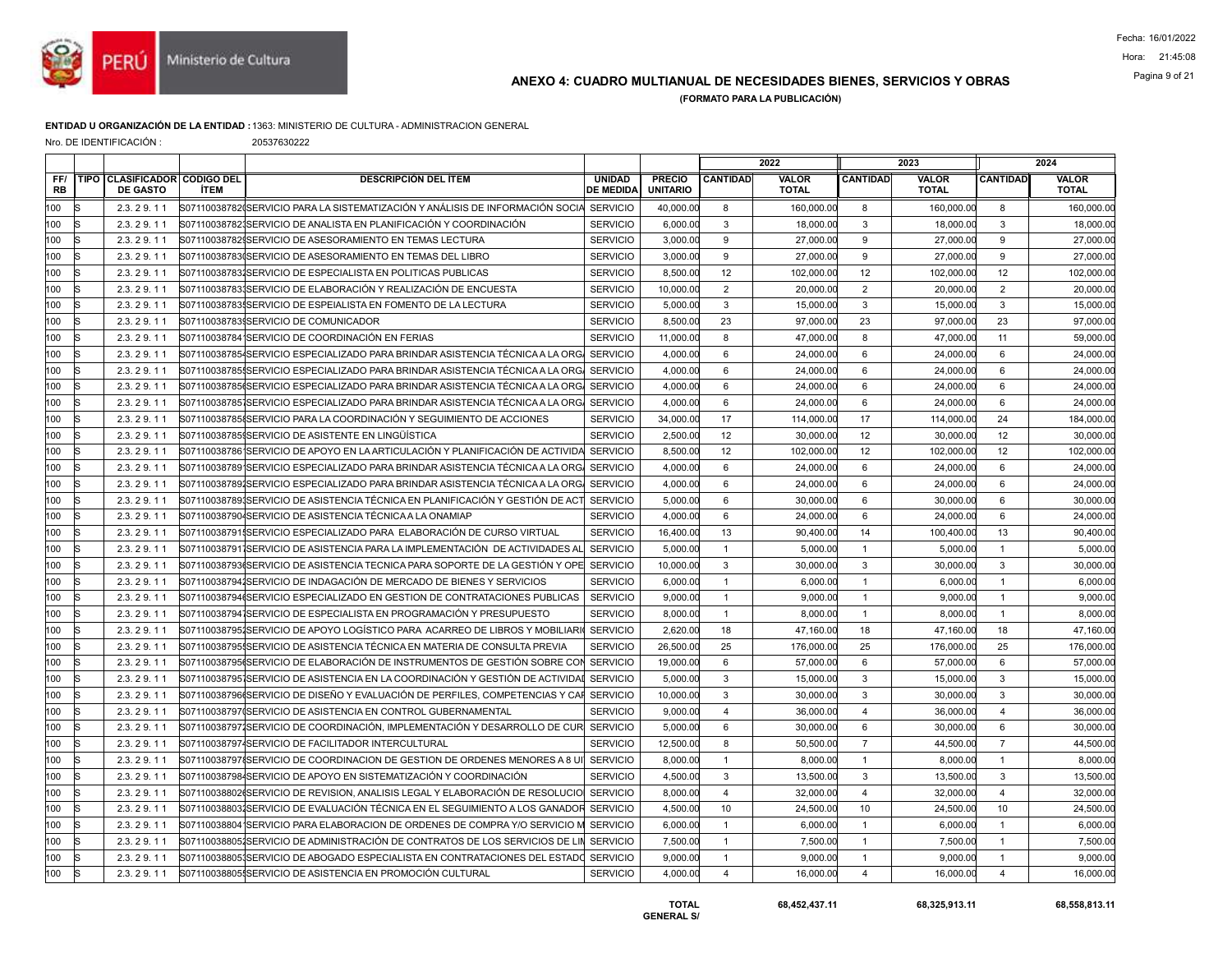

## ANEXO 4: CUADRO MULTIANUAL DE NECESIDADES BIENES, SERVICIOS Y OBRAS Pagina 9 of 21

(FORMATO PARA LA PUBLICACIÓN)

### ENTIDAD U ORGANIZACIÓN DE LA ENTIDAD :1363: MINISTERIO DE CULTURA - ADMINISTRACION GENERAL

Nro. DE IDENTIFICACIÓN : 20537630222

|                  |             |                                                   |      |                                                                                        |                                   |                                  |                 | 2022                         |                 | 2023                         |                 | 2024                         |
|------------------|-------------|---------------------------------------------------|------|----------------------------------------------------------------------------------------|-----------------------------------|----------------------------------|-----------------|------------------------------|-----------------|------------------------------|-----------------|------------------------------|
| FF/<br><b>RB</b> | <b>TIPO</b> | <b>CLASIFICADOR CODIGO DEL</b><br><b>DE GASTO</b> | ÍTEM | <b>DESCRIPCIÓN DEL ÍTEM</b>                                                            | <b>UNIDAD</b><br><b>DE MEDIDA</b> | <b>PRECIO</b><br><b>UNITARIO</b> | <b>CANTIDAD</b> | <b>VALOR</b><br><b>TOTAL</b> | <b>CANTIDAD</b> | <b>VALOR</b><br><b>TOTAL</b> | <b>CANTIDAD</b> | <b>VALOR</b><br><b>TOTAL</b> |
| 100              |             | 2.3.29.11                                         |      | S07110038782(SERVICIO PARA LA SISTEMATIZACIÓN Y ANÁLISIS DE INFORMACIÓN SOCIA SERVICIO |                                   | 40,000.00                        | 8               | 160,000.00                   | 8               | 160,000.00                   | 8               | 160,000.00                   |
| 100              |             | 2.3.29.11                                         |      | S071100387821SERVICIO DE ANALISTA EN PLANIFICACIÓN Y COORDINACIÓN                      | <b>SERVICIO</b>                   | 6,000.00                         | 3               | 18,000.00                    | 3               | 18,000.00                    | 3               | 18,000.00                    |
| 100              |             | 2.3.29.11                                         |      | S071100387829SERVICIO DE ASESORAMIENTO EN TEMAS LECTURA                                | <b>SERVICIO</b>                   | 3.000.00                         | 9               | 27,000.00                    | 9               | 27,000.00                    | 9               | 27,000.00                    |
| 100              |             | 2.3.29.11                                         |      | S07110038783(SERVICIO DE ASESORAMIENTO EN TEMAS DEL LIBRO                              | <b>SERVICIO</b>                   | 3,000.00                         | 9               | 27,000.00                    | 9               | 27,000.00                    | 9               | 27,000.0                     |
| 100              |             | 2.3.29.11                                         |      | S071100387831SERVICIO DE ESPECIALISTA EN POLITICAS PUBLICAS                            | <b>SERVICIO</b>                   | 8.500.00                         | 12              | 102,000.00                   | 12              | 102,000.00                   | 12              | 102,000.0                    |
| 100              |             | 2.3.29.11                                         |      | S071100387831SERVICIO DE ELABORACIÓN Y REALIZACIÓN DE ENCUESTA                         | <b>SERVICIO</b>                   | 10,000.00                        | $\overline{2}$  | 20,000.00                    | $\overline{2}$  | 20,000.00                    | $\overline{2}$  | 20,000.0                     |
| 100              |             | 2.3.29.11                                         |      | S07110038783ISERVICIO DE ESPEIALISTA EN FOMENTO DE LA LECTURA                          | <b>SERVICIO</b>                   | 5,000.00                         | 3               | 15,000.00                    | 3               | 15,000.00                    | 3               | 15,000.00                    |
| 100              |             | 2.3.29.11                                         |      | S07110038783ISERVICIO DE COMUNICADOR                                                   | <b>SERVICIO</b>                   | 8,500.00                         | 23              | 97.000.00                    | 23              | 97,000.00                    | 23              | 97,000.00                    |
| 100              |             | 2.3.29.11                                         |      | S07110038784 SERVICIO DE COORDINACIÓN EN FERIAS                                        | <b>SERVICIO</b>                   | 11,000.00                        | 8               | 47,000.00                    | 8               | 47,000.00                    | 11              | 59,000.00                    |
| 100              |             | 2.3.29.11                                         |      | S071100387854SERVICIO ESPECIALIZADO PARA BRINDAR ASISTENCIA TÉCNICA A LA ORG           | <b>SERVICIO</b>                   | 4,000.00                         | 6               | 24,000.00                    | 6               | 24,000.00                    | 6               | 24,000.00                    |
| 100              |             | 2.3.29.11                                         |      | S071100387851SERVICIO ESPECIALIZADO PARA BRINDAR ASISTENCIA TÉCNICA A LA ORG           | <b>SERVICIO</b>                   | 4,000.00                         | 6               | 24,000.00                    | 6               | 24,000.00                    | 6               | 24,000.00                    |
| 100              |             | 2.3.29.11                                         |      | S07110038785(SERVICIO ESPECIALIZADO PARA BRINDAR ASISTENCIA TÉCNICA A LA ORG           | <b>SERVICIO</b>                   | 4,000.00                         | 6               | 24,000.00                    | 6               | 24,000.00                    | 6               | 24,000.00                    |
| 100              |             | 2.3.29.11                                         |      | IS07110038785ISERVICIO ESPECIALIZADO PARA BRINDAR ASISTENCIA TÉCNICA A LA ORG          | <b>SERVICIO</b>                   | 4.000.00                         | 6               | 24,000.00                    | 6               | 24,000.00                    | 6               | 24,000.00                    |
| 100              |             | 2.3.29.11                                         |      | S07110038785{SERVICIO PARA LA COORDINACIÓN Y SEGUIMIENTO DE ACCIONES                   | <b>SERVICIO</b>                   | 34,000.00                        | 17              | 114,000.00                   | 17              | 114,000.00                   | 24              | 184,000.00                   |
| 100              |             | 2.3.29.11                                         |      | S07110038785 SERVICIO DE ASISTENTE EN LINGÜÍSTICA                                      | <b>SERVICIO</b>                   | 2,500.00                         | 12              | 30,000.00                    | 12              | 30,000.00                    | 12              | 30,000.00                    |
| 100              |             | 2.3.29.11                                         |      | S071100387861SERVICIO DE APOYO EN LA ARTICULACIÓN Y PLANIFICACIÓN DE ACTIVID/          | <b>SERVICIO</b>                   | 8.500.00                         | 12              | 102.000.00                   | 12              | 102.000.00                   | 12              | 102.000.00                   |
| 100              |             | 2.3.29.11                                         |      | S07110038789 SERVICIO ESPECIALIZADO PARA BRINDAR ASISTENCIA TÉCNICA A LA ORG           | <b>SERVICIO</b>                   | 4,000.00                         | 6               | 24,000.00                    | 6               | 24,000.00                    | 6               | 24,000.00                    |
| 100              |             | 2.3.29.11                                         |      | S071100387891SERVICIO ESPECIALIZADO PARA BRINDAR ASISTENCIA TÉCNICA A LA ORG           | <b>SERVICIO</b>                   | 4,000.00                         | 6               | 24.000.00                    | 6               | 24,000.00                    | 6               | 24,000.00                    |
| 100              |             | 2.3.29.11                                         |      | S071100387891SERVICIO DE ASISTENCIA TÉCNICA EN PLANIFICACIÓN Y GESTIÓN DE ACT          | <b>SERVICIO</b>                   | 5,000.00                         | 6               | 30,000.00                    | 6               | 30,000.00                    | 6               | 30,000.00                    |
| 100              |             | 2.3.29.11                                         |      | S071100387904SERVICIO DE ASISTENCIA TÉCNICA A LA ONAMIAP                               | <b>SERVICIO</b>                   | 4,000.00                         | 6               | 24,000.00                    | 6               | 24,000.00                    | 6               | 24,000.00                    |
| 100              |             | 2.3.29.11                                         |      | S071100387911SERVICIO ESPECIALIZADO PARA ELABORACIÓN DE CURSO VIRTUAL                  | <b>SERVICIO</b>                   | 16,400.00                        | 13              | 90.400.00                    | 14              | 100.400.00                   | 13              | 90.400.00                    |
| 100              |             | 2.3.29.11                                         |      | S071100387911SERVICIO DE ASISTENCIA PARA LA IMPLEMENTACIÓN DE ACTIVIDADES AI           | <b>SERVICIO</b>                   | 5,000.00                         | $\mathbf{1}$    | 5,000.00                     | $\mathbf{1}$    | 5,000.00                     | $\overline{1}$  | 5,000.00                     |
| 100              |             | 2.3.29.11                                         |      | S071100387936SERVICIO DE ASISTENCIA TECNICA PARA SOPORTE DE LA GESTIÓN Y OPE SERVICIO  |                                   | 10,000.00                        | $\mathbf{3}$    | 30,000.00                    | $\mathbf{3}$    | 30,000.00                    | 3               | 30,000.00                    |
| 100              |             | 2.3.29.11                                         |      | S071100387941SERVICIO DE INDAGACIÓN DE MERCADO DE BIENES Y SERVICIOS                   | <b>SERVICIO</b>                   | 6,000.00                         | $\mathbf{1}$    | 6,000.00                     | $\mathbf{1}$    | 6,000.00                     | $\mathbf{1}$    | 6,000.00                     |
| 100              |             | 2.3.29.11                                         |      | S07110038794(SERVICIO ESPECIALIZADO EN GESTION DE CONTRATACIONES PUBLICAS              | <b>SERVICIO</b>                   | 9,000.00                         | $\mathbf{1}$    | 9,000.00                     | $\overline{1}$  | 9,000.00                     | $\mathbf{1}$    | 9,000.00                     |
| 100              |             | 2.3.29.11                                         |      | S071100387941SERVICIO DE ESPECIALISTA EN PROGRAMACIÓN Y PRESUPUESTO                    | <b>SERVICIO</b>                   | 8.000.00                         | $\mathbf{1}$    | 8.000.00                     | $\mathbf{1}$    | 8.000.00                     | $\overline{1}$  | 8,000.0                      |
| 100              |             | 2.3.29.11                                         |      | S07110038795 SERVICIO DE APOYO LOGÍSTICO PARA ACARREO DE LIBROS Y MOBILIARI (SERVICIO  |                                   | 2,620.00                         | 18              | 47,160.00                    | 18              | 47,160.00                    | 18              | 47,160.00                    |
| 100              |             | 2.3.29.11                                         |      | S071100387955SERVICIO DE ASISTENCIA TÉCNICA EN MATERIA DE CONSULTA PREVIA              | <b>SERVICIO</b>                   | 26,500.00                        | 25              | 176,000.00                   | 25              | 176,000.00                   | 25              | 176,000.00                   |
| 100              |             | 2.3.29.11                                         |      | S07110038795 SERVICIO DE ELABORACIÓN DE INSTRUMENTOS DE GESTIÓN SOBRE CO               | <b>SERVICIO</b>                   | 19.000.00                        | 6               | 57,000.00                    | 6               | 57,000.00                    | 6               | 57,000.00                    |
| 100              | lS          | 2.3.29.11                                         |      | S07110038795 SERVICIO DE ASISTENCIA EN LA COORDINACIÓN Y GESTIÓN DE ACTIVIDAI SERVICIO |                                   | 5,000.00                         | 3               | 15,000.00                    | 3               | 15,000.00                    | 3               | 15,000.00                    |
| 100              |             | 2.3.29.11                                         |      | S07110038796(SERVICIO DE DISEÑO Y EVALUACIÓN DE PERFILES. COMPETENCIAS Y CAF           | <b>SERVICIO</b>                   | 10,000.00                        | 3               | 30,000.00                    | 3               | 30,000.00                    | $\mathbf{3}$    | 30,000.00                    |
| 100              |             | 2.3.29.11                                         |      | S07110038797(SERVICIO DE ASISTENCIA EN CONTROL GUBERNAMENTAL                           | <b>SERVICIO</b>                   | 9,000.00                         | $\overline{4}$  | 36,000.00                    | $\overline{4}$  | 36,000.00                    | $\overline{4}$  | 36,000.0                     |
| 100              |             | 2.3.29.11                                         |      | S071100387971SERVICIO DE COORDINACIÓN. IMPLEMENTACIÓN Y DESARROLLO DE CUR              | <b>SERVICIO</b>                   | 5,000.00                         | 6               | 30,000.00                    | 6               | 30,000.00                    | 6               | 30,000.00                    |
| 100              |             | 2.3.29.11                                         |      | S071100387974SERVICIO DE FACILITADOR INTERCULTURAL                                     | <b>SERVICIO</b>                   | 12.500.00                        | 8               | 50.500.00                    | $\overline{7}$  | 44.500.00                    | $\overline{7}$  | 44,500.00                    |
| 100              |             | 2.3.29.11                                         |      | S071100387978 SERVICIO DE COORDINACION DE GESTION DE ORDENES MENORES A 8 UI            | <b>SERVICIO</b>                   | 8,000.00                         | $\mathbf{1}$    | 8,000.00                     | $\overline{1}$  | 8,000.00                     | $\overline{1}$  | 8,000.00                     |
| 100              |             | 2.3.29.11                                         |      | S071100387984SERVICIO DE APOYO EN SISTEMATIZACIÓN Y COORDINACIÓN                       | <b>SERVICIO</b>                   | 4,500.00                         | $\mathsf 3$     | 13,500.00                    | $\mathbf{3}$    | 13,500.00                    | 3               | 13,500.0                     |
| 100              |             | 2.3.29.11                                         |      | S07110038802(SERVICIO DE REVISION, ANALISIS LEGAL Y ELABORACIÓN DE RESOLUCIO           | <b>SERVICIO</b>                   | 8,000.00                         | $\overline{4}$  | 32,000.00                    | $\overline{4}$  | 32,000.00                    | $\overline{4}$  | 32,000.00                    |
| 100              |             | 2.3.29.11                                         |      | S071100388031SERVICIO DE EVALUACIÓN TÉCNICA EN EL SEGUIMIENTO A LOS GANADOR            | <b>SERVICIO</b>                   | 4,500.00                         | 10              | 24,500.00                    | 10              | 24,500.00                    | 10              | 24,500.00                    |
| 100              |             | 2.3.29.11                                         |      | S071100388041SERVICIO PARA ELABORACION DE ORDENES DE COMPRA Y/O SERVICIO M             | <b>SERVICIO</b>                   | 6,000.00                         | $\mathbf{1}$    | 6,000.00                     | $\overline{1}$  | 6,000.00                     | $\overline{1}$  | 6,000.00                     |
| 100              |             | 2.3.29.11                                         |      | S071100388051SERVICIO DE ADMINISTRACIÓN DE CONTRATOS DE LOS SERVICIOS DE LIN           | <b>SERVICIO</b>                   | 7,500.00                         | $\mathbf{1}$    | 7,500.00                     | $\mathbf{1}$    | 7,500.00                     | $\overline{1}$  | 7,500.00                     |
| 100              |             | 2.3.29.11                                         |      | S071100388051SERVICIO DE ABOGADO ESPECIALISTA EN CONTRATACIONES DEL ESTADO SERVICIO    |                                   | 9,000.00                         | $\mathbf{1}$    | 9,000.00                     | $\overline{1}$  | 9,000.00                     | $\overline{1}$  | 9,000.00                     |
| 100              |             | 2.3.29.11                                         |      | S07110038805 SERVICIO DE ASISTENCIA EN PROMOCIÓN CULTURAL                              | <b>SERVICIO</b>                   | 4,000.00                         | $\overline{4}$  | 16,000.00                    | $\overline{4}$  | 16,000.00                    | $\overline{4}$  | 16,000.00                    |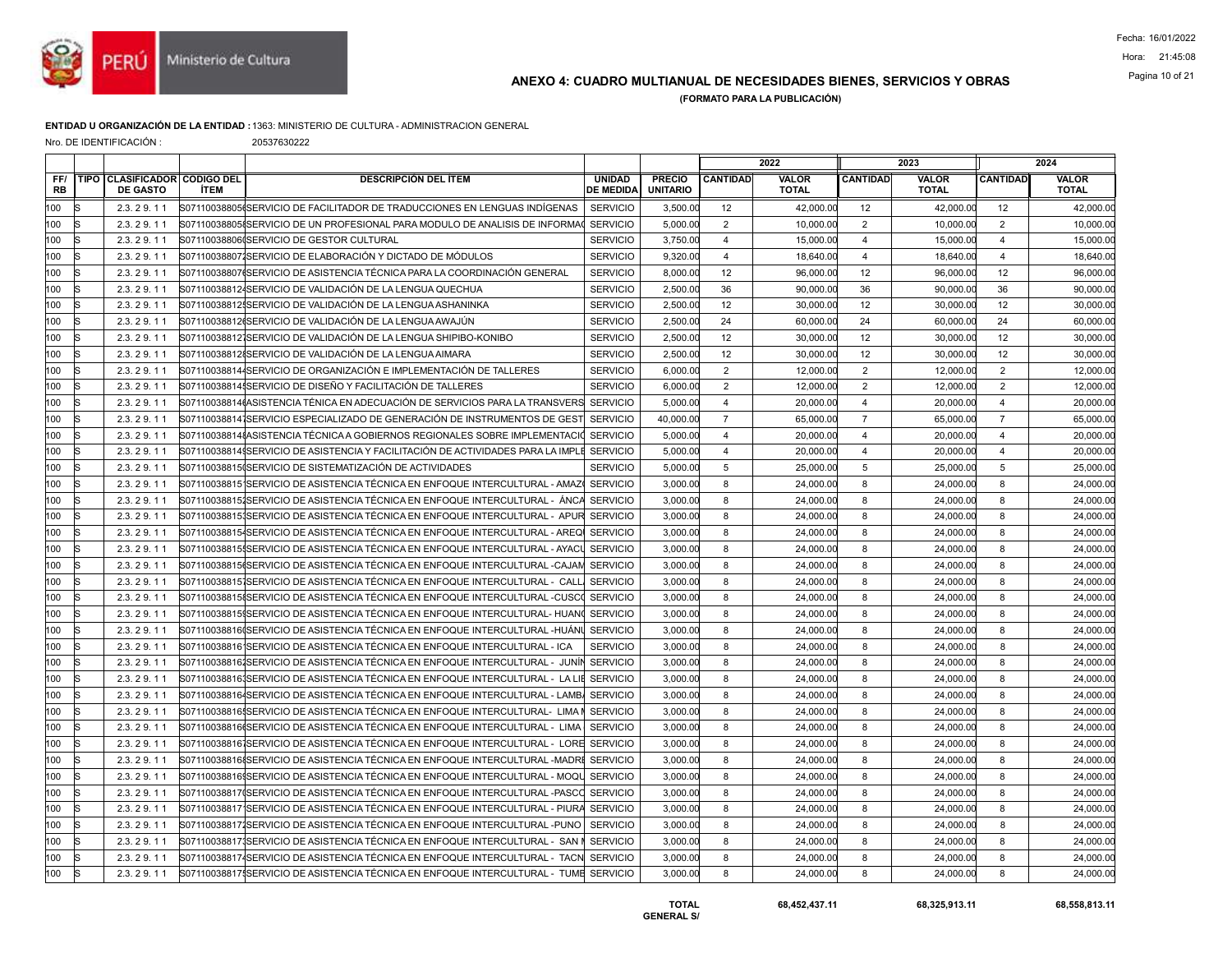

# Pagina 10 of 21 ANEXO 4: CUADRO MULTIANUAL DE NECESIDADES BIENES, SERVICIOS Y OBRAS

(FORMATO PARA LA PUBLICACIÓN)

### ENTIDAD U ORGANIZACIÓN DE LA ENTIDAD :1363: MINISTERIO DE CULTURA - ADMINISTRACION GENERAL

Nro. DE IDENTIFICACIÓN : 20537630222

|                  |                                                        |             |                                                                                      |                                   |                                  |                         | 2022                         |                 | 2023                         |                 | 2024                         |
|------------------|--------------------------------------------------------|-------------|--------------------------------------------------------------------------------------|-----------------------------------|----------------------------------|-------------------------|------------------------------|-----------------|------------------------------|-----------------|------------------------------|
| FF/<br><b>RB</b> | <b>TIPO CLASIFICADOR CODIGO DEL</b><br><b>DE GASTO</b> | <b>ÍTEM</b> | <b>DESCRIPCIÓN DEL ÍTEM</b>                                                          | <b>UNIDAD</b><br><b>DE MEDIDA</b> | <b>PRECIO</b><br><b>UNITARIO</b> | <b>CANTIDAD</b>         | <b>VALOR</b><br><b>TOTAL</b> | <b>CANTIDAD</b> | <b>VALOR</b><br><b>TOTAL</b> | <b>CANTIDAD</b> | <b>VALOR</b><br><b>TOTAL</b> |
| 100              | 2.3.29.11<br>lS                                        |             | S07110038805 (SERVICIO DE FACILITADOR DE TRADUCCIONES EN LENGUAS INDÍGENAS           | <b>SERVICIO</b>                   | 3,500.00                         | 12                      | 42,000.00                    | 12              | 42,000.00                    | 12              | 42,000.00                    |
| 100              | ls<br>2.3.29.11                                        |             | S07110038805 SERVICIO DE UN PROFESIONAL PARA MODULO DE ANALISIS DE INFORMAC          | <b>SERVICIO</b>                   | 5,000.00                         | $\overline{2}$          | 10,000.00                    | $\overline{2}$  | 10,000.00                    | $\overline{2}$  | 10,000.00                    |
| 100              | 2.3.29.11<br>S                                         |             | S07110038806(SERVICIO DE GESTOR CULTURAL                                             | <b>SERVICIO</b>                   | 3,750.00                         | $\overline{4}$          | 15,000.00                    | $\overline{4}$  | 15,000.00                    | $\overline{4}$  | 15,000.00                    |
| 100              | 2.3.29.11<br>lS                                        |             | S071100388071SERVICIO DE ELABORACIÓN Y DICTADO DE MÓDULOS                            | <b>SERVICIO</b>                   | 9,320.00                         | $\overline{4}$          | 18,640.00                    | $\overline{4}$  | 18,640.00                    | $\overline{4}$  | 18,640.0                     |
| 100              | ls<br>2.3.29.11                                        |             | S07110038807tSERVICIO DE ASISTENCIA TÉCNICA PARA LA COORDINACIÓN GENERAL             | <b>SERVICIO</b>                   | 8,000.00                         | 12                      | 96,000.00                    | 12              | 96,000.00                    | 12              | 96,000.00                    |
| 100              | 2.3.29.11<br>S                                         |             | S07110038812-SERVICIO DE VALIDACIÓN DE LA LENGUA QUECHUA                             | <b>SERVICIO</b>                   | 2,500.00                         | 36                      | 90,000.00                    | 36              | 90,000.00                    | 36              | 90,000.00                    |
| 100              | lS<br>2.3.29.11                                        |             | S071100388121SERVICIO DE VALIDACIÓN DE LA LENGUA ASHANINKA                           | <b>SERVICIO</b>                   | 2.500.00                         | 12                      | 30,000.00                    | 12              | 30,000.00                    | 12              | 30,000.0                     |
| 100              | ls<br>2.3.29.11                                        |             | S07110038812(SERVICIO DE VALIDACIÓN DE LA LENGUA AWAJÚN                              | <b>SERVICIO</b>                   | 2,500.00                         | 24                      | 60,000.00                    | 24              | 60,000.00                    | 24              | 60,000.00                    |
| 100              | 2.3.29.11<br>c                                         |             | S071100388121SERVICIO DE VALIDACIÓN DE LA LENGUA SHIPIBO-KONIBO                      | <b>SERVICIO</b>                   | 2,500.00                         | 12                      | 30,000.00                    | 12              | 30,000.00                    | 12              | 30,000.00                    |
| 100              | k<br>2.3.29.11                                         |             | S071100388128SERVICIO DE VALIDACIÓN DE LA LENGUA AIMARA                              | <b>SERVICIO</b>                   | 2,500.00                         | 12                      | 30,000.00                    | 12              | 30,000.00                    | 12              | 30,000.0                     |
| 100              | ls<br>2.3.29.11                                        |             | S071100388144SERVICIO DE ORGANIZACIÓN E IMPLEMENTACIÓN DE TALLERES                   | <b>SERVICIO</b>                   | 6,000.00                         | 2                       | 12,000.00                    | 2               | 12,000.00                    | 2               | 12,000.00                    |
| 100              | Ŀ<br>2.3.29.11                                         |             | S07110038814 SERVICIO DE DISEÑO Y FACILITACIÓN DE TALLERES                           | <b>SERVICIO</b>                   | 6,000.00                         | $\overline{2}$          | 12,000.00                    | 2               | 12,000.00                    | 2               | 12.000.00                    |
| 100              | S<br>2.3.29.11                                         |             | S07110038814(ASISTENCIA TÉNICA EN ADECUACIÓN DE SERVICIOS PARA LA TRANSVERS SERVICIO |                                   | 5,000.00                         | $\overline{\mathbf{A}}$ | 20,000.00                    | $\overline{4}$  | 20,000.00                    | $\overline{4}$  | 20,000.00                    |
| 100              | ls<br>2.3.29.11                                        |             | S071100388141SERVICIO ESPECIALIZADO DE GENERACIÓN DE INSTRUMENTOS DE GEST            | <b>SERVICIO</b>                   | 40,000.00                        | $\overline{7}$          | 65,000.00                    | $\overline{7}$  | 65,000.00                    | $\overline{7}$  | 65,000.00                    |
| 100              | 2.3.29.11<br>R                                         |             | S07110038814{ASISTENCIA TÉCNICA A GOBIERNOS REGIONALES SOBRE IMPLEMENTACIO           | <b>SERVICIO</b>                   | 5,000.00                         | $\overline{4}$          | 20,000.00                    | $\overline{4}$  | 20,000.00                    | $\overline{4}$  | 20,000.00                    |
| 100              | 2.3.29.11<br>lS                                        |             | S07110038814{SERVICIO DE ASISTENCIA Y FACILITACIÓN DE ACTIVIDADES PARA LA IMPLI      | <b>SERVICIO</b>                   | 5,000.00                         | $\overline{\mathbf{4}}$ | 20,000.00                    | $\overline{4}$  | 20,000.00                    | $\overline{4}$  | 20,000.00                    |
| 100              | ls<br>2.3.29.11                                        |             | S07110038815(SERVICIO DE SISTEMATIZACIÓN DE ACTIVIDADES                              | <b>SERVICIO</b>                   | 5,000.00                         | 5                       | 25,000.00                    | $5\phantom{.0}$ | 25,000.00                    | $5\phantom{.0}$ | 25,000.00                    |
| 100              | k<br>2.3.29.11                                         |             | S071100388151SERVICIO DE ASISTENCIA TÉCNICA EN ENFOQUE INTERCULTURAL - AMAZI         | <b>SERVICIO</b>                   | 3,000.00                         | 8                       | 24.000.00                    | 8               | 24,000.00                    | 8               | 24,000.00                    |
| 100              | 2.3.29.11<br>lS                                        |             | S071100388151SERVICIO DE ASISTENCIA TÉCNICA EN ENFOQUE INTERCULTURAL - ÁNC/          | <b>SERVICIO</b>                   | 3,000.00                         | 8                       | 24,000.00                    | 8               | 24,000.00                    | 8               | 24,000.00                    |
| 100              | 2.3.29.11<br>lS                                        |             | S071100388151SERVICIO DE ASISTENCIA TÉCNICA EN ENFOQUE INTERCULTURAL - APUR SERVICIO |                                   | 3,000.00                         | 8                       | 24,000.00                    | 8               | 24,000.00                    | 8               | 24,000.00                    |
| 100              | R<br>2.3.29.11                                         |             | S071100388154SERVICIO DE ASISTENCIA TÉCNICA EN ENFOQUE INTERCULTURAL - AREQ          | <b>SERVICIO</b>                   | 3,000.00                         | 8                       | 24,000.00                    | 8               | 24,000.00                    | 8               | 24,000.00                    |
| 100              | 2.3.29.11<br>S                                         |             | S07110038815ISERVICIO DE ASISTENCIA TÉCNICA EN ENFOQUE INTERCULTURAL - AYACI         | <b>SERVICIO</b>                   | 3,000.00                         | 8                       | 24,000.00                    | 8               | 24,000.00                    | 8               | 24,000.00                    |
| 100              | ls<br>2.3.29.11                                        |             | S07110038815(SERVICIO DE ASISTENCIA TÉCNICA EN ENFOQUE INTERCULTURAL -CAJAM          | <b>SERVICIO</b>                   | 3,000.00                         | 8                       | 24,000.00                    | 8               | 24,000.00                    | 8               | 24,000.00                    |
| 100              | k<br>2.3.29.11                                         |             | S071100388151SERVICIO DE ASISTENCIA TÉCNICA EN ENFOQUE INTERCULTURAL - CALL          | <b>SERVICIO</b>                   | 3.000.00                         | 8                       | 24.000.00                    | 8               | 24,000.00                    | 8               | 24,000.00                    |
| 100              | ls<br>2.3.29.11                                        |             | S07110038815{SERVICIO DE ASISTENCIA TÉCNICA EN ENFOQUE INTERCULTURAL -CUSCO          | <b>SERVICIO</b>                   | 3,000.00                         | 8                       | 24,000.00                    | 8               | 24,000.00                    | 8               | 24,000.00                    |
| 100              | 2.3.29.11<br>lS                                        |             | S07110038815 SERVICIO DE ASISTENCIA TÉCNICA EN ENFOQUE INTERCULTURAL- HUAN           | <b>SERVICIO</b>                   | 3,000.00                         | 8                       | 24,000.00                    | 8               | 24,000.00                    | 8               | 24,000.00                    |
| 100              | k<br>2.3.29.11                                         |             | S07110038816(SERVICIO DE ASISTENCIA TÉCNICA EN ENFOQUE INTERCULTURAL -HUÁNU          | <b>SERVICIO</b>                   | 3,000.00                         | 8                       | 24.000.00                    | 8               | 24,000.00                    | 8               | 24,000.00                    |
| 100              | k<br>2.3.29.11                                         |             | S071100388161SERVICIO DE ASISTENCIA TÉCNICA EN ENFOQUE INTERCULTURAL - ICA           | <b>SERVICIO</b>                   | 3,000.00                         | 8                       | 24,000.00                    | 8               | 24,000.00                    | 8               | 24,000.00                    |
| 100              | lS<br>2.3.29.11                                        |             | S07110038816JSERVICIO DE ASISTENCIA TÉCNICA EN ENFOQUE INTERCULTURAL - JUNÍ          | <b>SERVICIO</b>                   | 3,000.00                         | 8                       | 24,000.00                    | 8               | 24,000.00                    | 8               | 24,000.00                    |
| 100              | ls<br>2.3.29.11                                        |             | S071100388161SERVICIO DE ASISTENCIA TÉCNICA EN ENFOQUE INTERCULTURAL - LA L          | <b>SERVICIO</b>                   | 3.000.00                         | 8                       | 24.000.00                    | 8               | 24,000.00                    | 8               | 24,000.00                    |
| 100              | ls<br>2.3.29.11                                        |             | S071100388164SERVICIO DE ASISTENCIA TÉCNICA EN ENFOQUE INTERCULTURAL - LAMBA         | <b>SERVICIO</b>                   | 3,000.00                         | 8                       | 24,000.00                    | 8               | 24,000.00                    | 8               | 24,000.00                    |
| 100              | 2.3.29.11                                              |             | S071100388165SERVICIO DE ASISTENCIA TÉCNICA EN ENFOQUE INTERCULTURAL- LIMA           | <b>SERVICIO</b>                   | 3,000.00                         | 8                       | 24,000.00                    | 8               | 24,000.00                    | 8               | 24,000.00                    |
| 100              | 2.3.29.11<br>lS                                        |             | S07110038816(SERVICIO DE ASISTENCIA TÉCNICA EN ENFOQUE INTERCULTURAL - LIMA          | <b>SERVICIO</b>                   | 3,000.00                         | 8                       | 24,000.00                    | 8               | 24,000.00                    | 8               | 24,000.00                    |
| 100              | lS<br>2.3.29.11                                        |             | S071100388161SERVICIO DE ASISTENCIA TÉCNICA EN ENFOQUE INTERCULTURAL - LORE SERVICIO |                                   | 3,000.00                         | 8                       | 24,000.00                    | 8               | 24,000.00                    | 8               | 24,000.00                    |
| 100              | 2.3.29.11<br>S                                         |             | S07110038816≬SERVICIO DE ASISTENCIA TÉCNICA EN ENFOQUE INTERCULTURAL -MADRI          | <b>SERVICIO</b>                   | 3,000.00                         | 8                       | 24,000.00                    | 8               | 24,000.00                    | 8               | 24,000.00                    |
| 100              | k<br>2.3.29.11                                         |             | S07110038816(SERVICIO DE ASISTENCIA TÉCNICA EN ENFOQUE INTERCULTURAL - MOQU          | <b>SERVICIO</b>                   | 3,000.00                         | 8                       | 24,000.00                    | 8               | 24,000.00                    | 8               | 24,000.00                    |
| 100              | ls<br>2.3.29.11                                        |             | S07110038817(SERVICIO DE ASISTENCIA TÉCNICA EN ENFOQUE INTERCULTURAL -PASCO          | <b>SERVICIO</b>                   | 3,000.00                         | 8                       | 24,000.00                    | 8               | 24,000.00                    | 8               | 24,000.00                    |
| 100              | 2.3.29.11<br>R                                         |             | S071100388171SERVICIO DE ASISTENCIA TÉCNICA EN ENFOQUE INTERCULTURAL - PIURA         | <b>SERVICIO</b>                   | 3,000.00                         | 8                       | 24,000.00                    | 8               | 24,000.00                    | 8               | 24,000.00                    |
| 100              | ls<br>2.3.29.11                                        |             | S071100388171SERVICIO DE ASISTENCIA TÉCNICA EN ENFOQUE INTERCULTURAL -PUNO           | <b>SERVICIO</b>                   | 3,000.00                         | 8                       | 24,000.00                    | 8               | 24,000.00                    | 8               | 24,000.00                    |
| 100              | ls<br>2.3.29.11                                        |             | S071100388171SERVICIO DE ASISTENCIA TÉCNICA EN ENFOQUE INTERCULTURAL - SAN           | <b>SERVICIO</b>                   | 3,000.00                         | 8                       | 24,000.00                    | 8               | 24,000.00                    | 8               | 24,000.00                    |
| 100              | 2.3.29.11                                              |             | S071100388174SERVICIO DE ASISTENCIA TÉCNICA EN ENFOQUE INTERCULTURAL - TACN          | <b>SERVICIO</b>                   | 3,000.00                         | 8                       | 24,000.00                    | 8               | 24,000.00                    | 8               | 24,000.00                    |
| 100              | ls<br>2.3.29.11                                        |             | S07110038817{SERVICIO DE ASISTENCIA TÉCNICA EN ENFOQUE INTERCULTURAL - TUME SERVICIO |                                   | 3,000.00                         | 8                       | 24,000.00                    | 8               | 24,000.00                    | 8               | 24,000.00                    |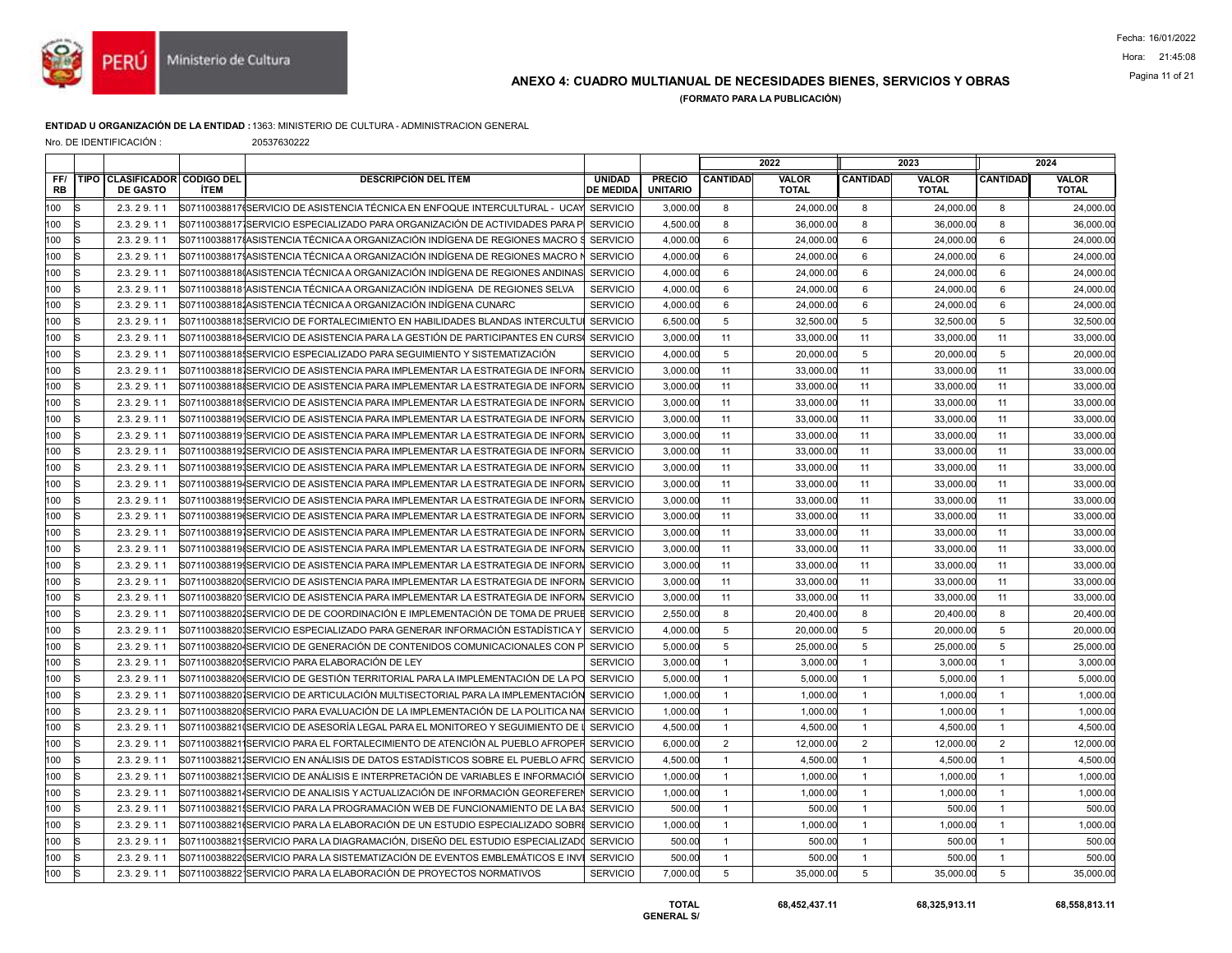

## ANEXO 4: CUADRO MULTIANUAL DE NECESIDADES BIENES, SERVICIOS Y OBRAS Pagina 11 of 21

(FORMATO PARA LA PUBLICACIÓN)

#### ENTIDAD U ORGANIZACIÓN DE LA ENTIDAD :1363: MINISTERIO DE CULTURA - ADMINISTRACION GENERAL

Nro. DE IDENTIFICACIÓN : 20537630222

|                  |    |                                                 |             |                                                                                        |                                   |                                  |                 | 2022                         |                 | 2023                         |                 | 2024                         |
|------------------|----|-------------------------------------------------|-------------|----------------------------------------------------------------------------------------|-----------------------------------|----------------------------------|-----------------|------------------------------|-----------------|------------------------------|-----------------|------------------------------|
| FF/<br><b>RB</b> |    | TIPO CLASIFICADOR CODIGO DEL<br><b>DE GASTO</b> | <b>İTEM</b> | <b>DESCRIPCIÓN DEL ÍTEM</b>                                                            | <b>UNIDAD</b><br><b>DE MEDIDA</b> | <b>PRECIO</b><br><b>UNITARIO</b> | <b>CANTIDAD</b> | <b>VALOR</b><br><b>TOTAL</b> | <b>CANTIDAD</b> | <b>VALOR</b><br><b>TOTAL</b> | <b>CANTIDAD</b> | <b>VALOR</b><br><b>TOTAL</b> |
| 100              | IS | 2.3.29.11                                       |             | S07110038817(SERVICIO DE ASISTENCIA TÉCNICA EN ENFOQUE INTERCULTURAL - UCAYI SERVICIO  |                                   | 3,000.00                         | 8               | 24,000.00                    | 8               | 24,000.00                    | 8               | 24,000.00                    |
| 100              | R  | 2.3.29.11                                       |             | S07110038817ISERVICIO ESPECIALIZADO PARA ORGANIZACIÓN DE ACTIVIDADES PARA P            | <b>SERVICIO</b>                   | 4,500.00                         | 8               | 36,000.00                    | 8               | 36,000.00                    | 8               | 36,000.00                    |
| 100              |    | 2.3.29.11                                       |             | S07110038817{ASISTENCIA TÉCNICA A ORGANIZACIÓN INDÍGENA DE REGIONES MACRO              | <b>SERVICIO</b>                   | 4,000.00                         | 6               | 24,000.00                    | 6               | 24,000.00                    | 6               | 24,000.00                    |
| 100              | R  | 2.3.29.11                                       |             | S071100388171ASISTENCIA TÉCNICA A ORGANIZACIÓN INDÍGENA DE REGIONES MACRO              | <b>SERVICIO</b>                   | 4,000.00                         | 6               | 24,000.00                    | 6               | 24,000.00                    | 6               | 24,000.00                    |
| 100              | R  | 2.3.29.11                                       |             | S07110038818(ASISTENCIA TÉCNICA A ORGANIZACIÓN INDÍGENA DE REGIONES ANDINAS            | <b>SERVICIO</b>                   | 4.000.00                         | 6               | 24.000.00                    | 6               | 24.000.00                    | 6               | 24,000.00                    |
| 100              |    | 2.3.29.11                                       |             | S07110038818 ASISTENCIA TÉCNICA A ORGANIZACIÓN INDÍGENA DE REGIONES SELVA              | <b>SERVICIO</b>                   | 4,000.00                         | 6               | 24,000.00                    | 6               | 24,000.00                    | 6               | 24,000.0                     |
| 100              | lS | 2.3.29.11                                       |             | S071100388181ASISTENCIA TÉCNICA A ORGANIZACIÓN INDÍGENA CUNARC                         | <b>SERVICIO</b>                   | 4,000.00                         | 6               | 24,000.00                    | 6               | 24,000.00                    | 6               | 24,000.0                     |
| 100              | lS | 2.3.29.11                                       |             | S071100388181SERVICIO DE FORTALECIMIENTO EN HABILIDADES BLANDAS INTERCULTU             | <b>SERVICIO</b>                   | 6.500.00                         | 5               | 32.500.00                    | 5               | 32,500.00                    | 5               | 32,500.00                    |
| 100              |    | 2.3.29.11                                       |             | S071100388184SERVICIO DE ASISTENCIA PARA LA GESTIÓN DE PARTICIPANTES EN CURS           | <b>SERVICIO</b>                   | 3,000.00                         | 11              | 33,000.00                    | 11              | 33,000.00                    | 11              | 33,000.00                    |
| 100              | IS | 2.3.29.11                                       |             | S07110038818ISERVICIO ESPECIALIZADO PARA SEGUIMIENTO Y SISTEMATIZACIÓN                 | <b>SERVICIO</b>                   | 4,000.00                         | 5               | 20,000.00                    | $5\phantom{.0}$ | 20,000.00                    | $\sqrt{5}$      | 20,000.00                    |
| 100              | lS | 2.3.29.11                                       |             | S071100388181SERVICIO DE ASISTENCIA PARA IMPLEMENTAR LA ESTRATEGIA DE INFORN SERVICIO  |                                   | 3.000.00                         | 11              | 33,000,00                    | 11              | 33.000.00                    | 11              | 33,000.00                    |
| 100              |    | 2.3.29.11                                       |             | S071100388188SERVICIO DE ASISTENCIA PARA IMPLEMENTAR LA ESTRATEGIA DE INFORN           | <b>SERVICIO</b>                   | 3,000.00                         | 11              | 33,000.00                    | 11              | 33,000.00                    | 11              | 33,000.00                    |
| 100              |    | 2.3.29.11                                       |             | S07110038818 SERVICIO DE ASISTENCIA PARA IMPLEMENTAR LA ESTRATEGIA DE INFORN           | <b>SERVICIO</b>                   | 3,000.00                         | 11              | 33,000.00                    | 11              | 33,000.00                    | 11              | 33,000.00                    |
| 100              | lS | 2.3.29.11                                       |             | S07110038819 SERVICIO DE ASISTENCIA PARA IMPLEMENTAR LA ESTRATEGIA DE INFORM SERVICIO  |                                   | 3,000.00                         | 11              | 33,000.00                    | 11              | 33,000.00                    | 11              | 33,000.00                    |
| 100              |    | 2.3.29.11                                       |             | S07110038819 SERVICIO DE ASISTENCIA PARA IMPLEMENTAR LA ESTRATEGIA DE INFORN           | <b>SERVICIO</b>                   | 3,000.00                         | 11              | 33,000.00                    | 11              | 33,000.00                    | 11              | 33,000.00                    |
| 100              |    | 2.3.29.11                                       |             | S07110038819/SERVICIO DE ASISTENCIA PARA IMPLEMENTAR LA ESTRATEGIA DE INFORI           | <b>SERVICIO</b>                   | 3,000.00                         | 11              | 33,000.00                    | 11              | 33,000.00                    | 11              | 33,000.00                    |
| 100              | lS | 2.3.29.11                                       |             | S071100388191SERVICIO DE ASISTENCIA PARA IMPLEMENTAR LA ESTRATEGIA DE INFORN SERVICIO  |                                   | 3,000.00                         | 11              | 33,000.00                    | 11              | 33,000.00                    | 11              | 33,000.00                    |
| 100              |    | 2.3.29.11                                       |             | S071100388194SERVICIO DE ASISTENCIA PARA IMPLEMENTAR LA ESTRATEGIA DE INFORM           | <b>SERVICIO</b>                   | 3,000.00                         | 11              | 33,000.00                    | 11              | 33,000.00                    | 11              | 33,000.00                    |
| 100              |    | 2.3.29.11                                       |             | S07110038819ISERVICIO DE ASISTENCIA PARA IMPLEMENTAR LA ESTRATEGIA DE INFORI           | <b>SERVICIO</b>                   | 3,000.00                         | 11              | 33,000.00                    | 11              | 33,000.00                    | 11              | 33,000.00                    |
| 100              | lS | 2.3.29.11                                       |             | S07110038819(SERVICIO DE ASISTENCIA PARA IMPLEMENTAR LA ESTRATEGIA DE INFORN SERVICIO  |                                   | 3,000.00                         | 11              | 33,000.00                    | 11              | 33,000.00                    | 11              | 33,000.00                    |
| 100              |    | 2.3.29.11                                       |             | S071100388191SERVICIO DE ASISTENCIA PARA IMPLEMENTAR LA ESTRATEGIA DE INFORM           | <b>SERVICIO</b>                   | 3,000.00                         | 11              | 33.000.00                    | 11              | 33,000.00                    | 11              | 33,000.00                    |
| 100              |    | 2.3.29.11                                       |             | S071100388198SERVICIO DE ASISTENCIA PARA IMPLEMENTAR LA ESTRATEGIA DE INFORI           | <b>SERVICIO</b>                   | 3,000.00                         | 11              | 33,000.00                    | 11              | 33,000.00                    | 11              | 33,000.00                    |
| 100              | IS | 2.3.29.11                                       |             | S07110038819 SERVICIO DE ASISTENCIA PARA IMPLEMENTAR LA ESTRATEGIA DE INFORN SERVICIO  |                                   | 3,000.00                         | 11              | 33,000.00                    | 11              | 33,000.00                    | 11              | 33,000.00                    |
| 100              |    | 2.3.29.11                                       |             | S071100388200SERVICIO DE ASISTENCIA PARA IMPLEMENTAR LA ESTRATEGIA DE INFORM           | <b>SERVICIO</b>                   | 3,000.00                         | 11              | 33.000.00                    | 11              | 33,000.00                    | 11              | 33,000.00                    |
| 100              |    | 2.3.29.11                                       |             | S071100388201SERVICIO DE ASISTENCIA PARA IMPLEMENTAR LA ESTRATEGIA DE INFORI           | <b>SERVICIO</b>                   | 3,000.00                         | 11              | 33,000.00                    | 11              | 33,000.00                    | 11              | 33,000.00                    |
| 100              |    | 2.3.29.11                                       |             | S071100388201SERVICIO DE DE COORDINACIÓN E IMPLEMENTACIÓN DE TOMA DE PRUEE SERVICIO    |                                   | 2,550.00                         | 8               | 20,400.00                    | 8               | 20,400.00                    | 8               | 20,400.00                    |
| 100              |    | 2.3.29.11                                       |             | S071100388201SERVICIO ESPECIALIZADO PARA GENERAR INFORMACIÓN ESTADÍSTICA Y             | <b>SERVICIO</b>                   | 4,000.00                         | 5               | 20,000,00                    | 5               | 20,000.00                    | 5               | 20,000.00                    |
| 100              |    | 2.3.29.11                                       |             | S071100388204SERVICIO DE GENERACIÓN DE CONTENIDOS COMUNICACIONALES CON P               | <b>SERVICIO</b>                   | 5.000.00                         | 5               | 25.000.00                    | 5               | 25,000.00                    | 5               | 25,000.00                    |
| 100              | s  | 2.3.29.11                                       |             | S071100388201SERVICIO PARA ELABORACIÓN DE LEY                                          | <b>SERVICIO</b>                   | 3,000.00                         | $\overline{1}$  | 3,000.00                     | $\overline{1}$  | 3,000.00                     | $\mathbf{1}$    | 3,000.00                     |
| 100              |    | 2.3.29.11                                       |             | S07110038820(SERVICIO DE GESTIÓN TERRITORIAL PARA LA IMPLEMENTACIÓN DE LA PO SERVICIO  |                                   | 5.000.00                         | $\overline{1}$  | 5.000.00                     | $\overline{1}$  | 5.000.00                     | $\overline{1}$  | 5.000.00                     |
| 100              | R  | 2.3.29.11                                       |             | S071100388201SERVICIO DE ARTICULACIÓN MULTISECTORIAL PARA LA IMPLEMENTACIÓN            | <b>SERVICIO</b>                   | 1,000.00                         | $\overline{1}$  | 1,000.00                     | $\mathbf{1}$    | 1,000.00                     | $\overline{1}$  | 1,000.00                     |
| 100              |    | 2.3.29.11                                       |             | S071100388208SERVICIO PARA EVALUACIÓN DE LA IMPLEMENTACIÓN DE LA POLITICA NA           | <b>SERVICIO</b>                   | 1,000.00                         | $\overline{1}$  | 1,000.00                     | $\overline{1}$  | 1,000.00                     | $\overline{1}$  | 1,000.00                     |
| 100              | ls | 2.3.29.11                                       |             | S07110038821(SERVICIO DE ASESORÍA LEGAL PARA EL MONITOREO Y SEGUIMIENTO DE             | <b>SERVICIO</b>                   | 4,500.00                         | $\overline{1}$  | 4.500.00                     | $\mathbf{1}$    | 4,500.00                     | $\overline{1}$  | 4,500.00                     |
| 100              |    | 2.3.29.11                                       |             | S071100388211SERVICIO PARA EL FORTALECIMIENTO DE ATENCIÓN AL PUEBLO AFROPER            | <b>SERVICIO</b>                   | 6,000.00                         | $\overline{2}$  | 12,000.00                    | $\overline{2}$  | 12,000.00                    | 2               | 12,000.00                    |
| 100              |    | 2.3.29.11                                       |             | S071100388211SERVICIO EN ANÁLISIS DE DATOS ESTADÍSTICOS SOBRE EL PUEBLO AFRO SERVICIO  |                                   | 4,500.00                         | $\overline{1}$  | 4,500.00                     | $\overline{1}$  | 4,500.00                     | $\overline{1}$  | 4,500.00                     |
| 100              | lS | 2.3.29.11                                       |             | S071100388211SERVICIO DE ANÁLISIS E INTERPRETACIÓN DE VARIABLES E INFORMACIÓ           | <b>SERVICIO</b>                   | 1,000.00                         | $\overline{1}$  | 1,000.00                     | $\overline{1}$  | 1,000.00                     | $\overline{1}$  | 1,000.00                     |
| 100              | R  | 2.3.29.11                                       |             | S071100388214SERVICIO DE ANALISIS Y ACTUALIZACIÓN DE INFORMACIÓN GEOREFEREN            | <b>SERVICIO</b>                   | 1,000.00                         | $\overline{1}$  | 1,000.00                     | $\mathbf{1}$    | 1,000.00                     | $\overline{1}$  | 1,000.00                     |
| 100              |    | 2.3.29.11                                       |             | S071100388211SERVICIO PARA LA PROGRAMACIÓN WEB DE FUNCIONAMIENTO DE LA BAS             | <b>SERVICIO</b>                   | 500.00                           | $\overline{1}$  | 500.00                       | $\overline{1}$  | 500.00                       | $\overline{1}$  | 500.00                       |
| 100              | ls | 2.3.29.11                                       |             | S07110038821{SERVICIO PARA LA ELABORACIÓN DE UN ESTUDIO ESPECIALIZADO SOBRE SERVICIO   |                                   | 1,000.00                         | $\overline{1}$  | 1,000.00                     | $\overline{1}$  | 1,000.00                     | $\overline{1}$  | 1,000.00                     |
| 100              | IS | 2.3.29.11                                       |             | S07110038821\$SERVICIO PARA LA DIAGRAMACIÓN. DISEÑO DEL ESTUDIO ESPECIALIZADO SERVICIO |                                   | 500.00                           | $\overline{1}$  | 500.00                       | $\overline{1}$  | 500.00                       | $\overline{1}$  | 500.00                       |
| 100              |    | 2.3.29.11                                       |             | S071100388220SERVICIO PARA LA SISTEMATIZACIÓN DE EVENTOS EMBLEMÁTICOS E INVI           | <b>SERVICIO</b>                   | 500.00                           | $\overline{1}$  | 500.00                       | $\overline{1}$  | 500.00                       | $\overline{1}$  | 500.00                       |
| 100              | ls | 2.3.29.11                                       |             | S07110038822 SERVICIO PARA LA ELABORACIÓN DE PROYECTOS NORMATIVOS                      | <b>SERVICIO</b>                   | 7,000.00                         | 5               | 35,000.00                    | 5               | 35,000.00                    | 5               | 35,000.00                    |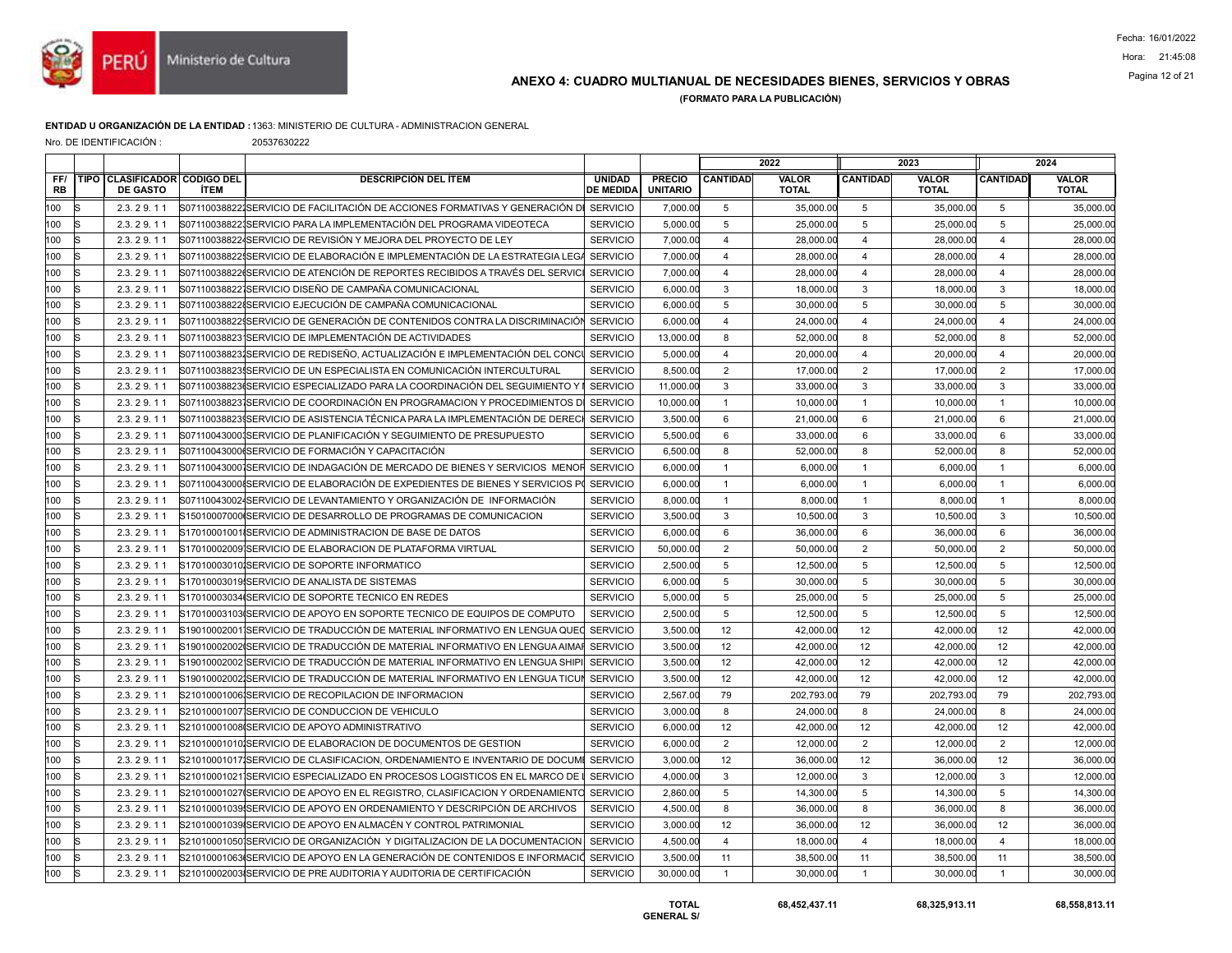

# Pagina 12 of 21 ANEXO 4: CUADRO MULTIANUAL DE NECESIDADES BIENES, SERVICIOS Y OBRAS

(FORMATO PARA LA PUBLICACIÓN)

#### ENTIDAD U ORGANIZACIÓN DE LA ENTIDAD :1363: MINISTERIO DE CULTURA - ADMINISTRACION GENERAL

Nro. DE IDENTIFICACIÓN : 20537630222

| TIPO CLASIFICADOR CODIGO DEL<br><b>DESCRIPCIÓN DEL ÍTEM</b><br><b>PRECIO</b><br><b>CANTIDAD</b><br><b>VALOR</b><br><b>CANTIDAD</b><br><b>VALOR</b><br><b>CANTIDAD</b><br><b>VALOR</b><br>FF/<br><b>UNIDAD</b><br><b>RB</b><br><b>DE GASTO</b><br><b>ÍTEM</b><br><b>DE MEDIDA</b><br><b>UNITARIO</b><br><b>TOTAL</b><br><b>TOTAL</b><br><b>TOTAL</b><br>100<br>S07110038822∤SERVICIO DE FACILITACIÓN DE ACCIONES FORMATIVAS Y GENERACIÓN D≬ SERVICIO<br>35,000.00<br>35,000.00<br>2.3.29.11<br>7,000.00<br>5<br>35,000.00<br>5<br>5<br>100<br>5<br>$5\phantom{.0}$<br>25,000.00<br>5<br>25,000.00<br>2.3.29.11<br>S071100388221SERVICIO PARA LA IMPLEMENTACIÓN DEL PROGRAMA VIDEOTECA<br><b>SERVICIO</b><br>5,000.00<br>25,000.00<br>100<br><b>SERVICIO</b><br>28,000.00<br>28,000.00<br>2.3.29.11<br>S071100388224SERVICIO DE REVISIÓN Y MEJORA DEL PROYECTO DE LEY<br>7,000.00<br>$\overline{4}$<br>28,000.00<br>$\overline{4}$<br>$\overline{\mathbf{4}}$<br>100<br>S07110038822ISERVICIO DE ELABORACIÓN E IMPLEMENTACIÓN DE LA ESTRATEGIA LEG.<br><b>SERVICIO</b><br>$\overline{4}$<br>28,000.00<br>2.3.29.11<br>7,000.00<br>4<br>28,000.00<br>28,000.00<br>4<br>$\overline{4}$<br>28,000.00<br>100<br>2.3.29.11<br>S07110038822(SERVICIO DE ATENCIÓN DE REPORTES RECIBIDOS A TRAVÉS DEL SERVICI<br><b>SERVICIO</b><br>7,000.00<br>$\overline{4}$<br>28,000.00<br>28,000.00<br>$\overline{4}$<br>3<br>3<br>3<br>18,000.00<br>100<br><b>SERVICIO</b><br>18,000.00<br>2.3.29.11<br>S07110038822ISERVICIO DISEÑO DE CAMPAÑA COMUNICACIONAL<br>6,000.00<br>18,000.00<br>100<br>$5\phantom{.0}$<br>S071100388228SERVICIO EJECUCIÓN DE CAMPAÑA COMUNICACIONAL<br><b>SERVICIO</b><br>5<br>30,000.00<br>5<br>30,000.00<br>2.3.29.11<br>6,000.00<br>30,000.00<br>100<br>2.3.29.11<br>S07110038822\$SERVICIO DE GENERACIÓN DE CONTENIDOS CONTRA LA DISCRIMINACIÓN SERVICIO<br>6,000.00<br>$\overline{4}$<br>24,000.00<br>$\overline{4}$<br>24,000.00<br>$\overline{4}$<br>24,000.00<br>8<br>100<br><b>SERVICIO</b><br>8<br>8<br>52,000.00<br>52,000.00<br>2.3.29.11<br>S07110038823 SERVICIO DE IMPLEMENTACIÓN DE ACTIVIDADES<br>13,000.00<br>52,000.00<br>100<br>20,000.00<br>2.3.29.11<br>S071100388231SERVICIO DE REDISEÑO. ACTUALIZACIÓN E IMPLEMENTACIÓN DEL CONC<br><b>SERVICIO</b><br>$\overline{4}$<br>20,000.00<br>$\overline{4}$<br>20,000.00<br>$\overline{4}$<br>5,000.00<br>$\sqrt{2}$<br>$\overline{2}$<br>$\overline{2}$<br>17,000.00<br>100<br>2.3.29.11<br>S07110038823ISERVICIO DE UN ESPECIALISTA EN COMUNICACIÓN INTERCULTURAL<br><b>SERVICIO</b><br>8,500.00<br>17,000.00<br>17,000.00<br>$\mathbf{3}$<br>3<br>3<br>100<br><b>SERVICIO</b><br>33,000.00<br>33,000.00<br>2.3.29.11<br>S07110038823(SERVICIO ESPECIALIZADO PARA LA COORDINACIÓN DEL SEGUIMIENTO Y<br>11,000.00<br>33,000.00<br>100<br>2.3.29.11<br>S07110038823 SERVICIO DE COORDINACIÓN EN PROGRAMACION Y PROCEDIMIENTOS D<br><b>SERVICIO</b><br>10,000.00<br>$\overline{1}$<br>10,000.00<br>$\mathbf{1}$<br>10,000.00<br>$\overline{1}$<br>10,000.00<br><b>SERVICIO</b><br>6<br>6<br>6<br>21,000.00<br>100<br>2.3.29.11<br>S07110038823∮SERVICIO DE ASISTENCIA TÉCNICA PARA LA IMPLEMENTACIÓN DE DERECI<br>3,500.00<br>21,000.00<br>21,000.00<br>100<br><b>SERVICIO</b><br>6<br>6<br>6<br>33,000.00<br>2.3.29.11<br>S071100430001SERVICIO DE PLANIFICACIÓN Y SEGUIMIENTO DE PRESUPUESTO<br>33,000.00<br>33,000.00<br>5,500.00<br>100<br>S07110043000(SERVICIO DE FORMACIÓN Y CAPACITACIÓN<br><b>SERVICIO</b><br>8<br>52,000.00<br>8<br>52,000.00<br>8<br>52,000.00<br>2.3.29.11<br>6,500.00<br>$\overline{1}$<br>6,000.00<br>100<br>2.3.29.11<br>S071100430001SERVICIO DE INDAGACIÓN DE MERCADO DE BIENES Y SERVICIOS MENOF<br><b>SERVICIO</b><br>6,000.00<br>$\mathbf{1}$<br>6,000.00<br>$\overline{1}$<br>6.000.00<br>100<br><b>SERVICIO</b><br>$\mathbf{1}$<br>6,000.00<br>2.3.29.11<br>S07110043000{SERVICIO DE ELABORACIÓN DE EXPEDIENTES DE BIENES Y SERVICIOS P<br>6,000.00<br>$\mathbf{1}$<br>6,000.00<br>6,000.00<br>$\mathbf{1}$<br>100<br>S071100430024SERVICIO DE LEVANTAMIENTO Y ORGANIZACIÓN DE INFORMACIÓN<br><b>SERVICIO</b><br>8,000.00<br>8,000.00<br>8,000.00<br>2.3.29.11<br>8,000.00<br>$\mathbf{1}$<br>$\overline{1}$<br>$\overline{1}$<br>3<br>3<br>3<br>10,500.00<br>100<br><b>SERVICIO</b><br>10,500.00<br>10,500.00<br>2.3.29.11<br>S15010007000ISERVICIO DE DESARROLLO DE PROGRAMAS DE COMUNICACION<br>3,500.00<br>100<br><b>SERVICIO</b><br>6<br>6<br>36,000.00<br>6<br>36,000.00<br>2.3.29.11<br>S17010001001ISERVICIO DE ADMINISTRACION DE BASE DE DATOS<br>6,000.00<br>36,000.00<br>2<br>100<br>2.3.29.11<br>S17010002009ISERVICIO DE ELABORACION DE PLATAFORMA VIRTUAL<br><b>SERVICIO</b><br>50,000.00<br>$\overline{2}$<br>50,000.00<br>$\overline{2}$<br>50,000.00<br>50,000.00<br>100<br>5<br>5<br>5<br>12.500.00<br>S17010003010ISERVICIO DE SOPORTE INFORMATICO<br><b>SERVICIO</b><br>2.500.00<br>12,500.00<br>12,500.00<br>2.3.29.11<br>100<br>5<br>5<br>5<br>30,000.00<br>2.3.29.11<br>S17010003019 SERVICIO DE ANALISTA DE SISTEMAS<br><b>SERVICIO</b><br>6,000.00<br>30,000.00<br>30,000.00<br>5<br>5<br>5<br>100<br><b>SERVICIO</b><br>25,000.00<br>25,000.00<br>25,000.00<br>2.3.29.11<br>S17010003034 SERVICIO DE SOPORTE TECNICO EN REDES<br>5,000.00<br>100<br><b>SERVICIO</b><br>5<br>5<br>12,500.00<br>5<br>12,500.00<br>S17010003103 (SERVICIO DE APOYO EN SOPORTE TECNICO DE EQUIPOS DE COMPUTO<br>2,500.00<br>12,500.00<br>2.3.29.11<br>12<br>12<br>42,000.00<br>100<br>2.3.29.11<br>S19010002001 SERVICIO DE TRADUCCIÓN DE MATERIAL INFORMATIVO EN LENGUA QUE(<br><b>SERVICIO</b><br>3,500.00<br>42,000.00<br>12<br>42,000.00<br>12<br>100<br><b>SERVICIO</b><br>12<br>42,000.00<br>12<br>42,000.00<br>2.3.29.11<br>S19010002002ISERVICIO DE TRADUCCIÓN DE MATERIAL INFORMATIVO EN LENGUA AIMAI<br>3,500.00<br>42,000.00<br>100<br><b>SERVICIO</b><br>12<br>42,000.00<br>12<br>42.000.00<br>12<br>42,000.00<br>S19010002002 SERVICIO DE TRADUCCIÓN DE MATERIAL INFORMATIVO EN LENGUA SHIP<br>3,500.00<br>2.3.29.11<br>100<br><b>SERVICIO</b><br>12<br>12<br>42,000.00<br>2.3.29.11<br>S19010002002İSERVICIO DE TRADUCCIÓN DE MATERIAL INFORMATIVO EN LENGUA TICU<br>3,500.00<br>42,000.00<br>12<br>42,000.00<br>79<br>79<br>100<br><b>SERVICIO</b><br>202,793.00<br>79<br>202,793.00<br>202,793.00<br>2.3.29.11<br>S21010001006 SERVICIO DE RECOPILACION DE INFORMACION<br>2,567.00<br>8<br>24,000.00<br>100<br>2.3.29.11<br>S21010001007 SERVICIO DE CONDUCCION DE VEHICULO<br><b>SERVICIO</b><br>3,000.00<br>24,000.00<br>8<br>24,000.00<br>8<br>100<br>12<br>12<br>12<br>42,000.00<br>2.3.29.11<br>S21010001008 SERVICIO DE APOYO ADMINISTRATIVO<br><b>SERVICIO</b><br>6,000.00<br>42,000.00<br>42,000.00<br>$\overline{2}$<br>2<br>2<br>12,000.00<br>100<br>S21010001010ISERVICIO DE ELABORACION DE DOCUMENTOS DE GESTION<br><b>SERVICIO</b><br>12,000.00<br>2.3.29.11<br>6,000.00<br>12,000.00<br>12<br>12<br>100<br>S21010001017 SERVICIO DE CLASIFICACION, ORDENAMIENTO E INVENTARIO DE DOCUMI<br><b>SERVICIO</b><br>3,000.00<br>36,000.00<br>12<br>36,000.00<br>36,000.00<br>2.3.29.11<br>3<br>100<br>3<br>3<br>12,000.00<br>2.3.29.11<br>S21010001021 SERVICIO ESPECIALIZADO EN PROCESOS LOGISTICOS EN EL MARCO DE<br><b>SERVICIO</b><br>4,000.00<br>12,000.00<br>12,000.00<br>$\overline{5}$<br>5<br>100<br>S21010001027 SERVICIO DE APOYO EN EL REGISTRO, CLASIFICACION Y ORDENAMIENTO<br><b>SERVICIO</b><br>2,860.00<br>5<br>14,300.00<br>14,300.00<br>14,300.00<br>2.3.29.11<br>100<br>S21010001039ISERVICIO DE APOYO EN ORDENAMIENTO Y DESCRIPCIÓN DE ARCHIVOS<br><b>SERVICIO</b><br>4,500.00<br>8<br>36,000.00<br>8<br>36,000.00<br>8<br>36,000.00<br>2.3.29.11<br>100<br>S21010001039 SERVICIO DE APOYO EN ALMACÉN Y CONTROL PATRIMONIAL<br>12<br>12<br>12<br><b>SERVICIO</b><br>36,000.00<br>36,000.00<br>36,000.00<br>2.3.29.11<br>3,000.00<br>100<br>$\overline{4}$<br>18,000.00<br>$\overline{4}$<br>18,000.00<br>2.3.29.11<br>S21010001050 SERVICIO DE ORGANIZACIÓN Y DIGITALIZACION DE LA DOCUMENTACION<br><b>SERVICIO</b><br>4,500.00<br>$\overline{4}$<br>18,000.00<br>11<br>38,500.00<br>100<br>2.3.29.11<br>S21010001063ISERVICIO DE APOYO EN LA GENERACIÓN DE CONTENIDOS E INFORMACIO<br><b>SERVICIO</b><br>3,500.00<br>11<br>38,500.00<br>11<br>38,500.00<br>100<br>S21010002003 SERVICIO DE PRE AUDITORIA Y AUDITORIA DE CERTIFICACIÓN<br><b>SERVICIO</b><br>$\mathbf{1}$<br>$\mathbf{1}$<br>30,000.00<br>30,000.00<br>2.3.29.11<br>30,000.00<br>30,000.00<br>$\mathbf{1}$ |  |  |  |  | 2022 | 2023 | 2024 |
|-------------------------------------------------------------------------------------------------------------------------------------------------------------------------------------------------------------------------------------------------------------------------------------------------------------------------------------------------------------------------------------------------------------------------------------------------------------------------------------------------------------------------------------------------------------------------------------------------------------------------------------------------------------------------------------------------------------------------------------------------------------------------------------------------------------------------------------------------------------------------------------------------------------------------------------------------------------------------------------------------------------------------------------------------------------------------------------------------------------------------------------------------------------------------------------------------------------------------------------------------------------------------------------------------------------------------------------------------------------------------------------------------------------------------------------------------------------------------------------------------------------------------------------------------------------------------------------------------------------------------------------------------------------------------------------------------------------------------------------------------------------------------------------------------------------------------------------------------------------------------------------------------------------------------------------------------------------------------------------------------------------------------------------------------------------------------------------------------------------------------------------------------------------------------------------------------------------------------------------------------------------------------------------------------------------------------------------------------------------------------------------------------------------------------------------------------------------------------------------------------------------------------------------------------------------------------------------------------------------------------------------------------------------------------------------------------------------------------------------------------------------------------------------------------------------------------------------------------------------------------------------------------------------------------------------------------------------------------------------------------------------------------------------------------------------------------------------------------------------------------------------------------------------------------------------------------------------------------------------------------------------------------------------------------------------------------------------------------------------------------------------------------------------------------------------------------------------------------------------------------------------------------------------------------------------------------------------------------------------------------------------------------------------------------------------------------------------------------------------------------------------------------------------------------------------------------------------------------------------------------------------------------------------------------------------------------------------------------------------------------------------------------------------------------------------------------------------------------------------------------------------------------------------------------------------------------------------------------------------------------------------------------------------------------------------------------------------------------------------------------------------------------------------------------------------------------------------------------------------------------------------------------------------------------------------------------------------------------------------------------------------------------------------------------------------------------------------------------------------------------------------------------------------------------------------------------------------------------------------------------------------------------------------------------------------------------------------------------------------------------------------------------------------------------------------------------------------------------------------------------------------------------------------------------------------------------------------------------------------------------------------------------------------------------------------------------------------------------------------------------------------------------------------------------------------------------------------------------------------------------------------------------------------------------------------------------------------------------------------------------------------------------------------------------------------------------------------------------------------------------------------------------------------------------------------------------------------------------------------------------------------------------------------------------------------------------------------------------------------------------------------------------------------------------------------------------------------------------------------------------------------------------------------------------------------------------------------------------------------------------------------------------------------------------------------------------------------------------------------------------------------------------------------------------------------------------------------------------------------------------------------------------------------------------------------------------------------------------------------------------------------------------------------------------------------------------------------------------------------------------------------------------------------------------------------------------------------------------------------------------------------------------------------------------------------------------------------------------------------------------------------------------------------------------------------------------------------------------------------------------------------------------------------------------------------------------------------------------------------------------------------------------------------------------------------------------------------------------------------------------------------------------------------------------------------------------------------------------------------------------------------------------------------------------------------------------------------------------------------------------------------------------------------------------------------------------------------------------------------------------------------------------------------------------------------------------------------------------------------------------------------------------------------------------------------------------------------------------------------------------------------------------------------------------------------------------------------------------------------------------------------------------------------------------------------------------------------------------------------------------------------------------------------------------------------------------------------------------------------------------------------------------------------------------------------------------------------------------------------------------------------------------------------------|--|--|--|--|------|------|------|
|                                                                                                                                                                                                                                                                                                                                                                                                                                                                                                                                                                                                                                                                                                                                                                                                                                                                                                                                                                                                                                                                                                                                                                                                                                                                                                                                                                                                                                                                                                                                                                                                                                                                                                                                                                                                                                                                                                                                                                                                                                                                                                                                                                                                                                                                                                                                                                                                                                                                                                                                                                                                                                                                                                                                                                                                                                                                                                                                                                                                                                                                                                                                                                                                                                                                                                                                                                                                                                                                                                                                                                                                                                                                                                                                                                                                                                                                                                                                                                                                                                                                                                                                                                                                                                                                                                                                                                                                                                                                                                                                                                                                                                                                                                                                                                                                                                                                                                                                                                                                                                                                                                                                                                                                                                                                                                                                                                                                                                                                                                                                                                                                                                                                                                                                                                                                                                                                                                                                                                                                                                                                                                                                                                                                                                                                                                                                                                                                                                                                                                                                                                                                                                                                                                                                                                                                                                                                                                                                                                                                                                                                                                                                                                                                                                                                                                                                                                                                                                                                                                                                                                                                                                                                                                                                                                                                                                                                                                                                                                                                                                                                                                                                                                                                                                                                                                                                                                                                                                                                                                                                           |  |  |  |  |      |      |      |
|                                                                                                                                                                                                                                                                                                                                                                                                                                                                                                                                                                                                                                                                                                                                                                                                                                                                                                                                                                                                                                                                                                                                                                                                                                                                                                                                                                                                                                                                                                                                                                                                                                                                                                                                                                                                                                                                                                                                                                                                                                                                                                                                                                                                                                                                                                                                                                                                                                                                                                                                                                                                                                                                                                                                                                                                                                                                                                                                                                                                                                                                                                                                                                                                                                                                                                                                                                                                                                                                                                                                                                                                                                                                                                                                                                                                                                                                                                                                                                                                                                                                                                                                                                                                                                                                                                                                                                                                                                                                                                                                                                                                                                                                                                                                                                                                                                                                                                                                                                                                                                                                                                                                                                                                                                                                                                                                                                                                                                                                                                                                                                                                                                                                                                                                                                                                                                                                                                                                                                                                                                                                                                                                                                                                                                                                                                                                                                                                                                                                                                                                                                                                                                                                                                                                                                                                                                                                                                                                                                                                                                                                                                                                                                                                                                                                                                                                                                                                                                                                                                                                                                                                                                                                                                                                                                                                                                                                                                                                                                                                                                                                                                                                                                                                                                                                                                                                                                                                                                                                                                                                           |  |  |  |  |      |      |      |
|                                                                                                                                                                                                                                                                                                                                                                                                                                                                                                                                                                                                                                                                                                                                                                                                                                                                                                                                                                                                                                                                                                                                                                                                                                                                                                                                                                                                                                                                                                                                                                                                                                                                                                                                                                                                                                                                                                                                                                                                                                                                                                                                                                                                                                                                                                                                                                                                                                                                                                                                                                                                                                                                                                                                                                                                                                                                                                                                                                                                                                                                                                                                                                                                                                                                                                                                                                                                                                                                                                                                                                                                                                                                                                                                                                                                                                                                                                                                                                                                                                                                                                                                                                                                                                                                                                                                                                                                                                                                                                                                                                                                                                                                                                                                                                                                                                                                                                                                                                                                                                                                                                                                                                                                                                                                                                                                                                                                                                                                                                                                                                                                                                                                                                                                                                                                                                                                                                                                                                                                                                                                                                                                                                                                                                                                                                                                                                                                                                                                                                                                                                                                                                                                                                                                                                                                                                                                                                                                                                                                                                                                                                                                                                                                                                                                                                                                                                                                                                                                                                                                                                                                                                                                                                                                                                                                                                                                                                                                                                                                                                                                                                                                                                                                                                                                                                                                                                                                                                                                                                                                           |  |  |  |  |      |      |      |
|                                                                                                                                                                                                                                                                                                                                                                                                                                                                                                                                                                                                                                                                                                                                                                                                                                                                                                                                                                                                                                                                                                                                                                                                                                                                                                                                                                                                                                                                                                                                                                                                                                                                                                                                                                                                                                                                                                                                                                                                                                                                                                                                                                                                                                                                                                                                                                                                                                                                                                                                                                                                                                                                                                                                                                                                                                                                                                                                                                                                                                                                                                                                                                                                                                                                                                                                                                                                                                                                                                                                                                                                                                                                                                                                                                                                                                                                                                                                                                                                                                                                                                                                                                                                                                                                                                                                                                                                                                                                                                                                                                                                                                                                                                                                                                                                                                                                                                                                                                                                                                                                                                                                                                                                                                                                                                                                                                                                                                                                                                                                                                                                                                                                                                                                                                                                                                                                                                                                                                                                                                                                                                                                                                                                                                                                                                                                                                                                                                                                                                                                                                                                                                                                                                                                                                                                                                                                                                                                                                                                                                                                                                                                                                                                                                                                                                                                                                                                                                                                                                                                                                                                                                                                                                                                                                                                                                                                                                                                                                                                                                                                                                                                                                                                                                                                                                                                                                                                                                                                                                                                           |  |  |  |  |      |      |      |
|                                                                                                                                                                                                                                                                                                                                                                                                                                                                                                                                                                                                                                                                                                                                                                                                                                                                                                                                                                                                                                                                                                                                                                                                                                                                                                                                                                                                                                                                                                                                                                                                                                                                                                                                                                                                                                                                                                                                                                                                                                                                                                                                                                                                                                                                                                                                                                                                                                                                                                                                                                                                                                                                                                                                                                                                                                                                                                                                                                                                                                                                                                                                                                                                                                                                                                                                                                                                                                                                                                                                                                                                                                                                                                                                                                                                                                                                                                                                                                                                                                                                                                                                                                                                                                                                                                                                                                                                                                                                                                                                                                                                                                                                                                                                                                                                                                                                                                                                                                                                                                                                                                                                                                                                                                                                                                                                                                                                                                                                                                                                                                                                                                                                                                                                                                                                                                                                                                                                                                                                                                                                                                                                                                                                                                                                                                                                                                                                                                                                                                                                                                                                                                                                                                                                                                                                                                                                                                                                                                                                                                                                                                                                                                                                                                                                                                                                                                                                                                                                                                                                                                                                                                                                                                                                                                                                                                                                                                                                                                                                                                                                                                                                                                                                                                                                                                                                                                                                                                                                                                                                           |  |  |  |  |      |      |      |
|                                                                                                                                                                                                                                                                                                                                                                                                                                                                                                                                                                                                                                                                                                                                                                                                                                                                                                                                                                                                                                                                                                                                                                                                                                                                                                                                                                                                                                                                                                                                                                                                                                                                                                                                                                                                                                                                                                                                                                                                                                                                                                                                                                                                                                                                                                                                                                                                                                                                                                                                                                                                                                                                                                                                                                                                                                                                                                                                                                                                                                                                                                                                                                                                                                                                                                                                                                                                                                                                                                                                                                                                                                                                                                                                                                                                                                                                                                                                                                                                                                                                                                                                                                                                                                                                                                                                                                                                                                                                                                                                                                                                                                                                                                                                                                                                                                                                                                                                                                                                                                                                                                                                                                                                                                                                                                                                                                                                                                                                                                                                                                                                                                                                                                                                                                                                                                                                                                                                                                                                                                                                                                                                                                                                                                                                                                                                                                                                                                                                                                                                                                                                                                                                                                                                                                                                                                                                                                                                                                                                                                                                                                                                                                                                                                                                                                                                                                                                                                                                                                                                                                                                                                                                                                                                                                                                                                                                                                                                                                                                                                                                                                                                                                                                                                                                                                                                                                                                                                                                                                                                           |  |  |  |  |      |      |      |
|                                                                                                                                                                                                                                                                                                                                                                                                                                                                                                                                                                                                                                                                                                                                                                                                                                                                                                                                                                                                                                                                                                                                                                                                                                                                                                                                                                                                                                                                                                                                                                                                                                                                                                                                                                                                                                                                                                                                                                                                                                                                                                                                                                                                                                                                                                                                                                                                                                                                                                                                                                                                                                                                                                                                                                                                                                                                                                                                                                                                                                                                                                                                                                                                                                                                                                                                                                                                                                                                                                                                                                                                                                                                                                                                                                                                                                                                                                                                                                                                                                                                                                                                                                                                                                                                                                                                                                                                                                                                                                                                                                                                                                                                                                                                                                                                                                                                                                                                                                                                                                                                                                                                                                                                                                                                                                                                                                                                                                                                                                                                                                                                                                                                                                                                                                                                                                                                                                                                                                                                                                                                                                                                                                                                                                                                                                                                                                                                                                                                                                                                                                                                                                                                                                                                                                                                                                                                                                                                                                                                                                                                                                                                                                                                                                                                                                                                                                                                                                                                                                                                                                                                                                                                                                                                                                                                                                                                                                                                                                                                                                                                                                                                                                                                                                                                                                                                                                                                                                                                                                                                           |  |  |  |  |      |      |      |
|                                                                                                                                                                                                                                                                                                                                                                                                                                                                                                                                                                                                                                                                                                                                                                                                                                                                                                                                                                                                                                                                                                                                                                                                                                                                                                                                                                                                                                                                                                                                                                                                                                                                                                                                                                                                                                                                                                                                                                                                                                                                                                                                                                                                                                                                                                                                                                                                                                                                                                                                                                                                                                                                                                                                                                                                                                                                                                                                                                                                                                                                                                                                                                                                                                                                                                                                                                                                                                                                                                                                                                                                                                                                                                                                                                                                                                                                                                                                                                                                                                                                                                                                                                                                                                                                                                                                                                                                                                                                                                                                                                                                                                                                                                                                                                                                                                                                                                                                                                                                                                                                                                                                                                                                                                                                                                                                                                                                                                                                                                                                                                                                                                                                                                                                                                                                                                                                                                                                                                                                                                                                                                                                                                                                                                                                                                                                                                                                                                                                                                                                                                                                                                                                                                                                                                                                                                                                                                                                                                                                                                                                                                                                                                                                                                                                                                                                                                                                                                                                                                                                                                                                                                                                                                                                                                                                                                                                                                                                                                                                                                                                                                                                                                                                                                                                                                                                                                                                                                                                                                                                           |  |  |  |  |      |      |      |
|                                                                                                                                                                                                                                                                                                                                                                                                                                                                                                                                                                                                                                                                                                                                                                                                                                                                                                                                                                                                                                                                                                                                                                                                                                                                                                                                                                                                                                                                                                                                                                                                                                                                                                                                                                                                                                                                                                                                                                                                                                                                                                                                                                                                                                                                                                                                                                                                                                                                                                                                                                                                                                                                                                                                                                                                                                                                                                                                                                                                                                                                                                                                                                                                                                                                                                                                                                                                                                                                                                                                                                                                                                                                                                                                                                                                                                                                                                                                                                                                                                                                                                                                                                                                                                                                                                                                                                                                                                                                                                                                                                                                                                                                                                                                                                                                                                                                                                                                                                                                                                                                                                                                                                                                                                                                                                                                                                                                                                                                                                                                                                                                                                                                                                                                                                                                                                                                                                                                                                                                                                                                                                                                                                                                                                                                                                                                                                                                                                                                                                                                                                                                                                                                                                                                                                                                                                                                                                                                                                                                                                                                                                                                                                                                                                                                                                                                                                                                                                                                                                                                                                                                                                                                                                                                                                                                                                                                                                                                                                                                                                                                                                                                                                                                                                                                                                                                                                                                                                                                                                                                           |  |  |  |  |      |      |      |
|                                                                                                                                                                                                                                                                                                                                                                                                                                                                                                                                                                                                                                                                                                                                                                                                                                                                                                                                                                                                                                                                                                                                                                                                                                                                                                                                                                                                                                                                                                                                                                                                                                                                                                                                                                                                                                                                                                                                                                                                                                                                                                                                                                                                                                                                                                                                                                                                                                                                                                                                                                                                                                                                                                                                                                                                                                                                                                                                                                                                                                                                                                                                                                                                                                                                                                                                                                                                                                                                                                                                                                                                                                                                                                                                                                                                                                                                                                                                                                                                                                                                                                                                                                                                                                                                                                                                                                                                                                                                                                                                                                                                                                                                                                                                                                                                                                                                                                                                                                                                                                                                                                                                                                                                                                                                                                                                                                                                                                                                                                                                                                                                                                                                                                                                                                                                                                                                                                                                                                                                                                                                                                                                                                                                                                                                                                                                                                                                                                                                                                                                                                                                                                                                                                                                                                                                                                                                                                                                                                                                                                                                                                                                                                                                                                                                                                                                                                                                                                                                                                                                                                                                                                                                                                                                                                                                                                                                                                                                                                                                                                                                                                                                                                                                                                                                                                                                                                                                                                                                                                                                           |  |  |  |  |      |      |      |
|                                                                                                                                                                                                                                                                                                                                                                                                                                                                                                                                                                                                                                                                                                                                                                                                                                                                                                                                                                                                                                                                                                                                                                                                                                                                                                                                                                                                                                                                                                                                                                                                                                                                                                                                                                                                                                                                                                                                                                                                                                                                                                                                                                                                                                                                                                                                                                                                                                                                                                                                                                                                                                                                                                                                                                                                                                                                                                                                                                                                                                                                                                                                                                                                                                                                                                                                                                                                                                                                                                                                                                                                                                                                                                                                                                                                                                                                                                                                                                                                                                                                                                                                                                                                                                                                                                                                                                                                                                                                                                                                                                                                                                                                                                                                                                                                                                                                                                                                                                                                                                                                                                                                                                                                                                                                                                                                                                                                                                                                                                                                                                                                                                                                                                                                                                                                                                                                                                                                                                                                                                                                                                                                                                                                                                                                                                                                                                                                                                                                                                                                                                                                                                                                                                                                                                                                                                                                                                                                                                                                                                                                                                                                                                                                                                                                                                                                                                                                                                                                                                                                                                                                                                                                                                                                                                                                                                                                                                                                                                                                                                                                                                                                                                                                                                                                                                                                                                                                                                                                                                                                           |  |  |  |  |      |      |      |
|                                                                                                                                                                                                                                                                                                                                                                                                                                                                                                                                                                                                                                                                                                                                                                                                                                                                                                                                                                                                                                                                                                                                                                                                                                                                                                                                                                                                                                                                                                                                                                                                                                                                                                                                                                                                                                                                                                                                                                                                                                                                                                                                                                                                                                                                                                                                                                                                                                                                                                                                                                                                                                                                                                                                                                                                                                                                                                                                                                                                                                                                                                                                                                                                                                                                                                                                                                                                                                                                                                                                                                                                                                                                                                                                                                                                                                                                                                                                                                                                                                                                                                                                                                                                                                                                                                                                                                                                                                                                                                                                                                                                                                                                                                                                                                                                                                                                                                                                                                                                                                                                                                                                                                                                                                                                                                                                                                                                                                                                                                                                                                                                                                                                                                                                                                                                                                                                                                                                                                                                                                                                                                                                                                                                                                                                                                                                                                                                                                                                                                                                                                                                                                                                                                                                                                                                                                                                                                                                                                                                                                                                                                                                                                                                                                                                                                                                                                                                                                                                                                                                                                                                                                                                                                                                                                                                                                                                                                                                                                                                                                                                                                                                                                                                                                                                                                                                                                                                                                                                                                                                           |  |  |  |  |      |      |      |
|                                                                                                                                                                                                                                                                                                                                                                                                                                                                                                                                                                                                                                                                                                                                                                                                                                                                                                                                                                                                                                                                                                                                                                                                                                                                                                                                                                                                                                                                                                                                                                                                                                                                                                                                                                                                                                                                                                                                                                                                                                                                                                                                                                                                                                                                                                                                                                                                                                                                                                                                                                                                                                                                                                                                                                                                                                                                                                                                                                                                                                                                                                                                                                                                                                                                                                                                                                                                                                                                                                                                                                                                                                                                                                                                                                                                                                                                                                                                                                                                                                                                                                                                                                                                                                                                                                                                                                                                                                                                                                                                                                                                                                                                                                                                                                                                                                                                                                                                                                                                                                                                                                                                                                                                                                                                                                                                                                                                                                                                                                                                                                                                                                                                                                                                                                                                                                                                                                                                                                                                                                                                                                                                                                                                                                                                                                                                                                                                                                                                                                                                                                                                                                                                                                                                                                                                                                                                                                                                                                                                                                                                                                                                                                                                                                                                                                                                                                                                                                                                                                                                                                                                                                                                                                                                                                                                                                                                                                                                                                                                                                                                                                                                                                                                                                                                                                                                                                                                                                                                                                                                           |  |  |  |  |      |      |      |
|                                                                                                                                                                                                                                                                                                                                                                                                                                                                                                                                                                                                                                                                                                                                                                                                                                                                                                                                                                                                                                                                                                                                                                                                                                                                                                                                                                                                                                                                                                                                                                                                                                                                                                                                                                                                                                                                                                                                                                                                                                                                                                                                                                                                                                                                                                                                                                                                                                                                                                                                                                                                                                                                                                                                                                                                                                                                                                                                                                                                                                                                                                                                                                                                                                                                                                                                                                                                                                                                                                                                                                                                                                                                                                                                                                                                                                                                                                                                                                                                                                                                                                                                                                                                                                                                                                                                                                                                                                                                                                                                                                                                                                                                                                                                                                                                                                                                                                                                                                                                                                                                                                                                                                                                                                                                                                                                                                                                                                                                                                                                                                                                                                                                                                                                                                                                                                                                                                                                                                                                                                                                                                                                                                                                                                                                                                                                                                                                                                                                                                                                                                                                                                                                                                                                                                                                                                                                                                                                                                                                                                                                                                                                                                                                                                                                                                                                                                                                                                                                                                                                                                                                                                                                                                                                                                                                                                                                                                                                                                                                                                                                                                                                                                                                                                                                                                                                                                                                                                                                                                                                           |  |  |  |  |      |      |      |
|                                                                                                                                                                                                                                                                                                                                                                                                                                                                                                                                                                                                                                                                                                                                                                                                                                                                                                                                                                                                                                                                                                                                                                                                                                                                                                                                                                                                                                                                                                                                                                                                                                                                                                                                                                                                                                                                                                                                                                                                                                                                                                                                                                                                                                                                                                                                                                                                                                                                                                                                                                                                                                                                                                                                                                                                                                                                                                                                                                                                                                                                                                                                                                                                                                                                                                                                                                                                                                                                                                                                                                                                                                                                                                                                                                                                                                                                                                                                                                                                                                                                                                                                                                                                                                                                                                                                                                                                                                                                                                                                                                                                                                                                                                                                                                                                                                                                                                                                                                                                                                                                                                                                                                                                                                                                                                                                                                                                                                                                                                                                                                                                                                                                                                                                                                                                                                                                                                                                                                                                                                                                                                                                                                                                                                                                                                                                                                                                                                                                                                                                                                                                                                                                                                                                                                                                                                                                                                                                                                                                                                                                                                                                                                                                                                                                                                                                                                                                                                                                                                                                                                                                                                                                                                                                                                                                                                                                                                                                                                                                                                                                                                                                                                                                                                                                                                                                                                                                                                                                                                                                           |  |  |  |  |      |      |      |
|                                                                                                                                                                                                                                                                                                                                                                                                                                                                                                                                                                                                                                                                                                                                                                                                                                                                                                                                                                                                                                                                                                                                                                                                                                                                                                                                                                                                                                                                                                                                                                                                                                                                                                                                                                                                                                                                                                                                                                                                                                                                                                                                                                                                                                                                                                                                                                                                                                                                                                                                                                                                                                                                                                                                                                                                                                                                                                                                                                                                                                                                                                                                                                                                                                                                                                                                                                                                                                                                                                                                                                                                                                                                                                                                                                                                                                                                                                                                                                                                                                                                                                                                                                                                                                                                                                                                                                                                                                                                                                                                                                                                                                                                                                                                                                                                                                                                                                                                                                                                                                                                                                                                                                                                                                                                                                                                                                                                                                                                                                                                                                                                                                                                                                                                                                                                                                                                                                                                                                                                                                                                                                                                                                                                                                                                                                                                                                                                                                                                                                                                                                                                                                                                                                                                                                                                                                                                                                                                                                                                                                                                                                                                                                                                                                                                                                                                                                                                                                                                                                                                                                                                                                                                                                                                                                                                                                                                                                                                                                                                                                                                                                                                                                                                                                                                                                                                                                                                                                                                                                                                           |  |  |  |  |      |      |      |
|                                                                                                                                                                                                                                                                                                                                                                                                                                                                                                                                                                                                                                                                                                                                                                                                                                                                                                                                                                                                                                                                                                                                                                                                                                                                                                                                                                                                                                                                                                                                                                                                                                                                                                                                                                                                                                                                                                                                                                                                                                                                                                                                                                                                                                                                                                                                                                                                                                                                                                                                                                                                                                                                                                                                                                                                                                                                                                                                                                                                                                                                                                                                                                                                                                                                                                                                                                                                                                                                                                                                                                                                                                                                                                                                                                                                                                                                                                                                                                                                                                                                                                                                                                                                                                                                                                                                                                                                                                                                                                                                                                                                                                                                                                                                                                                                                                                                                                                                                                                                                                                                                                                                                                                                                                                                                                                                                                                                                                                                                                                                                                                                                                                                                                                                                                                                                                                                                                                                                                                                                                                                                                                                                                                                                                                                                                                                                                                                                                                                                                                                                                                                                                                                                                                                                                                                                                                                                                                                                                                                                                                                                                                                                                                                                                                                                                                                                                                                                                                                                                                                                                                                                                                                                                                                                                                                                                                                                                                                                                                                                                                                                                                                                                                                                                                                                                                                                                                                                                                                                                                                           |  |  |  |  |      |      |      |
|                                                                                                                                                                                                                                                                                                                                                                                                                                                                                                                                                                                                                                                                                                                                                                                                                                                                                                                                                                                                                                                                                                                                                                                                                                                                                                                                                                                                                                                                                                                                                                                                                                                                                                                                                                                                                                                                                                                                                                                                                                                                                                                                                                                                                                                                                                                                                                                                                                                                                                                                                                                                                                                                                                                                                                                                                                                                                                                                                                                                                                                                                                                                                                                                                                                                                                                                                                                                                                                                                                                                                                                                                                                                                                                                                                                                                                                                                                                                                                                                                                                                                                                                                                                                                                                                                                                                                                                                                                                                                                                                                                                                                                                                                                                                                                                                                                                                                                                                                                                                                                                                                                                                                                                                                                                                                                                                                                                                                                                                                                                                                                                                                                                                                                                                                                                                                                                                                                                                                                                                                                                                                                                                                                                                                                                                                                                                                                                                                                                                                                                                                                                                                                                                                                                                                                                                                                                                                                                                                                                                                                                                                                                                                                                                                                                                                                                                                                                                                                                                                                                                                                                                                                                                                                                                                                                                                                                                                                                                                                                                                                                                                                                                                                                                                                                                                                                                                                                                                                                                                                                                           |  |  |  |  |      |      |      |
|                                                                                                                                                                                                                                                                                                                                                                                                                                                                                                                                                                                                                                                                                                                                                                                                                                                                                                                                                                                                                                                                                                                                                                                                                                                                                                                                                                                                                                                                                                                                                                                                                                                                                                                                                                                                                                                                                                                                                                                                                                                                                                                                                                                                                                                                                                                                                                                                                                                                                                                                                                                                                                                                                                                                                                                                                                                                                                                                                                                                                                                                                                                                                                                                                                                                                                                                                                                                                                                                                                                                                                                                                                                                                                                                                                                                                                                                                                                                                                                                                                                                                                                                                                                                                                                                                                                                                                                                                                                                                                                                                                                                                                                                                                                                                                                                                                                                                                                                                                                                                                                                                                                                                                                                                                                                                                                                                                                                                                                                                                                                                                                                                                                                                                                                                                                                                                                                                                                                                                                                                                                                                                                                                                                                                                                                                                                                                                                                                                                                                                                                                                                                                                                                                                                                                                                                                                                                                                                                                                                                                                                                                                                                                                                                                                                                                                                                                                                                                                                                                                                                                                                                                                                                                                                                                                                                                                                                                                                                                                                                                                                                                                                                                                                                                                                                                                                                                                                                                                                                                                                                           |  |  |  |  |      |      |      |
|                                                                                                                                                                                                                                                                                                                                                                                                                                                                                                                                                                                                                                                                                                                                                                                                                                                                                                                                                                                                                                                                                                                                                                                                                                                                                                                                                                                                                                                                                                                                                                                                                                                                                                                                                                                                                                                                                                                                                                                                                                                                                                                                                                                                                                                                                                                                                                                                                                                                                                                                                                                                                                                                                                                                                                                                                                                                                                                                                                                                                                                                                                                                                                                                                                                                                                                                                                                                                                                                                                                                                                                                                                                                                                                                                                                                                                                                                                                                                                                                                                                                                                                                                                                                                                                                                                                                                                                                                                                                                                                                                                                                                                                                                                                                                                                                                                                                                                                                                                                                                                                                                                                                                                                                                                                                                                                                                                                                                                                                                                                                                                                                                                                                                                                                                                                                                                                                                                                                                                                                                                                                                                                                                                                                                                                                                                                                                                                                                                                                                                                                                                                                                                                                                                                                                                                                                                                                                                                                                                                                                                                                                                                                                                                                                                                                                                                                                                                                                                                                                                                                                                                                                                                                                                                                                                                                                                                                                                                                                                                                                                                                                                                                                                                                                                                                                                                                                                                                                                                                                                                                           |  |  |  |  |      |      |      |
|                                                                                                                                                                                                                                                                                                                                                                                                                                                                                                                                                                                                                                                                                                                                                                                                                                                                                                                                                                                                                                                                                                                                                                                                                                                                                                                                                                                                                                                                                                                                                                                                                                                                                                                                                                                                                                                                                                                                                                                                                                                                                                                                                                                                                                                                                                                                                                                                                                                                                                                                                                                                                                                                                                                                                                                                                                                                                                                                                                                                                                                                                                                                                                                                                                                                                                                                                                                                                                                                                                                                                                                                                                                                                                                                                                                                                                                                                                                                                                                                                                                                                                                                                                                                                                                                                                                                                                                                                                                                                                                                                                                                                                                                                                                                                                                                                                                                                                                                                                                                                                                                                                                                                                                                                                                                                                                                                                                                                                                                                                                                                                                                                                                                                                                                                                                                                                                                                                                                                                                                                                                                                                                                                                                                                                                                                                                                                                                                                                                                                                                                                                                                                                                                                                                                                                                                                                                                                                                                                                                                                                                                                                                                                                                                                                                                                                                                                                                                                                                                                                                                                                                                                                                                                                                                                                                                                                                                                                                                                                                                                                                                                                                                                                                                                                                                                                                                                                                                                                                                                                                                           |  |  |  |  |      |      |      |
|                                                                                                                                                                                                                                                                                                                                                                                                                                                                                                                                                                                                                                                                                                                                                                                                                                                                                                                                                                                                                                                                                                                                                                                                                                                                                                                                                                                                                                                                                                                                                                                                                                                                                                                                                                                                                                                                                                                                                                                                                                                                                                                                                                                                                                                                                                                                                                                                                                                                                                                                                                                                                                                                                                                                                                                                                                                                                                                                                                                                                                                                                                                                                                                                                                                                                                                                                                                                                                                                                                                                                                                                                                                                                                                                                                                                                                                                                                                                                                                                                                                                                                                                                                                                                                                                                                                                                                                                                                                                                                                                                                                                                                                                                                                                                                                                                                                                                                                                                                                                                                                                                                                                                                                                                                                                                                                                                                                                                                                                                                                                                                                                                                                                                                                                                                                                                                                                                                                                                                                                                                                                                                                                                                                                                                                                                                                                                                                                                                                                                                                                                                                                                                                                                                                                                                                                                                                                                                                                                                                                                                                                                                                                                                                                                                                                                                                                                                                                                                                                                                                                                                                                                                                                                                                                                                                                                                                                                                                                                                                                                                                                                                                                                                                                                                                                                                                                                                                                                                                                                                                                           |  |  |  |  |      |      |      |
|                                                                                                                                                                                                                                                                                                                                                                                                                                                                                                                                                                                                                                                                                                                                                                                                                                                                                                                                                                                                                                                                                                                                                                                                                                                                                                                                                                                                                                                                                                                                                                                                                                                                                                                                                                                                                                                                                                                                                                                                                                                                                                                                                                                                                                                                                                                                                                                                                                                                                                                                                                                                                                                                                                                                                                                                                                                                                                                                                                                                                                                                                                                                                                                                                                                                                                                                                                                                                                                                                                                                                                                                                                                                                                                                                                                                                                                                                                                                                                                                                                                                                                                                                                                                                                                                                                                                                                                                                                                                                                                                                                                                                                                                                                                                                                                                                                                                                                                                                                                                                                                                                                                                                                                                                                                                                                                                                                                                                                                                                                                                                                                                                                                                                                                                                                                                                                                                                                                                                                                                                                                                                                                                                                                                                                                                                                                                                                                                                                                                                                                                                                                                                                                                                                                                                                                                                                                                                                                                                                                                                                                                                                                                                                                                                                                                                                                                                                                                                                                                                                                                                                                                                                                                                                                                                                                                                                                                                                                                                                                                                                                                                                                                                                                                                                                                                                                                                                                                                                                                                                                                           |  |  |  |  |      |      |      |
|                                                                                                                                                                                                                                                                                                                                                                                                                                                                                                                                                                                                                                                                                                                                                                                                                                                                                                                                                                                                                                                                                                                                                                                                                                                                                                                                                                                                                                                                                                                                                                                                                                                                                                                                                                                                                                                                                                                                                                                                                                                                                                                                                                                                                                                                                                                                                                                                                                                                                                                                                                                                                                                                                                                                                                                                                                                                                                                                                                                                                                                                                                                                                                                                                                                                                                                                                                                                                                                                                                                                                                                                                                                                                                                                                                                                                                                                                                                                                                                                                                                                                                                                                                                                                                                                                                                                                                                                                                                                                                                                                                                                                                                                                                                                                                                                                                                                                                                                                                                                                                                                                                                                                                                                                                                                                                                                                                                                                                                                                                                                                                                                                                                                                                                                                                                                                                                                                                                                                                                                                                                                                                                                                                                                                                                                                                                                                                                                                                                                                                                                                                                                                                                                                                                                                                                                                                                                                                                                                                                                                                                                                                                                                                                                                                                                                                                                                                                                                                                                                                                                                                                                                                                                                                                                                                                                                                                                                                                                                                                                                                                                                                                                                                                                                                                                                                                                                                                                                                                                                                                                           |  |  |  |  |      |      |      |
|                                                                                                                                                                                                                                                                                                                                                                                                                                                                                                                                                                                                                                                                                                                                                                                                                                                                                                                                                                                                                                                                                                                                                                                                                                                                                                                                                                                                                                                                                                                                                                                                                                                                                                                                                                                                                                                                                                                                                                                                                                                                                                                                                                                                                                                                                                                                                                                                                                                                                                                                                                                                                                                                                                                                                                                                                                                                                                                                                                                                                                                                                                                                                                                                                                                                                                                                                                                                                                                                                                                                                                                                                                                                                                                                                                                                                                                                                                                                                                                                                                                                                                                                                                                                                                                                                                                                                                                                                                                                                                                                                                                                                                                                                                                                                                                                                                                                                                                                                                                                                                                                                                                                                                                                                                                                                                                                                                                                                                                                                                                                                                                                                                                                                                                                                                                                                                                                                                                                                                                                                                                                                                                                                                                                                                                                                                                                                                                                                                                                                                                                                                                                                                                                                                                                                                                                                                                                                                                                                                                                                                                                                                                                                                                                                                                                                                                                                                                                                                                                                                                                                                                                                                                                                                                                                                                                                                                                                                                                                                                                                                                                                                                                                                                                                                                                                                                                                                                                                                                                                                                                           |  |  |  |  |      |      |      |
|                                                                                                                                                                                                                                                                                                                                                                                                                                                                                                                                                                                                                                                                                                                                                                                                                                                                                                                                                                                                                                                                                                                                                                                                                                                                                                                                                                                                                                                                                                                                                                                                                                                                                                                                                                                                                                                                                                                                                                                                                                                                                                                                                                                                                                                                                                                                                                                                                                                                                                                                                                                                                                                                                                                                                                                                                                                                                                                                                                                                                                                                                                                                                                                                                                                                                                                                                                                                                                                                                                                                                                                                                                                                                                                                                                                                                                                                                                                                                                                                                                                                                                                                                                                                                                                                                                                                                                                                                                                                                                                                                                                                                                                                                                                                                                                                                                                                                                                                                                                                                                                                                                                                                                                                                                                                                                                                                                                                                                                                                                                                                                                                                                                                                                                                                                                                                                                                                                                                                                                                                                                                                                                                                                                                                                                                                                                                                                                                                                                                                                                                                                                                                                                                                                                                                                                                                                                                                                                                                                                                                                                                                                                                                                                                                                                                                                                                                                                                                                                                                                                                                                                                                                                                                                                                                                                                                                                                                                                                                                                                                                                                                                                                                                                                                                                                                                                                                                                                                                                                                                                                           |  |  |  |  |      |      |      |
|                                                                                                                                                                                                                                                                                                                                                                                                                                                                                                                                                                                                                                                                                                                                                                                                                                                                                                                                                                                                                                                                                                                                                                                                                                                                                                                                                                                                                                                                                                                                                                                                                                                                                                                                                                                                                                                                                                                                                                                                                                                                                                                                                                                                                                                                                                                                                                                                                                                                                                                                                                                                                                                                                                                                                                                                                                                                                                                                                                                                                                                                                                                                                                                                                                                                                                                                                                                                                                                                                                                                                                                                                                                                                                                                                                                                                                                                                                                                                                                                                                                                                                                                                                                                                                                                                                                                                                                                                                                                                                                                                                                                                                                                                                                                                                                                                                                                                                                                                                                                                                                                                                                                                                                                                                                                                                                                                                                                                                                                                                                                                                                                                                                                                                                                                                                                                                                                                                                                                                                                                                                                                                                                                                                                                                                                                                                                                                                                                                                                                                                                                                                                                                                                                                                                                                                                                                                                                                                                                                                                                                                                                                                                                                                                                                                                                                                                                                                                                                                                                                                                                                                                                                                                                                                                                                                                                                                                                                                                                                                                                                                                                                                                                                                                                                                                                                                                                                                                                                                                                                                                           |  |  |  |  |      |      |      |
|                                                                                                                                                                                                                                                                                                                                                                                                                                                                                                                                                                                                                                                                                                                                                                                                                                                                                                                                                                                                                                                                                                                                                                                                                                                                                                                                                                                                                                                                                                                                                                                                                                                                                                                                                                                                                                                                                                                                                                                                                                                                                                                                                                                                                                                                                                                                                                                                                                                                                                                                                                                                                                                                                                                                                                                                                                                                                                                                                                                                                                                                                                                                                                                                                                                                                                                                                                                                                                                                                                                                                                                                                                                                                                                                                                                                                                                                                                                                                                                                                                                                                                                                                                                                                                                                                                                                                                                                                                                                                                                                                                                                                                                                                                                                                                                                                                                                                                                                                                                                                                                                                                                                                                                                                                                                                                                                                                                                                                                                                                                                                                                                                                                                                                                                                                                                                                                                                                                                                                                                                                                                                                                                                                                                                                                                                                                                                                                                                                                                                                                                                                                                                                                                                                                                                                                                                                                                                                                                                                                                                                                                                                                                                                                                                                                                                                                                                                                                                                                                                                                                                                                                                                                                                                                                                                                                                                                                                                                                                                                                                                                                                                                                                                                                                                                                                                                                                                                                                                                                                                                                           |  |  |  |  |      |      |      |
|                                                                                                                                                                                                                                                                                                                                                                                                                                                                                                                                                                                                                                                                                                                                                                                                                                                                                                                                                                                                                                                                                                                                                                                                                                                                                                                                                                                                                                                                                                                                                                                                                                                                                                                                                                                                                                                                                                                                                                                                                                                                                                                                                                                                                                                                                                                                                                                                                                                                                                                                                                                                                                                                                                                                                                                                                                                                                                                                                                                                                                                                                                                                                                                                                                                                                                                                                                                                                                                                                                                                                                                                                                                                                                                                                                                                                                                                                                                                                                                                                                                                                                                                                                                                                                                                                                                                                                                                                                                                                                                                                                                                                                                                                                                                                                                                                                                                                                                                                                                                                                                                                                                                                                                                                                                                                                                                                                                                                                                                                                                                                                                                                                                                                                                                                                                                                                                                                                                                                                                                                                                                                                                                                                                                                                                                                                                                                                                                                                                                                                                                                                                                                                                                                                                                                                                                                                                                                                                                                                                                                                                                                                                                                                                                                                                                                                                                                                                                                                                                                                                                                                                                                                                                                                                                                                                                                                                                                                                                                                                                                                                                                                                                                                                                                                                                                                                                                                                                                                                                                                                                           |  |  |  |  |      |      |      |
|                                                                                                                                                                                                                                                                                                                                                                                                                                                                                                                                                                                                                                                                                                                                                                                                                                                                                                                                                                                                                                                                                                                                                                                                                                                                                                                                                                                                                                                                                                                                                                                                                                                                                                                                                                                                                                                                                                                                                                                                                                                                                                                                                                                                                                                                                                                                                                                                                                                                                                                                                                                                                                                                                                                                                                                                                                                                                                                                                                                                                                                                                                                                                                                                                                                                                                                                                                                                                                                                                                                                                                                                                                                                                                                                                                                                                                                                                                                                                                                                                                                                                                                                                                                                                                                                                                                                                                                                                                                                                                                                                                                                                                                                                                                                                                                                                                                                                                                                                                                                                                                                                                                                                                                                                                                                                                                                                                                                                                                                                                                                                                                                                                                                                                                                                                                                                                                                                                                                                                                                                                                                                                                                                                                                                                                                                                                                                                                                                                                                                                                                                                                                                                                                                                                                                                                                                                                                                                                                                                                                                                                                                                                                                                                                                                                                                                                                                                                                                                                                                                                                                                                                                                                                                                                                                                                                                                                                                                                                                                                                                                                                                                                                                                                                                                                                                                                                                                                                                                                                                                                                           |  |  |  |  |      |      |      |
|                                                                                                                                                                                                                                                                                                                                                                                                                                                                                                                                                                                                                                                                                                                                                                                                                                                                                                                                                                                                                                                                                                                                                                                                                                                                                                                                                                                                                                                                                                                                                                                                                                                                                                                                                                                                                                                                                                                                                                                                                                                                                                                                                                                                                                                                                                                                                                                                                                                                                                                                                                                                                                                                                                                                                                                                                                                                                                                                                                                                                                                                                                                                                                                                                                                                                                                                                                                                                                                                                                                                                                                                                                                                                                                                                                                                                                                                                                                                                                                                                                                                                                                                                                                                                                                                                                                                                                                                                                                                                                                                                                                                                                                                                                                                                                                                                                                                                                                                                                                                                                                                                                                                                                                                                                                                                                                                                                                                                                                                                                                                                                                                                                                                                                                                                                                                                                                                                                                                                                                                                                                                                                                                                                                                                                                                                                                                                                                                                                                                                                                                                                                                                                                                                                                                                                                                                                                                                                                                                                                                                                                                                                                                                                                                                                                                                                                                                                                                                                                                                                                                                                                                                                                                                                                                                                                                                                                                                                                                                                                                                                                                                                                                                                                                                                                                                                                                                                                                                                                                                                                                           |  |  |  |  |      |      |      |
|                                                                                                                                                                                                                                                                                                                                                                                                                                                                                                                                                                                                                                                                                                                                                                                                                                                                                                                                                                                                                                                                                                                                                                                                                                                                                                                                                                                                                                                                                                                                                                                                                                                                                                                                                                                                                                                                                                                                                                                                                                                                                                                                                                                                                                                                                                                                                                                                                                                                                                                                                                                                                                                                                                                                                                                                                                                                                                                                                                                                                                                                                                                                                                                                                                                                                                                                                                                                                                                                                                                                                                                                                                                                                                                                                                                                                                                                                                                                                                                                                                                                                                                                                                                                                                                                                                                                                                                                                                                                                                                                                                                                                                                                                                                                                                                                                                                                                                                                                                                                                                                                                                                                                                                                                                                                                                                                                                                                                                                                                                                                                                                                                                                                                                                                                                                                                                                                                                                                                                                                                                                                                                                                                                                                                                                                                                                                                                                                                                                                                                                                                                                                                                                                                                                                                                                                                                                                                                                                                                                                                                                                                                                                                                                                                                                                                                                                                                                                                                                                                                                                                                                                                                                                                                                                                                                                                                                                                                                                                                                                                                                                                                                                                                                                                                                                                                                                                                                                                                                                                                                                           |  |  |  |  |      |      |      |
|                                                                                                                                                                                                                                                                                                                                                                                                                                                                                                                                                                                                                                                                                                                                                                                                                                                                                                                                                                                                                                                                                                                                                                                                                                                                                                                                                                                                                                                                                                                                                                                                                                                                                                                                                                                                                                                                                                                                                                                                                                                                                                                                                                                                                                                                                                                                                                                                                                                                                                                                                                                                                                                                                                                                                                                                                                                                                                                                                                                                                                                                                                                                                                                                                                                                                                                                                                                                                                                                                                                                                                                                                                                                                                                                                                                                                                                                                                                                                                                                                                                                                                                                                                                                                                                                                                                                                                                                                                                                                                                                                                                                                                                                                                                                                                                                                                                                                                                                                                                                                                                                                                                                                                                                                                                                                                                                                                                                                                                                                                                                                                                                                                                                                                                                                                                                                                                                                                                                                                                                                                                                                                                                                                                                                                                                                                                                                                                                                                                                                                                                                                                                                                                                                                                                                                                                                                                                                                                                                                                                                                                                                                                                                                                                                                                                                                                                                                                                                                                                                                                                                                                                                                                                                                                                                                                                                                                                                                                                                                                                                                                                                                                                                                                                                                                                                                                                                                                                                                                                                                                                           |  |  |  |  |      |      |      |
|                                                                                                                                                                                                                                                                                                                                                                                                                                                                                                                                                                                                                                                                                                                                                                                                                                                                                                                                                                                                                                                                                                                                                                                                                                                                                                                                                                                                                                                                                                                                                                                                                                                                                                                                                                                                                                                                                                                                                                                                                                                                                                                                                                                                                                                                                                                                                                                                                                                                                                                                                                                                                                                                                                                                                                                                                                                                                                                                                                                                                                                                                                                                                                                                                                                                                                                                                                                                                                                                                                                                                                                                                                                                                                                                                                                                                                                                                                                                                                                                                                                                                                                                                                                                                                                                                                                                                                                                                                                                                                                                                                                                                                                                                                                                                                                                                                                                                                                                                                                                                                                                                                                                                                                                                                                                                                                                                                                                                                                                                                                                                                                                                                                                                                                                                                                                                                                                                                                                                                                                                                                                                                                                                                                                                                                                                                                                                                                                                                                                                                                                                                                                                                                                                                                                                                                                                                                                                                                                                                                                                                                                                                                                                                                                                                                                                                                                                                                                                                                                                                                                                                                                                                                                                                                                                                                                                                                                                                                                                                                                                                                                                                                                                                                                                                                                                                                                                                                                                                                                                                                                           |  |  |  |  |      |      |      |
|                                                                                                                                                                                                                                                                                                                                                                                                                                                                                                                                                                                                                                                                                                                                                                                                                                                                                                                                                                                                                                                                                                                                                                                                                                                                                                                                                                                                                                                                                                                                                                                                                                                                                                                                                                                                                                                                                                                                                                                                                                                                                                                                                                                                                                                                                                                                                                                                                                                                                                                                                                                                                                                                                                                                                                                                                                                                                                                                                                                                                                                                                                                                                                                                                                                                                                                                                                                                                                                                                                                                                                                                                                                                                                                                                                                                                                                                                                                                                                                                                                                                                                                                                                                                                                                                                                                                                                                                                                                                                                                                                                                                                                                                                                                                                                                                                                                                                                                                                                                                                                                                                                                                                                                                                                                                                                                                                                                                                                                                                                                                                                                                                                                                                                                                                                                                                                                                                                                                                                                                                                                                                                                                                                                                                                                                                                                                                                                                                                                                                                                                                                                                                                                                                                                                                                                                                                                                                                                                                                                                                                                                                                                                                                                                                                                                                                                                                                                                                                                                                                                                                                                                                                                                                                                                                                                                                                                                                                                                                                                                                                                                                                                                                                                                                                                                                                                                                                                                                                                                                                                                           |  |  |  |  |      |      |      |
|                                                                                                                                                                                                                                                                                                                                                                                                                                                                                                                                                                                                                                                                                                                                                                                                                                                                                                                                                                                                                                                                                                                                                                                                                                                                                                                                                                                                                                                                                                                                                                                                                                                                                                                                                                                                                                                                                                                                                                                                                                                                                                                                                                                                                                                                                                                                                                                                                                                                                                                                                                                                                                                                                                                                                                                                                                                                                                                                                                                                                                                                                                                                                                                                                                                                                                                                                                                                                                                                                                                                                                                                                                                                                                                                                                                                                                                                                                                                                                                                                                                                                                                                                                                                                                                                                                                                                                                                                                                                                                                                                                                                                                                                                                                                                                                                                                                                                                                                                                                                                                                                                                                                                                                                                                                                                                                                                                                                                                                                                                                                                                                                                                                                                                                                                                                                                                                                                                                                                                                                                                                                                                                                                                                                                                                                                                                                                                                                                                                                                                                                                                                                                                                                                                                                                                                                                                                                                                                                                                                                                                                                                                                                                                                                                                                                                                                                                                                                                                                                                                                                                                                                                                                                                                                                                                                                                                                                                                                                                                                                                                                                                                                                                                                                                                                                                                                                                                                                                                                                                                                                           |  |  |  |  |      |      |      |
|                                                                                                                                                                                                                                                                                                                                                                                                                                                                                                                                                                                                                                                                                                                                                                                                                                                                                                                                                                                                                                                                                                                                                                                                                                                                                                                                                                                                                                                                                                                                                                                                                                                                                                                                                                                                                                                                                                                                                                                                                                                                                                                                                                                                                                                                                                                                                                                                                                                                                                                                                                                                                                                                                                                                                                                                                                                                                                                                                                                                                                                                                                                                                                                                                                                                                                                                                                                                                                                                                                                                                                                                                                                                                                                                                                                                                                                                                                                                                                                                                                                                                                                                                                                                                                                                                                                                                                                                                                                                                                                                                                                                                                                                                                                                                                                                                                                                                                                                                                                                                                                                                                                                                                                                                                                                                                                                                                                                                                                                                                                                                                                                                                                                                                                                                                                                                                                                                                                                                                                                                                                                                                                                                                                                                                                                                                                                                                                                                                                                                                                                                                                                                                                                                                                                                                                                                                                                                                                                                                                                                                                                                                                                                                                                                                                                                                                                                                                                                                                                                                                                                                                                                                                                                                                                                                                                                                                                                                                                                                                                                                                                                                                                                                                                                                                                                                                                                                                                                                                                                                                                           |  |  |  |  |      |      |      |
|                                                                                                                                                                                                                                                                                                                                                                                                                                                                                                                                                                                                                                                                                                                                                                                                                                                                                                                                                                                                                                                                                                                                                                                                                                                                                                                                                                                                                                                                                                                                                                                                                                                                                                                                                                                                                                                                                                                                                                                                                                                                                                                                                                                                                                                                                                                                                                                                                                                                                                                                                                                                                                                                                                                                                                                                                                                                                                                                                                                                                                                                                                                                                                                                                                                                                                                                                                                                                                                                                                                                                                                                                                                                                                                                                                                                                                                                                                                                                                                                                                                                                                                                                                                                                                                                                                                                                                                                                                                                                                                                                                                                                                                                                                                                                                                                                                                                                                                                                                                                                                                                                                                                                                                                                                                                                                                                                                                                                                                                                                                                                                                                                                                                                                                                                                                                                                                                                                                                                                                                                                                                                                                                                                                                                                                                                                                                                                                                                                                                                                                                                                                                                                                                                                                                                                                                                                                                                                                                                                                                                                                                                                                                                                                                                                                                                                                                                                                                                                                                                                                                                                                                                                                                                                                                                                                                                                                                                                                                                                                                                                                                                                                                                                                                                                                                                                                                                                                                                                                                                                                                           |  |  |  |  |      |      |      |
|                                                                                                                                                                                                                                                                                                                                                                                                                                                                                                                                                                                                                                                                                                                                                                                                                                                                                                                                                                                                                                                                                                                                                                                                                                                                                                                                                                                                                                                                                                                                                                                                                                                                                                                                                                                                                                                                                                                                                                                                                                                                                                                                                                                                                                                                                                                                                                                                                                                                                                                                                                                                                                                                                                                                                                                                                                                                                                                                                                                                                                                                                                                                                                                                                                                                                                                                                                                                                                                                                                                                                                                                                                                                                                                                                                                                                                                                                                                                                                                                                                                                                                                                                                                                                                                                                                                                                                                                                                                                                                                                                                                                                                                                                                                                                                                                                                                                                                                                                                                                                                                                                                                                                                                                                                                                                                                                                                                                                                                                                                                                                                                                                                                                                                                                                                                                                                                                                                                                                                                                                                                                                                                                                                                                                                                                                                                                                                                                                                                                                                                                                                                                                                                                                                                                                                                                                                                                                                                                                                                                                                                                                                                                                                                                                                                                                                                                                                                                                                                                                                                                                                                                                                                                                                                                                                                                                                                                                                                                                                                                                                                                                                                                                                                                                                                                                                                                                                                                                                                                                                                                           |  |  |  |  |      |      |      |
|                                                                                                                                                                                                                                                                                                                                                                                                                                                                                                                                                                                                                                                                                                                                                                                                                                                                                                                                                                                                                                                                                                                                                                                                                                                                                                                                                                                                                                                                                                                                                                                                                                                                                                                                                                                                                                                                                                                                                                                                                                                                                                                                                                                                                                                                                                                                                                                                                                                                                                                                                                                                                                                                                                                                                                                                                                                                                                                                                                                                                                                                                                                                                                                                                                                                                                                                                                                                                                                                                                                                                                                                                                                                                                                                                                                                                                                                                                                                                                                                                                                                                                                                                                                                                                                                                                                                                                                                                                                                                                                                                                                                                                                                                                                                                                                                                                                                                                                                                                                                                                                                                                                                                                                                                                                                                                                                                                                                                                                                                                                                                                                                                                                                                                                                                                                                                                                                                                                                                                                                                                                                                                                                                                                                                                                                                                                                                                                                                                                                                                                                                                                                                                                                                                                                                                                                                                                                                                                                                                                                                                                                                                                                                                                                                                                                                                                                                                                                                                                                                                                                                                                                                                                                                                                                                                                                                                                                                                                                                                                                                                                                                                                                                                                                                                                                                                                                                                                                                                                                                                                                           |  |  |  |  |      |      |      |
|                                                                                                                                                                                                                                                                                                                                                                                                                                                                                                                                                                                                                                                                                                                                                                                                                                                                                                                                                                                                                                                                                                                                                                                                                                                                                                                                                                                                                                                                                                                                                                                                                                                                                                                                                                                                                                                                                                                                                                                                                                                                                                                                                                                                                                                                                                                                                                                                                                                                                                                                                                                                                                                                                                                                                                                                                                                                                                                                                                                                                                                                                                                                                                                                                                                                                                                                                                                                                                                                                                                                                                                                                                                                                                                                                                                                                                                                                                                                                                                                                                                                                                                                                                                                                                                                                                                                                                                                                                                                                                                                                                                                                                                                                                                                                                                                                                                                                                                                                                                                                                                                                                                                                                                                                                                                                                                                                                                                                                                                                                                                                                                                                                                                                                                                                                                                                                                                                                                                                                                                                                                                                                                                                                                                                                                                                                                                                                                                                                                                                                                                                                                                                                                                                                                                                                                                                                                                                                                                                                                                                                                                                                                                                                                                                                                                                                                                                                                                                                                                                                                                                                                                                                                                                                                                                                                                                                                                                                                                                                                                                                                                                                                                                                                                                                                                                                                                                                                                                                                                                                                                           |  |  |  |  |      |      |      |
|                                                                                                                                                                                                                                                                                                                                                                                                                                                                                                                                                                                                                                                                                                                                                                                                                                                                                                                                                                                                                                                                                                                                                                                                                                                                                                                                                                                                                                                                                                                                                                                                                                                                                                                                                                                                                                                                                                                                                                                                                                                                                                                                                                                                                                                                                                                                                                                                                                                                                                                                                                                                                                                                                                                                                                                                                                                                                                                                                                                                                                                                                                                                                                                                                                                                                                                                                                                                                                                                                                                                                                                                                                                                                                                                                                                                                                                                                                                                                                                                                                                                                                                                                                                                                                                                                                                                                                                                                                                                                                                                                                                                                                                                                                                                                                                                                                                                                                                                                                                                                                                                                                                                                                                                                                                                                                                                                                                                                                                                                                                                                                                                                                                                                                                                                                                                                                                                                                                                                                                                                                                                                                                                                                                                                                                                                                                                                                                                                                                                                                                                                                                                                                                                                                                                                                                                                                                                                                                                                                                                                                                                                                                                                                                                                                                                                                                                                                                                                                                                                                                                                                                                                                                                                                                                                                                                                                                                                                                                                                                                                                                                                                                                                                                                                                                                                                                                                                                                                                                                                                                                           |  |  |  |  |      |      |      |
|                                                                                                                                                                                                                                                                                                                                                                                                                                                                                                                                                                                                                                                                                                                                                                                                                                                                                                                                                                                                                                                                                                                                                                                                                                                                                                                                                                                                                                                                                                                                                                                                                                                                                                                                                                                                                                                                                                                                                                                                                                                                                                                                                                                                                                                                                                                                                                                                                                                                                                                                                                                                                                                                                                                                                                                                                                                                                                                                                                                                                                                                                                                                                                                                                                                                                                                                                                                                                                                                                                                                                                                                                                                                                                                                                                                                                                                                                                                                                                                                                                                                                                                                                                                                                                                                                                                                                                                                                                                                                                                                                                                                                                                                                                                                                                                                                                                                                                                                                                                                                                                                                                                                                                                                                                                                                                                                                                                                                                                                                                                                                                                                                                                                                                                                                                                                                                                                                                                                                                                                                                                                                                                                                                                                                                                                                                                                                                                                                                                                                                                                                                                                                                                                                                                                                                                                                                                                                                                                                                                                                                                                                                                                                                                                                                                                                                                                                                                                                                                                                                                                                                                                                                                                                                                                                                                                                                                                                                                                                                                                                                                                                                                                                                                                                                                                                                                                                                                                                                                                                                                                           |  |  |  |  |      |      |      |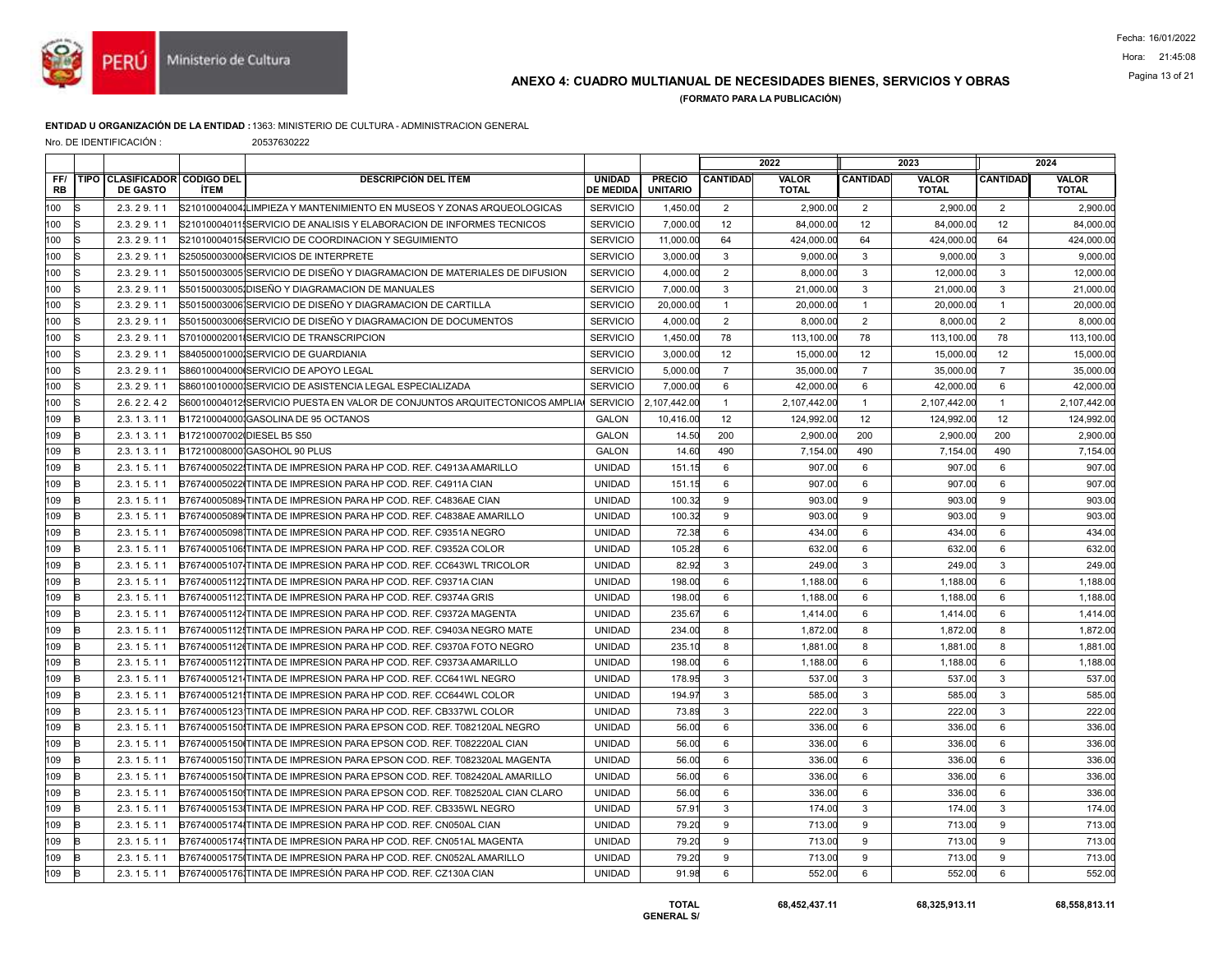

# Pagina 13 of 21 ANEXO 4: CUADRO MULTIANUAL DE NECESIDADES BIENES, SERVICIOS Y OBRAS

(FORMATO PARA LA PUBLICACIÓN)

### ENTIDAD U ORGANIZACIÓN DE LA ENTIDAD :1363: MINISTERIO DE CULTURA - ADMINISTRACION GENERAL

Nro. DE IDENTIFICACIÓN : 20537630222

|                  |    |                                                        |             |                                                                           |                                   |                                  | 2022            |                              |                  | 2023                         |                 | 2024                         |
|------------------|----|--------------------------------------------------------|-------------|---------------------------------------------------------------------------|-----------------------------------|----------------------------------|-----------------|------------------------------|------------------|------------------------------|-----------------|------------------------------|
| FF/<br><b>RB</b> |    | <b>TIPO CLASIFICADOR CODIGO DEL</b><br><b>DE GASTO</b> | <b>ÍTEM</b> | <b>DESCRIPCIÓN DEL ÍTEM</b>                                               | <b>UNIDAD</b><br><b>DE MEDIDA</b> | <b>PRECIO</b><br><b>UNITARIO</b> | <b>CANTIDAD</b> | <b>VALOR</b><br><b>TOTAL</b> | <b>CANTIDAD</b>  | <b>VALOR</b><br><b>TOTAL</b> | <b>CANTIDAD</b> | <b>VALOR</b><br><b>TOTAL</b> |
| 100              | lS | 2.3.29.11                                              |             | S210100040041LIMPIEZA Y MANTENIMIENTO EN MUSEOS Y ZONAS ARQUEOLOGICAS     | <b>SERVICIO</b>                   | 1,450.00                         | 2               | 2,900.00                     | 2                | 2,900.00                     | 2               | 2,900.00                     |
| 100              |    | 2.3.29.11                                              |             | S210100040115SERVICIO DE ANALISIS Y ELABORACION DE INFORMES TECNICOS      | <b>SERVICIO</b>                   | 7,000.00                         | 12              | 84,000.00                    | 12               | 84,000.00                    | 12              | 84,000.00                    |
| 100              |    | 2.3.29.11                                              |             | S21010004015ISERVICIO DE COORDINACION Y SEGUIMIENTO                       | <b>SERVICIO</b>                   | 11,000.00                        | 64              | 424,000.00                   | 64               | 424,000.00                   | 64              | 424,000.00                   |
| 100              |    | 2.3.29.11                                              |             | S25050003000 SERVICIOS DE INTERPRETE                                      | <b>SERVICIO</b>                   | 3,000.00                         | 3               | 9.000.00                     | 3                | 9,000.00                     | 3               | 9.000.00                     |
| 100              |    | 2.3.29.11                                              |             | S50150003005 SERVICIO DE DISEÑO Y DIAGRAMACION DE MATERIALES DE DIFUSION  | <b>SERVICIO</b>                   | 4.000.00                         | $\overline{2}$  | 8.000.00                     | 3                | 12.000.00                    | $\mathbf{3}$    | 12,000.00                    |
| 100              |    | 2.3.29.11                                              |             | S50150003005 DISEÑO Y DIAGRAMACION DE MANUALES                            | <b>SERVICIO</b>                   | 7,000.00                         | 3               | 21,000.00                    | 3                | 21,000.00                    | $\mathbf{3}$    | 21,000.00                    |
| 100              |    | 2.3.29.11                                              |             | S50150003006 SERVICIO DE DISEÑO Y DIAGRAMACION DE CARTILLA                | <b>SERVICIO</b>                   | 20,000.00                        | $\mathbf{1}$    | 20,000.00                    | $\overline{1}$   | 20,000.00                    | $\overline{1}$  | 20,000.00                    |
| 100              |    | 2.3.29.11                                              |             | S50150003006 SERVICIO DE DISEÑO Y DIAGRAMACION DE DOCUMENTOS              | <b>SERVICIO</b>                   | 4,000.00                         | 2               | 8,000.00                     | 2                | 8,000.00                     | 2               | 8,000.00                     |
| 100              |    | 2.3.29.11                                              |             | S70100002001 SERVICIO DE TRANSCRIPCION                                    | <b>SERVICIO</b>                   | 1,450.00                         | 78              | 113,100.00                   | 78               | 113,100.00                   | 78              | 113,100.00                   |
| 100              |    | 2.3.29.11                                              |             | S84050001000 SERVICIO DE GUARDIANIA                                       | <b>SERVICIO</b>                   | 3,000.00                         | 12              | 15,000.00                    | 12               | 15,000.00                    | 12              | 15,000.00                    |
| 100              |    | 2.3.29.11                                              |             | S86010004000 SERVICIO DE APOYO LEGAL                                      | <b>SERVICIO</b>                   | 5,000.00                         | $\overline{7}$  | 35,000.00                    | $\overline{7}$   | 35,000.00                    | $\overline{7}$  | 35,000.00                    |
| 100              |    | 2.3.29.11                                              |             | S860100100001SERVICIO DE ASISTENCIA LEGAL ESPECIALIZADA                   | <b>SERVICIO</b>                   | 7.000.00                         | 6               | 42.000.00                    | $6\phantom{1}$   | 42.000.00                    | 6               | 42.000.00                    |
| 100              |    | 2.6.22.42                                              |             | S60010004012 SERVICIO PUESTA EN VALOR DE CONJUNTOS ARQUITECTONICOS AMPLIA | <b>SERVICIO</b>                   | 2,107,442.00                     | $\overline{1}$  | 2,107,442.00                 | $\mathbf{1}$     | 2,107,442.00                 | $\overline{1}$  | 2,107,442.00                 |
| 109              | R  | 2.3.13.11                                              |             | B17210004000 GASOLINA DE 95 OCTANOS                                       | <b>GALON</b>                      | 10,416.00                        | 12              | 124,992.00                   | 12               | 124,992.00                   | 12              | 124,992.00                   |
| 109              |    | 2.3.13.11                                              |             | B17210007002 DIESEL B5 S50                                                | <b>GALON</b>                      | 14.50                            | 200             | 2.900.00                     | 200              | 2,900.00                     | 200             | 2,900.00                     |
| 109              |    | 2.3.13.11                                              |             | B17210008000 GASOHOL 90 PLUS                                              | <b>GALON</b>                      | 14.60                            | 490             | 7,154.00                     | 490              | 7,154.00                     | 490             | 7,154.00                     |
| 109              | R  | 2.3.15.11                                              |             | B76740005022 TINTA DE IMPRESION PARA HP COD. REF. C4913A AMARILLO         | <b>UNIDAD</b>                     | 151.15                           | 6               | 907.00                       | 6                | 907.00                       | 6               | 907.00                       |
| 109              |    | 2.3.15.11                                              |             | B76740005022 TINTA DE IMPRESION PARA HP COD. REF. C4911A CIAN             | <b>UNIDAD</b>                     | 151.15                           | 6               | 907.00                       | 6                | 907.00                       | 6               | 907.00                       |
| 109              |    | 2.3.15.11                                              |             | B76740005089 TINTA DE IMPRESION PARA HP COD. REF. C4836AE CIAN            | <b>UNIDAD</b>                     | 100.32                           | 9               | 903.00                       | 9                | 903.00                       | 9               | 903.00                       |
| 109              |    | 2.3.15.11                                              |             | B76740005089 TINTA DE IMPRESION PARA HP COD. REF. C4838AE AMARILLO        | <b>UNIDAD</b>                     | 100.32                           | 9               | 903.00                       | 9                | 903.00                       | 9               | 903.00                       |
| 109              |    | 2.3.15.11                                              |             | B767400050981TINTA DE IMPRESION PARA HP COD. REF. C9351A NEGRO            | <b>UNIDAD</b>                     | 72.38                            | 6               | 434.00                       | 6                | 434.00                       | 6               | 434.00                       |
| 109              | R  | 2.3.15.11                                              |             | B76740005106 TINTA DE IMPRESION PARA HP COD. REF. C9352A COLOR            | <b>UNIDAD</b>                     | 105.28                           | 6               | 632.00                       | 6                | 632.00                       | 6               | 632.00                       |
| 109              |    | 2.3.15.11                                              |             | B76740005107 TINTA DE IMPRESION PARA HP COD. REF. CC643WL TRICOLOR        | <b>UNIDAD</b>                     | 82.92                            | $\mathbf{3}$    | 249.00                       | 3                | 249.00                       | $\mathbf{3}$    | 249.00                       |
| 109              |    | 2.3.15.11                                              |             | B767400051121TINTA DE IMPRESION PARA HP COD. REF. C9371A CIAN             | <b>UNIDAD</b>                     | 198.00                           | 6               | 1.188.00                     | 6                | 1.188.00                     | 6               | 1.188.00                     |
| 109              |    | 2.3.15.11                                              |             | B767400051121TINTA DE IMPRESION PARA HP COD. REF. C9374A GRIS             | <b>UNIDAD</b>                     | 198.00                           | 6               | 1,188.00                     | 6                | 1,188.00                     | 6               | 1,188.00                     |
| 109              |    | 2.3.15.11                                              |             | B767400051124TINTA DE IMPRESION PARA HP COD. REF. C9372A MAGENTA          | <b>UNIDAD</b>                     | 235.67                           | 6               | 1,414.00                     | $6\phantom{1}6$  | 1.414.00                     | $6\phantom{1}$  | 1,414.00                     |
| 109              |    | 2.3.15.11                                              |             | B767400051121TINTA DE IMPRESION PARA HP COD. REF. C9403A NEGRO MATE       | <b>UNIDAD</b>                     | 234.00                           | 8               | 1.872.00                     | 8                | 1.872.00                     | 8               | 1.872.00                     |
| 109              |    | 2.3.15.11                                              |             | B76740005112(TINTA DE IMPRESION PARA HP COD, REF. C9370A FOTO NEGRO       | <b>UNIDAD</b>                     | 235.10                           | 8               | 1,881.00                     | 8                | 1,881.00                     | 8               | 1,881.00                     |
| 109              |    | 2.3.15.11                                              |             | B767400051121TINTA DE IMPRESION PARA HP COD. REF. C9373A AMARILLO         | <b>UNIDAD</b>                     | 198.00                           | 6               | 1,188.00                     | $6\phantom{1}6$  | 1.188.00                     | $6\phantom{1}$  | 1,188.00                     |
| 109              |    | 2.3.15.11                                              |             | B76740005121 TINTA DE IMPRESION PARA HP COD. REF. CC641WL NEGRO           | <b>UNIDAD</b>                     | 178.95                           | 3               | 537.00                       | 3                | 537.00                       | 3               | 537.00                       |
| 109              |    | 2.3.15.11                                              |             | B76740005121 TINTA DE IMPRESION PARA HP COD. REF. CC644WL COLOR           | <b>UNIDAD</b>                     | 194.97                           | 3               | 585.00                       | 3                | 585.00                       | $\mathbf{3}$    | 585.00                       |
| 109              |    | 2.3.15.11                                              |             | B767400051231TINTA DE IMPRESION PARA HP COD. REF. CB337WL COLOR           | <b>UNIDAD</b>                     | 73.89                            | 3               | 222.00                       | $\mathbf{3}$     | 222.00                       | $\mathbf{3}$    | 222.00                       |
| 109              | R  | 2.3.15.11                                              |             | B76740005150 TINTA DE IMPRESION PARA EPSON COD. REF. T082120AL NEGRO      | <b>UNIDAD</b>                     | 56.00                            | 6               | 336.00                       | 6                | 336.00                       | 6               | 336.00                       |
| 109              |    | 2.3.15.11                                              |             | B76740005150 TINTA DE IMPRESION PARA EPSON COD. REF. T082220AL CIAN       | <b>UNIDAD</b>                     | 56.00                            | 6               | 336.00                       | $6\phantom{1}6$  | 336.00                       | 6               | 336.00                       |
| 109              |    | 2.3.15.11                                              |             | B767400051501TINTA DE IMPRESION PARA EPSON COD. REF. T082320AL MAGENTA    | <b>UNIDAD</b>                     | 56.00                            | 6               | 336.00                       | $6\phantom{1}6$  | 336.00                       | 6               | 336.00                       |
| 109              |    | 2.3.15.11                                              |             | B76740005150ITINTA DE IMPRESION PARA EPSON COD. REF. T082420AL AMARILLO   | <b>UNIDAD</b>                     | 56.00                            | 6               | 336.00                       | 6                | 336.00                       | 6               | 336.00                       |
| 109              | B  | 2.3.15.11                                              |             | B76740005150 TINTA DE IMPRESION PARA EPSON COD. REF. T082520AL CIAN CLARO | <b>UNIDAD</b>                     | 56.00                            | 6               | 336.00                       | $6\phantom{1}$   | 336.00                       | $6\phantom{1}$  | 336.00                       |
| 109              |    | 2.3.15.11                                              |             | B76740005153ITINTA DE IMPRESION PARA HP COD. REF. CB335WL NEGRO           | <b>UNIDAD</b>                     | 57.9'                            | 3               | 174.00                       | 3                | 174.00                       | $\mathbf{3}$    | 174.00                       |
| 109              |    | 2.3.15.11                                              |             | B767400051741TINTA DE IMPRESION PARA HP COD. REF. CN050AL CIAN            | <b>UNIDAD</b>                     | 79.20                            | 9               | 713.00                       | $\boldsymbol{9}$ | 713.00                       | 9               | 713.00                       |
| 109              | R  | 2.3.15.11                                              |             | B76740005174 TINTA DE IMPRESION PARA HP COD. REF. CN051AL MAGENTA         | <b>UNIDAD</b>                     | 79.20                            | 9               | 713.00                       | 9                | 713.00                       | 9               | 713.00                       |
| 109              |    | 2.3.15.11                                              |             | B76740005175(TINTA DE IMPRESION PARA HP COD, REF. CN052AL AMARILLO        | <b>UNIDAD</b>                     | 79.20                            | 9               | 713.00                       | 9                | 713.00                       | 9               | 713.00                       |
| 109              | B  | 2.3.15.11                                              |             | B767400051761TINTA DE IMPRESIÓN PARA HP COD. REF. CZ130A CIAN             | <b>UNIDAD</b>                     | 91.98                            | 6               | 552.00                       | 6                | 552.00                       | 6               | 552.00                       |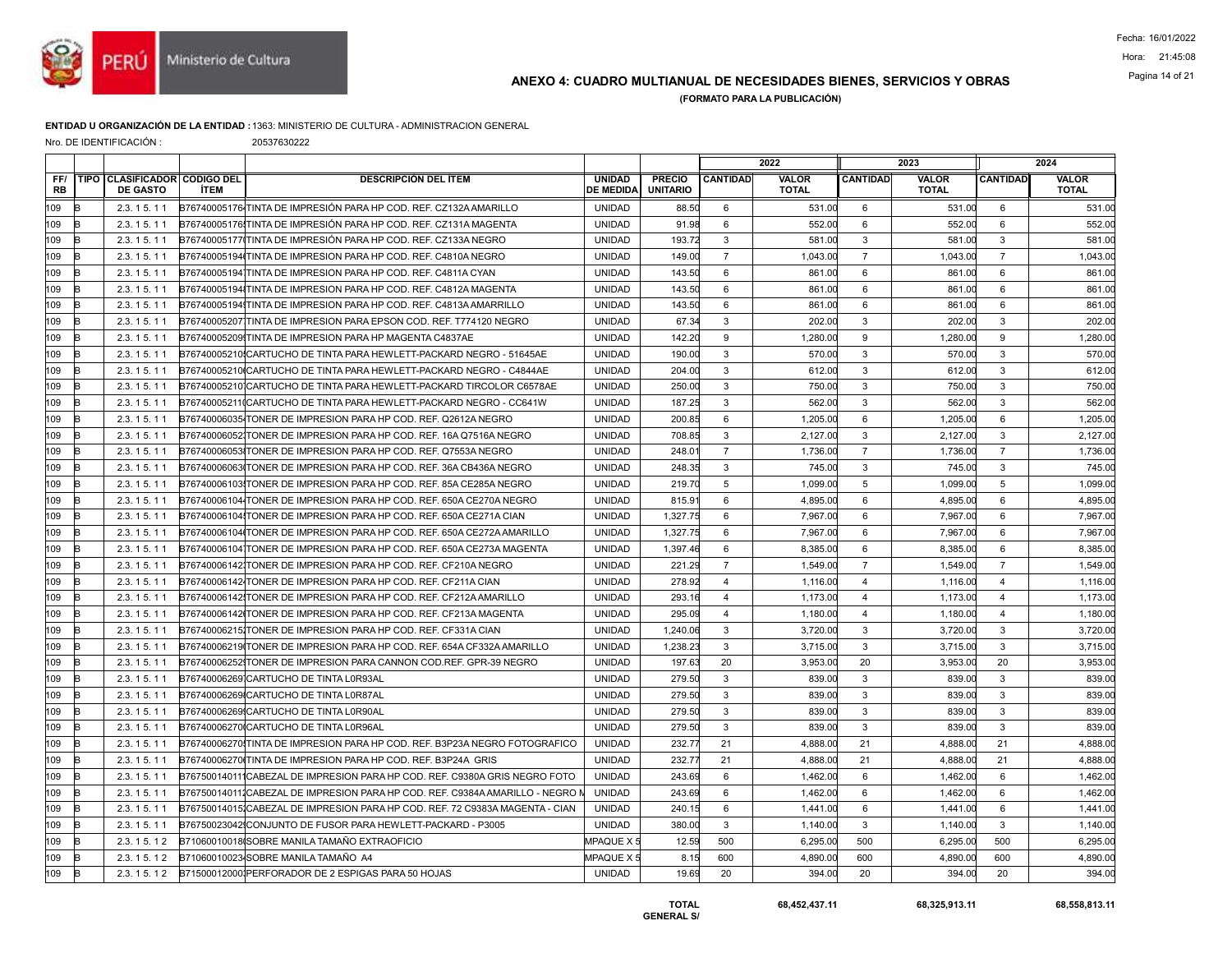

## ANEXO 4: CUADRO MULTIANUAL DE NECESIDADES BIENES, SERVICIOS Y OBRAS Pagina 14 of 21

(FORMATO PARA LA PUBLICACIÓN)

### ENTIDAD U ORGANIZACIÓN DE LA ENTIDAD :1363: MINISTERIO DE CULTURA - ADMINISTRACION GENERAL

Nro. DE IDENTIFICACIÓN : 20537630222

|                  |   |                                                 |             |                                                                              |                                   |                                  | 2022            |                              | 2023            |                              |                 | 2024                  |
|------------------|---|-------------------------------------------------|-------------|------------------------------------------------------------------------------|-----------------------------------|----------------------------------|-----------------|------------------------------|-----------------|------------------------------|-----------------|-----------------------|
| FF/<br><b>RB</b> |   | TIPO CLASIFICADOR CODIGO DEL<br><b>DE GASTO</b> | <b>İTEM</b> | <b>DESCRIPCIÓN DEL ÍTEM</b>                                                  | <b>UNIDAD</b><br><b>DE MEDIDA</b> | <b>PRECIO</b><br><b>UNITARIO</b> | <b>CANTIDAD</b> | <b>VALOR</b><br><b>TOTAL</b> | <b>CANTIDAD</b> | <b>VALOR</b><br><b>TOTAL</b> | <b>CANTIDAD</b> | VALOR<br><b>TOTAL</b> |
| 109              | R | 2.3.15.11                                       |             | B76740005176 TINTA DE IMPRESIÓN PARA HP COD. REF. CZ132A AMARILLO            | <b>UNIDAD</b>                     | 88.50                            | 6               | 531.00                       | 6               | 531.00                       | 6               | 531.00                |
| 109              | B | 2.3.15.11                                       |             | B76740005176ITINTA DE IMPRESIÓN PARA HP COD. REF. CZ131A MAGENTA             | <b>UNIDAD</b>                     | 91.98                            | 6               | 552.00                       | 6               | 552.00                       | 6               | 552.00                |
| 109              |   | 2.3.15.11                                       |             | B76740005177 TINTA DE IMPRESIÓN PARA HP COD. REF. CZ133A NEGRO               | <b>UNIDAD</b>                     | 193.72                           | 3               | 581.00                       | 3               | 581.00                       | 3               | 581.00                |
| 109              | R | 2.3.15.11                                       |             | B76740005194 TINTA DE IMPRESION PARA HP COD, REF, C4810A NEGRO               | <b>UNIDAD</b>                     | 149.00                           | $\overline{7}$  | 1.043.00                     | $\overline{7}$  | 1.043.00                     | $\overline{7}$  | 1,043.00              |
| 109              | R | 2.3.15.11                                       |             | B767400051941TINTA DE IMPRESION PARA HP COD. REF. C4811A CYAN                | <b>UNIDAD</b>                     | 143.50                           | 6               | 861.00                       | 6               | 861.00                       | 6               | 861.00                |
| 109              |   | 2.3.15.11                                       |             | B76740005194 TINTA DE IMPRESION PARA HP COD. REF. C4812A MAGENTA             | <b>UNIDAD</b>                     | 143.50                           | 6               | 861.00                       | 6               | 861.00                       | 6               | 861.00                |
| 109              | R | 2.3.15.11                                       |             | B767400051941TINTA DE IMPRESION PARA HP COD. REF. C4813A AMARRILLO           | <b>UNIDAD</b>                     | 143.50                           | 6               | 861.00                       | 6               | 861.00                       | 6               | 861.00                |
| 109              | R | 2.3.15.11                                       |             | B76740005207 TINTA DE IMPRESION PARA EPSON COD. REF. T774120 NEGRO           | <b>UNIDAD</b>                     | 67.34                            | 3               | 202.00                       | 3               | 202.00                       | 3               | 202.00                |
| 109              |   | 2.3.15.11                                       |             | B76740005209 TINTA DE IMPRESION PARA HP MAGENTA C4837AE                      | <b>UNIDAD</b>                     | 142.20                           | 9               | 1,280.00                     | 9               | 1,280.00                     | 9               | 1,280.00              |
| 109              |   | 2.3.15.11                                       |             | B76740005210 CARTUCHO DE TINTA PARA HEWLETT-PACKARD NEGRO - 51645AE          | <b>UNIDAD</b>                     | 190.00                           | 3               | 570.00                       | $\mathbf{3}$    | 570.00                       | 3               | 570.00                |
| 109              | R | 2.3.15.11                                       |             | B76740005210ICARTUCHO DE TINTA PARA HEWLETT-PACKARD NEGRO - C4844AE          | <b>UNIDAD</b>                     | 204.00                           | 3               | 612.00                       | 3               | 612.00                       | $\mathbf{3}$    | 612.00                |
| 109              |   | 2.3.15.11                                       |             | B76740005210 CARTUCHO DE TINTA PARA HEWLETT-PACKARD TIRCOLOR C6578AE         | <b>UNIDAD</b>                     | 250.00                           | 3               | 750.00                       | 3               | 750.00                       | 3               | 750.00                |
| 109              |   | 2.3.15.11                                       |             | B76740005211(CARTUCHO DE TINTA PARA HEWLETT-PACKARD NEGRO - CC641W           | <b>UNIDAD</b>                     | 187.25                           | 3               | 562.00                       | 3               | 562.00                       | 3               | 562.00                |
| 109              | B | 2.3.15.11                                       |             | B76740006035 TONER DE IMPRESION PARA HP COD. REF. Q2612A NEGRO               | <b>UNIDAD</b>                     | 200.85                           | 6               | 1,205.00                     | 6               | 1,205.00                     | 6               | 1,205.00              |
| 109              |   | 2.3.15.11                                       |             | B767400060521TONER DE IMPRESION PARA HP COD. REF. 16A Q7516A NEGRO           | <b>UNIDAD</b>                     | 708.85                           | 3               | 2.127.00                     | 3               | 2,127.00                     | 3               | 2,127.00              |
| 109              |   | 2.3.15.11                                       |             | B76740006053 TONER DE IMPRESION PARA HP COD. REF. Q7553A NEGRO               | <b>UNIDAD</b>                     | 248.01                           | $\overline{7}$  | 1,736.00                     | $\overline{7}$  | 1,736.00                     | $\overline{7}$  | 1,736.00              |
| 109              | B | 2.3.15.11                                       |             | B76740006063 TONER DE IMPRESION PARA HP COD. REF. 36A CB436A NEGRO           | <b>UNIDAD</b>                     | 248.35                           | 3               | 745.00                       | $\mathbf{3}$    | 745.00                       | $\mathbf{3}$    | 745.00                |
| 109              |   | 2.3.15.11                                       |             | B76740006103 TONER DE IMPRESION PARA HP COD, REF, 85A CE285A NEGRO           | <b>UNIDAD</b>                     | 219.70                           | 5               | 1,099.00                     | 5               | 1.099.00                     | 5               | 1,099.00              |
| 109              | R | 2.3.15.11                                       |             | B76740006104 TONER DE IMPRESION PARA HP COD. REF. 650A CE270A NEGRO          | <b>UNIDAD</b>                     | 815.91                           | 6               | 4,895.00                     | 6               | 4,895.00                     | 6               | 4,895.00              |
| 109              | R | 2.3.15.11                                       |             | B76740006104 TONER DE IMPRESION PARA HP COD. REF. 650A CE271A CIAN           | <b>UNIDAD</b>                     | 1,327.75                         | 6               | 7,967.00                     | 6               | 7,967.00                     | 6               | 7,967.00              |
| 109              |   | 2.3.15.11                                       |             | B76740006104ITONER DE IMPRESION PARA HP COD. REF. 650A CE272A AMARILLO       | <b>UNIDAD</b>                     | 1,327.75                         | 6               | 7.967.00                     | 6               | 7.967.00                     | 6               | 7,967.00              |
| 109              |   | 2.3.15.11                                       |             | B76740006104 TONER DE IMPRESION PARA HP COD. REF. 650A CE273A MAGENTA        | <b>UNIDAD</b>                     | 1,397.46                         | 6               | 8,385.00                     | 6               | 8,385.00                     | 6               | 8,385.00              |
| 109              | R | 2.3.15.11                                       |             | B76740006142 TONER DE IMPRESION PARA HP COD. REF. CF210A NEGRO               | <b>UNIDAD</b>                     | 221.29                           | $\overline{7}$  | 1,549.00                     | $\overline{7}$  | 1,549.00                     | $\overline{7}$  | 1,549.00              |
| 109              | R | 2.3.15.11                                       |             | B76740006142 TONER DE IMPRESION PARA HP COD. REF. CF211A CIAN                | <b>UNIDAD</b>                     | 278.92                           | $\overline{4}$  | 1.116.00                     | $\overline{4}$  | 1.116.00                     | $\overline{4}$  | 1.116.00              |
| 109              | R | 2.3.15.11                                       |             | B76740006142 TONER DE IMPRESION PARA HP COD. REF. CF212A AMARILLO            | <b>UNIDAD</b>                     | 293.16                           | $\overline{4}$  | 1,173.00                     | $\overline{4}$  | 1,173.00                     | $\overline{4}$  | 1,173.00              |
| 109              | R | 2.3.15.11                                       |             | B76740006142 TONER DE IMPRESION PARA HP COD. REF. CF213A MAGENTA             | <b>UNIDAD</b>                     | 295.09                           | $\overline{4}$  | 1,180.00                     | $\overline{4}$  | 1,180.00                     | $\overline{4}$  | 1,180.00              |
| 109              | R | 2.3.15.11                                       |             | B76740006215JTONER DE IMPRESION PARA HP COD. REF. CF331A CIAN                | <b>UNIDAD</b>                     | 1,240.06                         | 3               | 3.720.00                     | $\mathbf{3}$    | 3,720.00                     | $\mathbf{3}$    | 3,720.00              |
| 109              | R | 2.3.15.11                                       |             | B76740006219 TONER DE IMPRESION PARA HP COD. REF. 654A CF332A AMARILLO       | <b>UNIDAD</b>                     | 1,238.23                         | 3               | 3,715.00                     | 3               | 3,715.00                     | $\mathbf{3}$    | 3,715.00              |
| 109              | R | 2.3.15.11                                       |             | B767400062521TONER DE IMPRESION PARA CANNON COD.REF. GPR-39 NEGRO            | <b>UNIDAD</b>                     | 197.63                           | 20              | 3,953.00                     | 20              | 3,953.00                     | 20              | 3,953.00              |
| 109              |   | 2.3.15.11                                       |             | B76740006269 CARTUCHO DE TINTA L0R93AL                                       | <b>UNIDAD</b>                     | 279.50                           | 3               | 839.00                       | 3               | 839.00                       | $\mathbf{3}$    | 839.00                |
| 109              | R | 2.3.15.11                                       |             | B76740006269 CARTUCHO DE TINTA L0R87AL                                       | <b>UNIDAD</b>                     | 279.50                           | 3               | 839.00                       | 3               | 839.00                       | 3               | 839.00                |
| 109              |   | 2.3.15.11                                       |             | B76740006269 CARTUCHO DE TINTA L0R90AL                                       | <b>UNIDAD</b>                     | 279.50                           | 3               | 839.00                       | 3               | 839.00                       | $\mathbf{3}$    | 839.00                |
| 109              | R | 2.3.15.11                                       |             | B76740006270 CARTUCHO DE TINTA L0R96AL                                       | <b>UNIDAD</b>                     | 279.50                           | 3               | 839.00                       | $\mathbf{3}$    | 839.00                       | 3               | 839.00                |
| 109              | R | 2.3.15.11                                       |             | B76740006270 TINTA DE IMPRESION PARA HP COD. REF. B3P23A NEGRO FOTOGRAFICO   | <b>UNIDAD</b>                     | 232.77                           | 21              | 4.888.00                     | 21              | 4,888.00                     | 21              | 4,888.00              |
| 109              |   | 2.3.15.11                                       |             | B76740006270 TINTA DE IMPRESION PARA HP COD. REF. B3P24A GRIS                | <b>UNIDAD</b>                     | 232.77                           | 21              | 4,888.00                     | 21              | 4,888.00                     | 21              | 4,888.00              |
| 109              | R | 2.3.15.11                                       |             | B767500140111CABEZAL DE IMPRESION PARA HP COD. REF. C9380A GRIS NEGRO FOTO   | <b>UNIDAD</b>                     | 243.69                           | 6               | 1,462.00                     | 6               | 1,462.00                     | 6               | 1,462.00              |
| 109              | R | 2.3.15.11                                       |             | B767500140111CABEZAL DE IMPRESION PARA HP COD. REF. C9384A AMARILLO - NEGRO  | <b>UNIDAD</b>                     | 243.69                           | 6               | 1.462.00                     | 6               | 1.462.00                     | 6               | 1,462.00              |
| 109              |   | 2.3.15.11                                       |             | B76750014015ICABEZAL DE IMPRESION PARA HP COD. REF. 72 C9383A MAGENTA - CIAN | <b>UNIDAD</b>                     | 240.15                           | 6               | 1.441.00                     | 6               | 1.441.00                     | 6               | 1.441.00              |
| 109              | R | 2.3.15.11                                       |             | B76750023042 CONJUNTO DE FUSOR PARA HEWLETT-PACKARD - P3005                  | <b>UNIDAD</b>                     | 380.00                           | 3               | 1,140.00                     | 3               | 1,140.00                     | 3               | 1,140.00              |
| 109              | B | 2.3.15.12                                       |             | B71060010018 SOBRE MANILA TAMAÑO EXTRAOFICIO                                 | MPAQUE X 5                        | 12.59                            | 500             | 6.295.00                     | 500             | 6.295.00                     | 500             | 6,295.00              |
| 109              |   | 2.3.15.12                                       |             | B71060010023 SOBRE MANILA TAMAÑO A4                                          | MPAQUE X 5                        | 8.15                             | 600             | 4.890.00                     | 600             | 4,890.00                     | 600             | 4,890.00              |
| 109              | B | 2.3.15.12                                       |             | B71500012000IPERFORADOR DE 2 ESPIGAS PARA 50 HOJAS                           | <b>UNIDAD</b>                     | 19.69                            | 20              | 394.00                       | 20              | 394.00                       | 20              | 394.00                |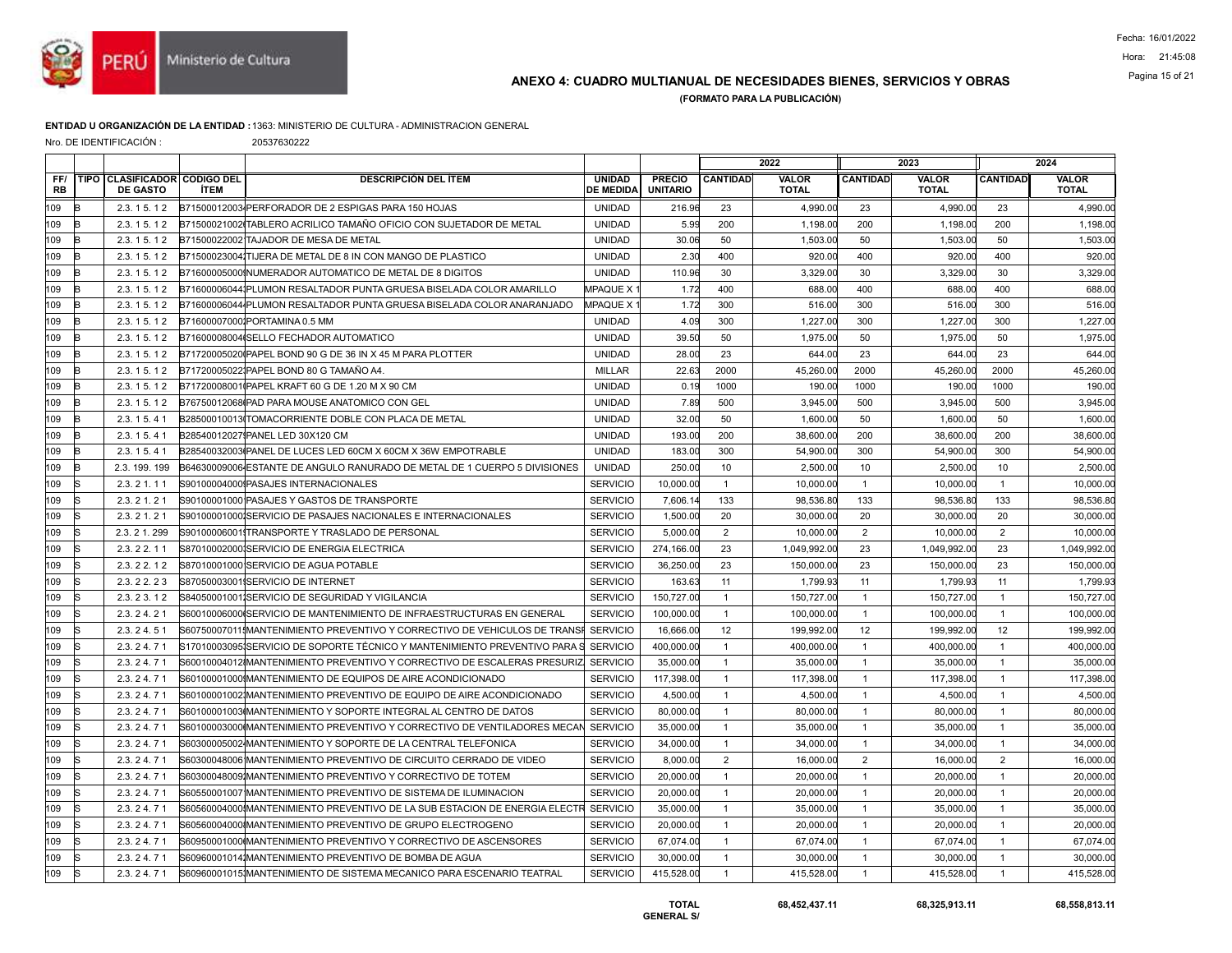

## ANEXO 4: CUADRO MULTIANUAL DE NECESIDADES BIENES, SERVICIOS Y OBRAS Pagina 15 of 21

(FORMATO PARA LA PUBLICACIÓN)

#### ENTIDAD U ORGANIZACIÓN DE LA ENTIDAD :1363: MINISTERIO DE CULTURA - ADMINISTRACION GENERAL

Nro. DE IDENTIFICACIÓN : 20537630222

|                  |             |                                                   |             |                                                                                     |                                   |                                  | 2022            |                              | 2023            |                              |                 | 2024                         |
|------------------|-------------|---------------------------------------------------|-------------|-------------------------------------------------------------------------------------|-----------------------------------|----------------------------------|-----------------|------------------------------|-----------------|------------------------------|-----------------|------------------------------|
| FF/<br><b>RB</b> | <b>TIPO</b> | <b>CLASIFICADOR CODIGO DEL</b><br><b>DE GASTO</b> | <b>İTEM</b> | <b>DESCRIPCIÓN DEL ÍTEM</b>                                                         | <b>UNIDAD</b><br><b>DE MEDIDA</b> | <b>PRECIO</b><br><b>UNITARIO</b> | <b>CANTIDAD</b> | <b>VALOR</b><br><b>TOTAL</b> | <b>CANTIDAD</b> | <b>VALOR</b><br><b>TOTAL</b> | <b>CANTIDAD</b> | <b>VALOR</b><br><b>TOTAL</b> |
| 109              | R           | 2.3.15.12                                         |             | B71500012003 PERFORADOR DE 2 ESPIGAS PARA 150 HOJAS                                 | <b>UNIDAD</b>                     | 216.96                           | 23              | 4,990.00                     | 23              | 4,990.00                     | 23              | 4,990.00                     |
| 109              | B           | 2.3.15.12                                         |             | B71500021002 TABLERO ACRILICO TAMAÑO OFICIO CON SUJETADOR DE METAL                  | <b>UNIDAD</b>                     | 5.99                             | 200             | 1,198.00                     | 200             | 1,198.00                     | 200             | 1,198.00                     |
| 109              | B           | 2.3.15.12                                         |             | B71500022002 TAJADOR DE MESA DE METAL                                               | <b>UNIDAD</b>                     | 30.06                            | 50              | 1.503.00                     | 50              | 1,503.00                     | 50              | 1,503.00                     |
| 109              | R           | 2.3.15.12                                         |             | B71500023004 TIJERA DE METAL DE 8 IN CON MANGO DE PLASTICO                          | <b>UNIDAD</b>                     | 2.30                             | 400             | 920.00                       | 400             | 920.00                       | 400             | 920.00                       |
| 109              | Þ           | 2.3.15.12                                         |             | B71600005000 NUMERADOR AUTOMATICO DE METAL DE 8 DIGITOS                             | <b>UNIDAD</b>                     | 110.96                           | 30              | 3,329.00                     | 30              | 3,329.00                     | 30              | 3,329.00                     |
| 109              | B           | 2.3.15.12                                         |             | B71600006044 PLUMON RESALTADOR PUNTA GRUESA BISELADA COLOR AMARILLO                 | <b>MPAQUE X</b>                   | 1.72                             | 400             | 688.00                       | 400             | 688.00                       | 400             | 688.00                       |
| 109              | B           | 2.3.15.12                                         |             | B71600006044 PLUMON RESALTADOR PUNTA GRUESA BISELADA COLOR ANARANJADO               | <b>MPAQUE X</b>                   | 1.72                             | 300             | 516.00                       | 300             | 516.00                       | 300             | 516.00                       |
| 109              | B           | 2.3.15.12                                         |             | B716000070001PORTAMINA 0.5 MM                                                       | <b>UNIDAD</b>                     | 4.09                             | 300             | 1.227.00                     | 300             | 1.227.00                     | 300             | 1,227.00                     |
| 109              | B           | 2.3.15.12                                         |             | B71600008004 SELLO FECHADOR AUTOMATICO                                              | <b>UNIDAD</b>                     | 39.50                            | 50              | 1,975.00                     | 50              | 1,975.00                     | 50              | 1,975.00                     |
| 109              | B           | 2.3.15.12                                         |             | B71720005020 PAPEL BOND 90 G DE 36 IN X 45 M PARA PLOTTER                           | <b>UNIDAD</b>                     | 28.00                            | 23              | 644.00                       | 23              | 644.00                       | 23              | 644.00                       |
| 109              | B           | 2.3.15.12                                         |             | B717200050221PAPEL BOND 80 G TAMAÑO A4.                                             | MILLAR                            | 22.63                            | 2000            | 45.260.00                    | 2000            | 45.260.00                    | 2000            | 45,260.00                    |
| 109              | R           | 2.3.15.12                                         |             | B71720008001 (PAPEL KRAFT 60 G DE 1.20 M X 90 CM                                    | <b>UNIDAD</b>                     | 0.19                             | 1000            | 190.00                       | 1000            | 190.00                       | 1000            | 190.00                       |
| 109              | B           | 2.3.15.12                                         |             | B76750012068IPAD PARA MOUSE ANATOMICO CON GEL                                       | <b>UNIDAD</b>                     | 7.89                             | 500             | 3,945.00                     | 500             | 3,945.00                     | 500             | 3,945.00                     |
| 109              | B           | 2.3.15.41                                         |             | B28500010013ITOMACORRIENTE DOBLE CON PLACA DE METAL                                 | <b>UNIDAD</b>                     | 32.00                            | 50              | 1,600.00                     | 50              | 1,600.00                     | 50              | 1,600.00                     |
| 109              | B           | 2.3.15.41                                         |             | B28540012027 PANEL LED 30X120 CM                                                    | <b>UNIDAD</b>                     | 193.00                           | 200             | 38,600.00                    | 200             | 38,600.00                    | 200             | 38,600.00                    |
| 109              | B           | 2.3.15.41                                         |             | B28540032003IPANEL DE LUCES LED 60CM X 60CM X 36W EMPOTRABLE                        | <b>UNIDAD</b>                     | 183.00                           | 300             | 54,900.00                    | 300             | 54,900.00                    | 300             | 54,900.00                    |
| 109              | B           | 2.3. 199. 199                                     |             | B64630009006 ESTANTE DE ANGULO RANURADO DE METAL DE 1 CUERPO 5 DIVISIONES           | <b>UNIDAD</b>                     | 250.00                           | 10              | 2,500.00                     | 10              | 2.500.00                     | 10              | 2,500.00                     |
| 109              | k           | 2.3.21.11                                         |             | S90100004000 PASAJES INTERNACIONALES                                                | <b>SERVICIO</b>                   | 10,000.00                        | $\overline{1}$  | 10,000.00                    | $\mathbf{1}$    | 10,000.00                    | $\overline{1}$  | 10,000.00                    |
| 109              | S           | 2.3.21.21                                         |             | S90100001000 PASAJES Y GASTOS DE TRANSPORTE                                         | <b>SERVICIO</b>                   | 7,606.14                         | 133             | 98,536.80                    | 133             | 98,536.80                    | 133             | 98,536.80                    |
| 109              | S           | 2.3.21.21                                         |             | S90100001000¦SERVICIO DE PASAJES NACIONALES E INTERNACIONALES                       | <b>SERVICIO</b>                   | 1,500.00                         | 20              | 30,000.00                    | 20              | 30,000.00                    | 20              | 30,000.00                    |
| 109              | k           | 2.3.21.299                                        |             | S90100006001TRANSPORTE Y TRASLADO DE PERSONAL                                       | <b>SERVICIO</b>                   | 5,000.00                         | $\overline{2}$  | 10,000.00                    | 2               | 10,000.00                    | 2               | 10,000.00                    |
| 109              | S           | 2.3.22.11                                         |             | S87010002000ISERVICIO DE ENERGIA ELECTRICA                                          | <b>SERVICIO</b>                   | 274,166.00                       | 23              | 1,049,992.00                 | 23              | 1,049,992.00                 | 23              | 1,049,992.00                 |
| 109              | lS          | 2.3.22.12                                         |             | S87010001000 SERVICIO DE AGUA POTABLE                                               | <b>SERVICIO</b>                   | 36,250.00                        | 23              | 150,000.00                   | 23              | 150,000.00                   | 23              | 150,000.00                   |
| 109              | k           | 2.3.22.23                                         |             | S87050003001ISERVICIO DE INTERNET                                                   | <b>SERVICIO</b>                   | 163.63                           | 11              | 1,799.93                     | 11              | 1,799.93                     | 11              | 1,799.93                     |
| 109              | lS.         | 2.3.23.12                                         |             | S84050001001ISERVICIO DE SEGURIDAD Y VIGILANCIA                                     | <b>SERVICIO</b>                   | 150,727.00                       | $\overline{1}$  | 150,727.00                   | $\overline{1}$  | 150,727.00                   | $\overline{1}$  | 150,727.00                   |
| 109              | lS          | 2.3.24.21                                         |             | S60010006000 SERVICIO DE MANTENIMIENTO DE INFRAESTRUCTURAS EN GENERAL               | <b>SERVICIO</b>                   | 100,000.00                       | $\mathbf{1}$    | 100,000.00                   | $\overline{1}$  | 100,000.00                   | $\overline{1}$  | 100,000.00                   |
| 109              | lS          | 2.3.24.51                                         |             | S60750007011IMANTENIMIENTO PREVENTIVO Y CORRECTIVO DE VEHICULOS DE TRANSI           | SERVICIO                          | 16,666.00                        | 12              | 199,992.00                   | 12              | 199,992.00                   | 12              | 199,992.00                   |
| 109              | lS.         | 2.3.24.71                                         |             | S17010003095ISERVICIO DE SOPORTE TÉCNICO Y MANTENIMIENTO PREVENTIVO PARA            | <b>SERVICIO</b>                   | 400,000.00                       | $\overline{1}$  | 400,000.00                   | $\overline{1}$  | 400,000.00                   | $\overline{1}$  | 400,000.00                   |
| 109              | ls          | 2.3.24.71                                         |             | S60010004012IMANTENIMIENTO PREVENTIVO Y CORRECTIVO DE ESCALERAS PRESURIZ            | <b>SERVICIO</b>                   | 35,000.00                        | $\overline{1}$  | 35,000.00                    | $\overline{1}$  | 35,000.00                    | $\overline{1}$  | 35,000.00                    |
| 109              | lS          | 2.3.24.71                                         |             | S60100001000!MANTENIMIENTO DE EQUIPOS DE AIRE ACONDICIONADO                         | <b>SERVICIO</b>                   | 117,398.00                       | $\mathbf{1}$    | 117.398.00                   | $\overline{1}$  | 117,398.00                   | $\overline{1}$  | 117,398.00                   |
| 109              | k           | 2.3.24.71                                         |             | S60100001002IMANTENIMIENTO PREVENTIVO DE EQUIPO DE AIRE ACONDICIONADO               | <b>SERVICIO</b>                   | 4,500.00                         | $\overline{1}$  | 4,500.00                     | $\overline{1}$  | 4,500.00                     | $\overline{1}$  | 4,500.00                     |
| 109              | lS          | 2.3.24.71                                         |             | S60100001003IMANTENIMIENTO Y SOPORTE INTEGRAL AL CENTRO DE DATOS                    | <b>SERVICIO</b>                   | 80,000.00                        | $\mathbf{1}$    | 80,000.00                    | $\overline{1}$  | 80,000.00                    | $\overline{1}$  | 80,000.00                    |
| 109              | S           | 2.3.24.71                                         |             | S60100003000IMANTENIMIENTO PREVENTIVO Y CORRECTIVO DE VENTILADORES MECAN            | <b>SERVICIO</b>                   | 35,000.00                        | $\overline{1}$  | 35,000.00                    | $\mathbf{1}$    | 35,000.00                    | $\overline{1}$  | 35,000.00                    |
| 109              | <b>Is</b>   | 2.3.24.71                                         |             | S60300005002 MANTENIMIENTO Y SOPORTE DE LA CENTRAL TELEFONICA                       | <b>SERVICIO</b>                   | 34,000.00                        | $\mathbf{1}$    | 34,000.00                    | $\overline{1}$  | 34,000.00                    | $\overline{1}$  | 34,000.00                    |
| 109              | lS          | 2.3.24.71                                         |             | S60300048006 MANTENIMIENTO PREVENTIVO DE CIRCUITO CERRADO DE VIDEO                  | <b>SERVICIO</b>                   | 8,000.00                         | 2               | 16,000.00                    | 2               | 16,000.00                    | $\overline{2}$  | 16,000.00                    |
| 109              | lS          | 2.3.24.71                                         |             | S60300048009IMANTENIMIENTO PREVENTIVO Y CORRECTIVO DE TOTEM                         | <b>SERVICIO</b>                   | 20,000.00                        | $\mathbf{1}$    | 20,000.00                    | $\overline{1}$  | 20,000.00                    | $\overline{1}$  | 20,000.00                    |
| 109              | ls          | 2.3.24.71                                         |             | S60550001007 MANTENIMIENTO PREVENTIVO DE SISTEMA DE ILUMINACION                     | <b>SERVICIO</b>                   | 20,000.00                        | $\mathbf{1}$    | 20,000.00                    | $\overline{1}$  | 20,000.00                    | $\overline{1}$  | 20,000.00                    |
| 109              | k           | 2.3.24.71                                         |             | S60560004000 MANTENIMIENTO PREVENTIVO DE LA SUB ESTACION DE ENERGIA ELECTR SERVICIO |                                   | 35,000.00                        | $\overline{1}$  | 35,000.00                    | $\mathbf{1}$    | 35,000.00                    | $\overline{1}$  | 35,000.00                    |
| 109              | lS          | 2.3.24.71                                         |             | S60560004000IMANTENIMIENTO PREVENTIVO DE GRUPO ELECTROGENO                          | <b>SERVICIO</b>                   | 20,000.00                        | $\overline{1}$  | 20,000.00                    | $\overline{1}$  | 20,000.00                    | $\overline{1}$  | 20,000.00                    |
| 109              | lS          | 2.3.24.71                                         |             | S60950001000 MANTENIMIENTO PREVENTIVO Y CORRECTIVO DE ASCENSORES                    | <b>SERVICIO</b>                   | 67,074.00                        | $\mathbf{1}$    | 67,074.00                    | $\mathbf{1}$    | 67,074.00                    | $\overline{1}$  | 67,074.00                    |
| 109              | R           | 2.3.24.71                                         |             | S609600010141MANTENIMIENTO PREVENTIVO DE BOMBA DE AGUA                              | <b>SERVICIO</b>                   | 30,000.00                        | $\mathbf{1}$    | 30,000.00                    | $\mathbf{1}$    | 30,000.00                    | $\overline{1}$  | 30,000.00                    |
| 109              | ls          | 2.3.24.71                                         |             | S60960001015 MANTENIMIENTO DE SISTEMA MECANICO PARA ESCENARIO TEATRAL               | <b>SERVICIO</b>                   | 415,528.00                       | $\mathbf{1}$    | 415,528.00                   | $\overline{1}$  | 415,528.00                   | $\overline{1}$  | 415,528.00                   |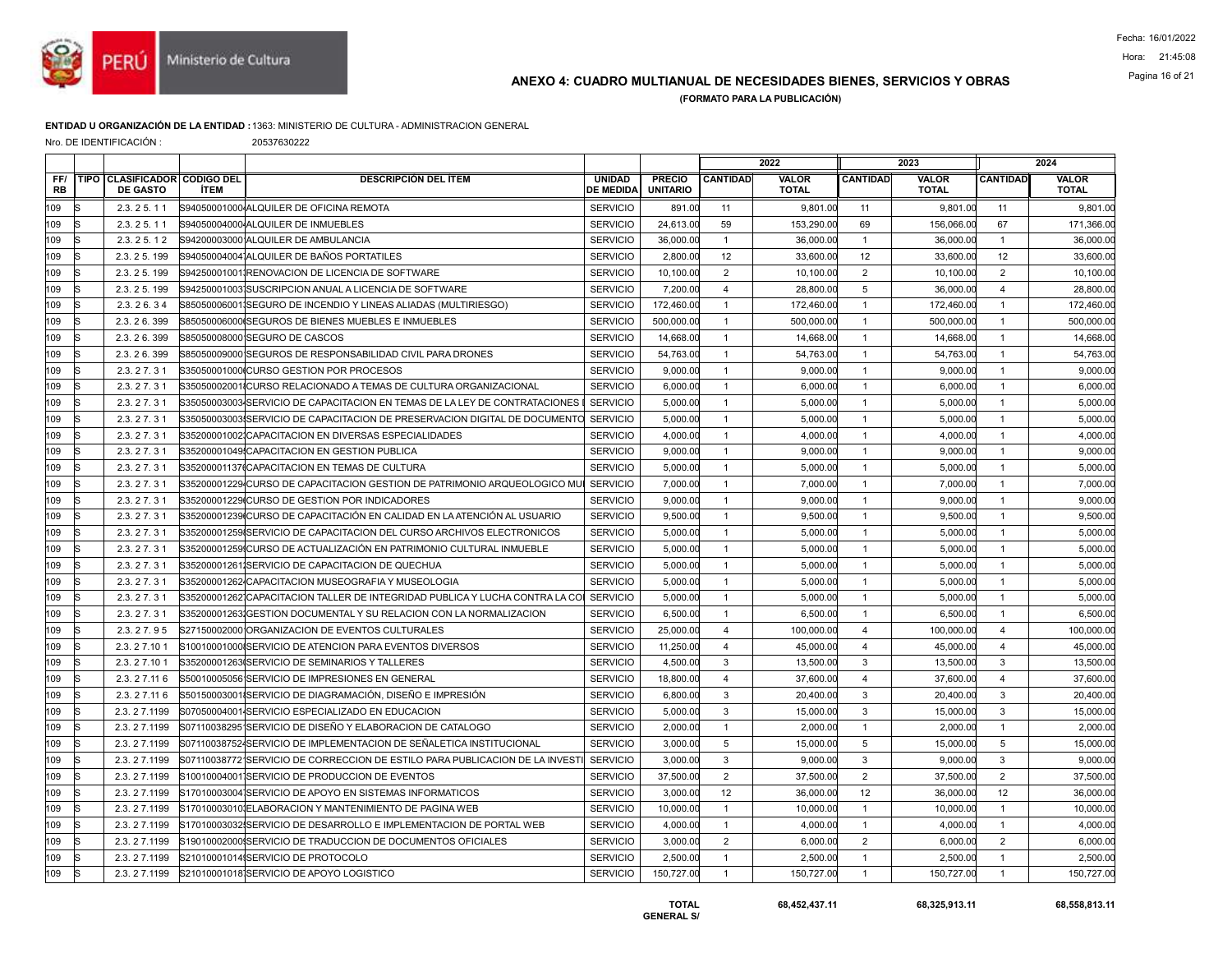

# Pagina 16 of 21 ANEXO 4: CUADRO MULTIANUAL DE NECESIDADES BIENES, SERVICIOS Y OBRAS

(FORMATO PARA LA PUBLICACIÓN)

#### ENTIDAD U ORGANIZACIÓN DE LA ENTIDAD :1363: MINISTERIO DE CULTURA - ADMINISTRACION GENERAL

Nro. DE IDENTIFICACIÓN : 20537630222

|                  |    |                                                        |             |                                                                             |                                   |                                  | 2022                    |                              | 2023            |                              |                 | 2024                         |
|------------------|----|--------------------------------------------------------|-------------|-----------------------------------------------------------------------------|-----------------------------------|----------------------------------|-------------------------|------------------------------|-----------------|------------------------------|-----------------|------------------------------|
| FF/<br><b>RB</b> |    | <b>TIPO CLASIFICADOR CODIGO DEL</b><br><b>DE GASTO</b> | <b>İTEM</b> | <b>DESCRIPCIÓN DEL ÍTEM</b>                                                 | <b>UNIDAD</b><br><b>DE MEDIDA</b> | <b>PRECIO</b><br><b>UNITARIO</b> | <b>CANTIDAD</b>         | <b>VALOR</b><br><b>TOTAL</b> | <b>CANTIDAD</b> | <b>VALOR</b><br><b>TOTAL</b> | <b>CANTIDAD</b> | <b>VALOR</b><br><b>TOTAL</b> |
| 109              | R  | 2.3.25.11                                              |             | S94050001000 ALQUILER DE OFICINA REMOTA                                     | <b>SERVICIO</b>                   | 891.00                           | 11                      | 9,801.00                     | 11              | 9,801.00                     | 11              | 9,801.00                     |
| 109              | ls | 2.3.25.11                                              |             | S94050004000 ALQUILER DE INMUEBLES                                          | <b>SERVICIO</b>                   | 24,613.00                        | 59                      | 153,290.00                   | 69              | 156,066.00                   | 67              | 171,366.00                   |
| 109              |    | 2.3.25.12                                              |             | S94200003000 ALQUILER DE AMBULANCIA                                         | <b>SERVICIO</b>                   | 36,000.00                        | $\overline{1}$          | 36,000.00                    | $\mathbf{1}$    | 36,000.00                    | $\overline{1}$  | 36,000.00                    |
| 109              |    | 2.3.25.199                                             |             | S940500040041ALQUILER DE BAÑOS PORTATILES                                   | <b>SERVICIO</b>                   | 2,800.00                         | 12                      | 33,600.00                    | 12              | 33,600.00                    | 12              | 33,600.00                    |
| 109              | IS | 2.3.25.199                                             |             | S94250001001IRENOVACION DE LICENCIA DE SOFTWARE                             | <b>SERVICIO</b>                   | 10.100.00                        | $\overline{2}$          | 10.100.00                    | $\overline{2}$  | 10.100.00                    | $\overline{2}$  | 10,100.00                    |
| 109              |    | 2.3.25.199                                             |             | S94250001003 SUSCRIPCION ANUAL A LICENCIA DE SOFTWARE                       | <b>SERVICIO</b>                   | 7,200.00                         | $\overline{4}$          | 28,800.00                    | 5               | 36,000.00                    | $\overline{4}$  | 28,800.00                    |
| 109              |    | 2.3.26.34                                              |             | S85050006001 SEGURO DE INCENDIO Y LINEAS ALIADAS (MULTIRIESGO)              | <b>SERVICIO</b>                   | 172,460.00                       | $\overline{1}$          | 172,460.00                   | $\overline{1}$  | 172,460.00                   | $\overline{1}$  | 172,460.00                   |
| 109              | R  | 2.3.26.399                                             |             | S85050006000 SEGUROS DE BIENES MUEBLES E INMUEBLES                          | <b>SERVICIO</b>                   | 500,000.00                       | $\mathbf{1}$            | 500,000.00                   | $\mathbf{1}$    | 500,000.00                   | $\overline{1}$  | 500,000.00                   |
| 109              |    | 2.3.26.399                                             |             | S85050008000 SEGURO DE CASCOS                                               | <b>SERVICIO</b>                   | 14,668.00                        | $\mathbf{1}$            | 14,668.00                    | $\mathbf{1}$    | 14,668.00                    | $\overline{1}$  | 14,668.00                    |
| 109              |    | 2.3.26.399                                             |             | S85050009000 SEGUROS DE RESPONSABILIDAD CIVIL PARA DRONES                   | <b>SERVICIO</b>                   | 54,763.00                        | $\overline{1}$          | 54,763.00                    | $\overline{1}$  | 54,763.00                    | $\overline{1}$  | 54,763.00                    |
| 109              | R  | 2.3.27.31                                              |             | S35050001000ICURSO GESTION POR PROCESOS                                     | <b>SERVICIO</b>                   | 9,000.00                         | $\overline{1}$          | 9.000.00                     | $\mathbf{1}$    | 9.000.00                     | $\overline{1}$  | 9,000.00                     |
| 109              |    | 2.3.27.31                                              |             | S35050002001ICURSO RELACIONADO A TEMAS DE CULTURA ORGANIZACIONAL            | <b>SERVICIO</b>                   | 6,000.00                         | $\overline{1}$          | 6.000.00                     | $\overline{1}$  | 6.000.00                     | $\overline{1}$  | 6,000.00                     |
| 109              |    | 2.3.27.31                                              |             | S35050003003 SERVICIO DE CAPACITACION EN TEMAS DE LA LEY DE CONTRATACIONES  | <b>SERVICIO</b>                   | 5,000.00                         | $\overline{1}$          | 5.000.00                     | $\mathbf{1}$    | 5,000.00                     | $\overline{1}$  | 5,000.00                     |
| 109              |    | 2.3.27.31                                              |             | S35050003003 SERVICIO DE CAPACITACION DE PRESERVACION DIGITAL DE DOCUMENTO  | <b>SERVICIO</b>                   | 5,000.00                         | $\overline{1}$          | 5,000.00                     | $\mathbf{1}$    | 5,000.00                     | $\overline{1}$  | 5,000.00                     |
| 109              |    | 2.3.27.31                                              |             | S35200001002ICAPACITACION EN DIVERSAS ESPECIALIDADES                        | <b>SERVICIO</b>                   | 4,000.00                         | $\overline{1}$          | 4.000.00                     | $\mathbf{1}$    | 4,000.00                     | $\overline{1}$  | 4,000.00                     |
| 109              |    | 2.3.27.31                                              |             | S35200001049 CAPACITACION EN GESTION PUBLICA                                | <b>SERVICIO</b>                   | 9,000.00                         | $\overline{1}$          | 9.000.00                     | $\mathbf{1}$    | 9,000.00                     | $\overline{1}$  | 9,000.00                     |
| 109              | s  | 2.3.27.31                                              |             | S35200001137tCAPACITACION EN TEMAS DE CULTURA                               | <b>SERVICIO</b>                   | 5,000.00                         | $\overline{1}$          | 5,000.00                     | $\mathbf{1}$    | 5,000.00                     | $\overline{1}$  | 5,000.00                     |
| 109              |    | 2.3.27.31                                              |             | S35200001229 CURSO DE CAPACITACION GESTION DE PATRIMONIO ARQUEOLOGICO MU    | <b>SERVICIO</b>                   | 7.000.00                         | $\mathbf{1}$            | 7.000.00                     | $\mathbf{1}$    | 7.000.00                     | $\overline{1}$  | 7.000.00                     |
| 109              |    | 2.3.27.31                                              |             | S35200001229 CURSO DE GESTION POR INDICADORES                               | <b>SERVICIO</b>                   | 9,000.00                         | $\overline{1}$          | 9,000.00                     | $\overline{1}$  | 9,000.00                     | $\overline{1}$  | 9,000.00                     |
| 109              |    | 2.3.27.31                                              |             | S35200001239 CURSO DE CAPACITACIÓN EN CALIDAD EN LA ATENCIÓN AL USUARIO     | <b>SERVICIO</b>                   | 9,500.00                         | $\overline{1}$          | 9,500.00                     | $\mathbf{1}$    | 9,500.00                     | $\overline{1}$  | 9,500.00                     |
| 109              |    | 2.3.27.31                                              |             | S35200001259ISERVICIO DE CAPACITACION DEL CURSO ARCHIVOS ELECTRONICOS       | <b>SERVICIO</b>                   | 5,000.00                         | $\overline{1}$          | 5.000.00                     | $\overline{1}$  | 5,000.00                     | $\overline{1}$  | 5,000.00                     |
| 109              |    | 2.3.27.31                                              |             | S35200001259ICURSO DE ACTUALIZACIÓN EN PATRIMONIO CULTURAL INMUEBLE         | <b>SERVICIO</b>                   | 5,000.00                         | $\overline{1}$          | 5,000.00                     | $\overline{1}$  | 5,000.00                     | $\overline{1}$  | 5,000.00                     |
| 109              |    | 2.3.27.31                                              |             | S35200001261ISERVICIO DE CAPACITACION DE QUECHUA                            | <b>SERVICIO</b>                   | 5,000.00                         | $\overline{1}$          | 5.000.00                     | $\overline{1}$  | 5,000.00                     | $\overline{1}$  | 5,000.00                     |
| 109              | R  | 2.3.27.31                                              |             | S35200001262 CAPACITACION MUSEOGRAFIA Y MUSEOLOGIA                          | <b>SERVICIO</b>                   | 5,000.00                         | $\overline{1}$          | 5,000.00                     | $\overline{1}$  | 5,000.00                     | $\overline{1}$  | 5,000.00                     |
| 109              |    | 2.3.27.31                                              |             | S35200001262ICAPACITACION TALLER DE INTEGRIDAD PUBLICA Y LUCHA CONTRA LA CO | <b>SERVICIO</b>                   | 5,000.00                         | $\overline{1}$          | 5.000.00                     | $\mathbf{1}$    | 5,000.00                     | $\overline{1}$  | 5,000.00                     |
| 109              |    | 2.3.27.31                                              |             | S35200001263IGESTION DOCUMENTAL Y SU RELACION CON LA NORMALIZACION          | <b>SERVICIO</b>                   | 6,500.00                         | $\overline{1}$          | 6,500.00                     | $\overline{1}$  | 6,500.00                     | $\overline{1}$  | 6,500.00                     |
| 109              | IS | 2.3.27.95                                              |             | S27150002000 ORGANIZACION DE EVENTOS CULTURALES                             | <b>SERVICIO</b>                   | 25,000.00                        | $\overline{4}$          | 100,000.00                   | $\overline{4}$  | 100,000.00                   | $\overline{4}$  | 100,000.00                   |
| 109              | ls | 2.3.27.101                                             |             | S10010001000ISERVICIO DE ATENCION PARA EVENTOS DIVERSOS                     | <b>SERVICIO</b>                   | 11,250.00                        | $\overline{\mathbf{A}}$ | 45.000.00                    | $\overline{4}$  | 45,000.00                    | $\overline{4}$  | 45,000.00                    |
| 109              |    | 2.3.27.101                                             |             | S35200001263 SERVICIO DE SEMINARIOS Y TALLERES                              | <b>SERVICIO</b>                   | 4,500.00                         | 3                       | 13,500.00                    | 3               | 13,500.00                    | 3               | 13,500.00                    |
| 109              |    | 2.3.27.116                                             |             | S50010005056 SERVICIO DE IMPRESIONES EN GENERAL                             | <b>SERVICIO</b>                   | 18,800.00                        | $\overline{4}$          | 37,600.00                    | $\overline{4}$  | 37,600.00                    | $\overline{4}$  | 37,600.00                    |
| 109              | lS | 2.3.27.116                                             |             | S50150003001 SERVICIO DE DIAGRAMACIÓN, DISEÑO E IMPRESIÓN                   | <b>SERVICIO</b>                   | 6,800.00                         | 3                       | 20,400.00                    | 3               | 20,400.00                    | $\mathbf{3}$    | 20,400.00                    |
| 109              |    | 2.3.27.1199                                            |             | S07050004001 SERVICIO ESPECIALIZADO EN EDUCACION                            | <b>SERVICIO</b>                   | 5,000.00                         | 3                       | 15,000.00                    | 3               | 15,000.00                    | 3               | 15,000.00                    |
| 109              |    | 2.3.27.1199                                            |             | S07110038295 <sup>1</sup> SERVICIO DE DISEÑO Y ELABORACION DE CATALOGO      | <b>SERVICIO</b>                   | 2,000.00                         | $\overline{1}$          | 2,000.00                     | $\mathbf{1}$    | 2,000.00                     | $\overline{1}$  | 2,000.00                     |
| 109              | R  | 2.3.27.1199                                            |             | S071100387524SERVICIO DE IMPLEMENTACION DE SEÑALETICA INSTITUCIONAL         | <b>SERVICIO</b>                   | 3,000.00                         | 5                       | 15.000.00                    | 5               | 15,000.00                    | 5               | 15,000.00                    |
| 109              |    | 2.3.27.1199                                            |             | S07110038772 SERVICIO DE CORRECCION DE ESTILO PARA PUBLICACION DE LA INVEST | <b>SERVICIO</b>                   | 3,000.00                         | 3                       | 9,000.00                     | 3               | 9,000.00                     | 3               | 9,000.00                     |
| 109              |    | 2.3.27.1199                                            |             | S10010004001ISERVICIO DE PRODUCCION DE EVENTOS                              | <b>SERVICIO</b>                   | 37,500.00                        | $\overline{2}$          | 37,500.00                    | $\overline{2}$  | 37,500.00                    | 2               | 37,500.00                    |
| 109              | R  | 2.3.27.1199                                            |             | S17010003004 SERVICIO DE APOYO EN SISTEMAS INFORMATICOS                     | <b>SERVICIO</b>                   | 3,000.00                         | 12                      | 36,000.00                    | 12              | 36,000.00                    | 12              | 36,000.00                    |
| 109              |    | 2.3.27.1199                                            |             | S17010003010IELABORACION Y MANTENIMIENTO DE PAGINA WEB                      | <b>SERVICIO</b>                   | 10,000.00                        | $\overline{1}$          | 10.000.00                    | $\mathbf{1}$    | 10,000.00                    | $\overline{1}$  | 10,000.00                    |
| 109              |    | 2.3.27.1199                                            |             | S17010003032ISERVICIO DE DESARROLLO E IMPLEMENTACION DE PORTAL WEB          | <b>SERVICIO</b>                   | 4,000.00                         | $\overline{1}$          | 4.000.00                     | $\overline{1}$  | 4,000.00                     | $\overline{1}$  | 4,000.00                     |
| 109              | IS | 2.3.27.1199                                            |             | S19010002000ISERVICIO DE TRADUCCION DE DOCUMENTOS OFICIALES                 | <b>SERVICIO</b>                   | 3,000.00                         | 2                       | 6,000.00                     | $\overline{2}$  | 6,000.00                     | 2               | 6,000.00                     |
| 109              |    | 2.3.27.1199                                            |             | S21010001014 SERVICIO DE PROTOCOLO                                          | <b>SERVICIO</b>                   | 2,500.00                         | $\overline{1}$          | 2.500.00                     | $\overline{1}$  | 2,500.00                     | $\overline{1}$  | 2,500.00                     |
| 109              | ls | 2.3.27.1199                                            |             | S21010001018 SERVICIO DE APOYO LOGISTICO                                    | <b>SERVICIO</b>                   | 150,727.00                       | $\overline{1}$          | 150,727.00                   | $\overline{1}$  | 150,727.00                   | $\overline{1}$  | 150,727.00                   |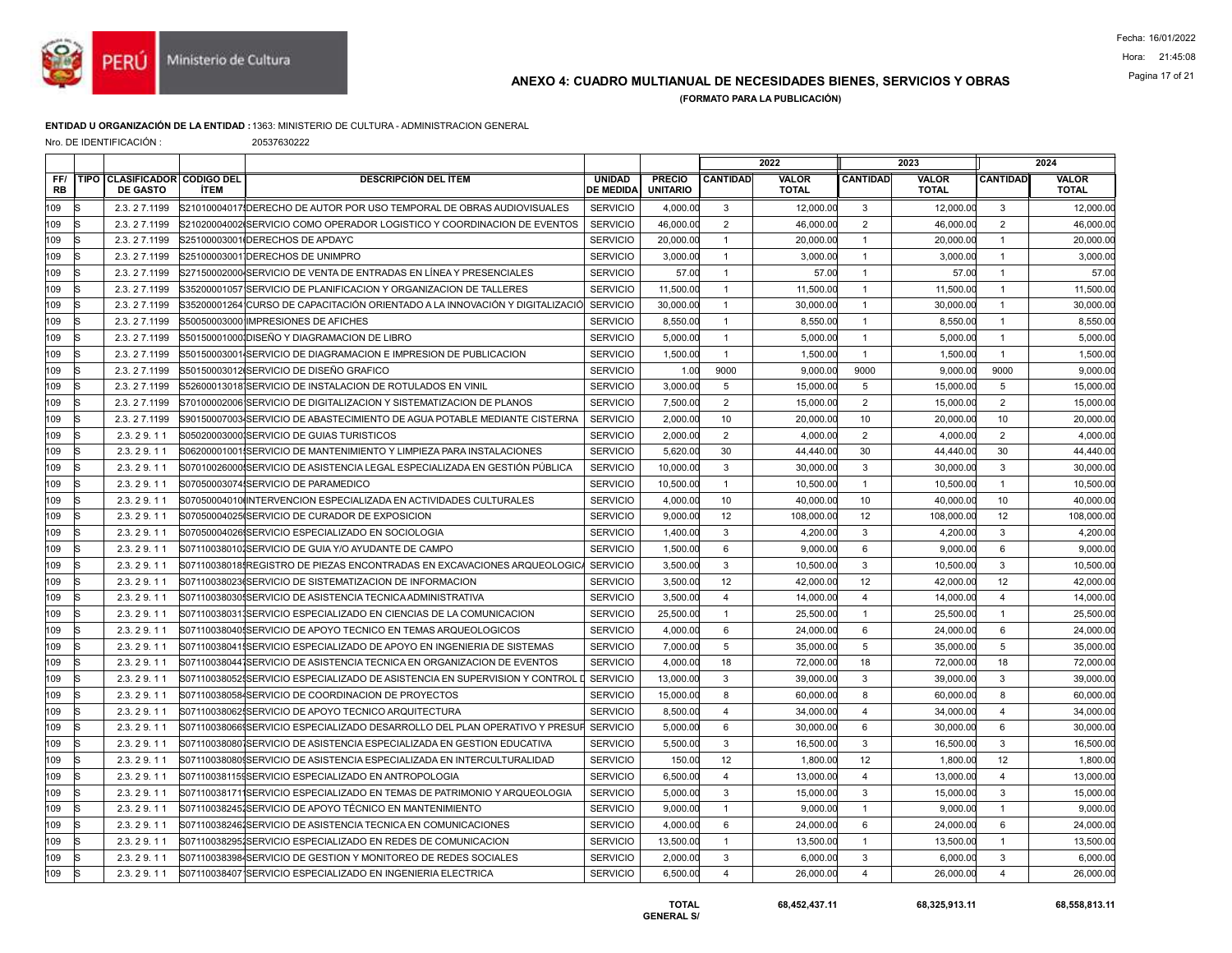

# Pagina 17 of 21 ANEXO 4: CUADRO MULTIANUAL DE NECESIDADES BIENES, SERVICIOS Y OBRAS

(FORMATO PARA LA PUBLICACIÓN)

### ENTIDAD U ORGANIZACIÓN DE LA ENTIDAD :1363: MINISTERIO DE CULTURA - ADMINISTRACION GENERAL

Nro. DE IDENTIFICACIÓN : 20537630222

|                  |    |                                                 |             |                                                                                       |                                   |                                  | 2022                    |                       | 2023            |                              |                 |                              |
|------------------|----|-------------------------------------------------|-------------|---------------------------------------------------------------------------------------|-----------------------------------|----------------------------------|-------------------------|-----------------------|-----------------|------------------------------|-----------------|------------------------------|
| FF/<br><b>RB</b> |    | TIPO CLASIFICADOR CODIGO DEL<br><b>DE GASTO</b> | <b>İTEM</b> | <b>DESCRIPCIÓN DEL ÍTEM</b>                                                           | <b>UNIDAD</b><br><b>DE MEDIDA</b> | <b>PRECIO</b><br><b>UNITARIO</b> | <b>CANTIDAD</b>         | VALOR<br><b>TOTAL</b> | <b>CANTIDAD</b> | <b>VALOR</b><br><b>TOTAL</b> | <b>CANTIDAD</b> | <b>VALOR</b><br><b>TOTAL</b> |
| 109              | R  | 2.3.27.1199                                     |             | S21010004017IDERECHO DE AUTOR POR USO TEMPORAL DE OBRAS AUDIOVISUALES                 | <b>SERVICIO</b>                   | 4,000.00                         | 3                       | 12,000.00             | 3               | 12,000.00                    | 3               | 12,000.00                    |
| 109              | lS | 2.3.27.1199                                     |             | S21020004002ISERVICIO COMO OPERADOR LOGISTICO Y COORDINACION DE EVENTOS               | <b>SERVICIO</b>                   | 46,000.00                        | 2                       | 46,000.00             | $\overline{2}$  | 46,000.00                    | $\overline{2}$  | 46,000.00                    |
| 109              |    | 2.3.27.1199                                     |             | S25100003001 DERECHOS DE APDAYC                                                       | <b>SERVICIO</b>                   | 20,000.00                        | $\mathbf{1}$            | 20,000.00             | $\mathbf{1}$    | 20,000.00                    | $\overline{1}$  | 20,000.00                    |
| 109              |    | 2.3.27.1199                                     |             | S25100003001 DERECHOS DE UNIMPRO                                                      | <b>SERVICIO</b>                   | 3,000.00                         | $\mathbf{1}$            | 3,000.00              | $\overline{1}$  | 3,000.00                     | $\overline{1}$  | 3,000.00                     |
| 109              | lS | 2.3.27.1199                                     |             | S27150002000 SERVICIO DE VENTA DE ENTRADAS EN LÍNEA Y PRESENCIALES                    | <b>SERVICIO</b>                   | 57.00                            | $\mathbf{1}$            | 57.00                 | $\mathbf{1}$    | 57.00                        | $\overline{1}$  | 57.0                         |
| 109              |    | 2.3.27.1199                                     |             | S35200001057 SERVICIO DE PLANIFICACION Y ORGANIZACION DE TALLERES                     | <b>SERVICIO</b>                   | 11,500.00                        | $\mathbf{1}$            | 11,500.00             | $\mathbf{1}$    | 11,500.00                    | $\mathbf{1}$    | 11,500.00                    |
| 109              | IS | 2.3.27.1199                                     |             | S35200001264¦CURSO DE CAPACITACIÓN ORIENTADO A LA INNOVACIÓN Y DIGITALIZACIĆ          | <b>SERVICIO</b>                   | 30,000.00                        | $\mathbf{1}$            | 30,000.00             | $\mathbf{1}$    | 30,000.00                    | $\overline{1}$  | 30,000.00                    |
| 109              | ls | 2.3.27.1199                                     |             | S50050003000 IMPRESIONES DE AFICHES                                                   | <b>SERVICIO</b>                   | 8,550.00                         | $\mathbf{1}$            | 8,550.00              | $\overline{1}$  | 8,550.00                     | $\overline{1}$  | 8,550.00                     |
| 109              |    | 2.3.27.1199                                     |             | S50150001000IDISEÑO Y DIAGRAMACION DE LIBRO                                           | <b>SERVICIO</b>                   | 5,000.00                         | $\mathbf{1}$            | 5,000.00              | $\mathbf{1}$    | 5,000.00                     | $\mathbf{1}$    | 5,000.00                     |
| 109              |    | 2.3.27.1199                                     |             | S50150003001 SERVICIO DE DIAGRAMACION E IMPRESION DE PUBLICACION                      | <b>SERVICIO</b>                   | 1,500.00                         | $\mathbf{1}$            | 1,500.00              | $\mathbf{1}$    | 1,500.00                     | $\overline{1}$  | 1,500.00                     |
| 109              | IS | 2.3.27.1199                                     |             | S50150003012ISERVICIO DE DISEÑO GRAFICO                                               | <b>SERVICIO</b>                   | 1.00                             | 9000                    | 9,000.00              | 9000            | 9,000.00                     | 9000            | 9,000.00                     |
| 109              |    | 2.3.27.1199                                     |             | S52600013018İSERVICIO DE INSTALACION DE ROTULADOS EN VINIL                            | <b>SERVICIO</b>                   | 3.000.00                         | 5                       | 15,000.00             | 5               | 15,000.00                    | 5               | 15,000.00                    |
| 109              |    | 2.3.27.1199                                     |             | S70100002006 SERVICIO DE DIGITALIZACION Y SISTEMATIZACION DE PLANOS                   | <b>SERVICIO</b>                   | 7,500.00                         | $\overline{2}$          | 15,000.00             | $\overline{2}$  | 15,000.00                    | 2               | 15,000.00                    |
| 109              | IS | 2.3.27.1199                                     |             | S90150007003 SERVICIO DE ABASTECIMIENTO DE AGUA POTABLE MEDIANTE CISTERNA             | <b>SERVICIO</b>                   | 2,000.00                         | 10                      | 20,000.00             | 10              | 20,000.00                    | 10              | 20,000.00                    |
| 109              |    | 2.3.29.11                                       |             | S050200030001SERVICIO DE GUIAS TURISTICOS                                             | <b>SERVICIO</b>                   | 2,000.00                         | $\overline{2}$          | 4,000.00              | $\overline{2}$  | 4,000.00                     | 2               | 4,000.00                     |
| 109              |    | 2.3.29.11                                       |             | S06200001001 SERVICIO DE MANTENIMIENTO Y LIMPIEZA PARA INSTALACIONES                  | <b>SERVICIO</b>                   | 5,620.00                         | 30                      | 44,440.00             | 30              | 44,440.00                    | 30              | 44,440.00                    |
| 109              |    | 2.3.29.11                                       |             | S07010026000 SERVICIO DE ASISTENCIA LEGAL ESPECIALIZADA EN GESTIÓN PÚBLICA            | <b>SERVICIO</b>                   | 10,000.00                        | 3                       | 30,000.00             | 3               | 30,000.00                    | 3               | 30,000.00                    |
| 109              |    | 2.3.29.11                                       |             | S07050003074 SERVICIO DE PARAMEDICO                                                   | <b>SERVICIO</b>                   | 10,500.00                        | $\mathbf{1}$            | 10,500.00             | $\mathbf{1}$    | 10,500.00                    | $\mathbf{1}$    | 10,500.00                    |
| 109              |    | 2.3.29.11                                       |             | S07050004010 INTERVENCION ESPECIALIZADA EN ACTIVIDADES CULTURALES                     | <b>SERVICIO</b>                   | 4,000.00                         | 10                      | 40,000.00             | 10              | 40,000.00                    | 10              | 40,000.00                    |
| 109              |    | 2.3.29.11                                       |             | S07050004025 SERVICIO DE CURADOR DE EXPOSICION                                        | <b>SERVICIO</b>                   | 9,000.00                         | 12                      | 108,000.00            | 12              | 108,000.00                   | 12              | 108,000.00                   |
| 109              |    | 2.3.29.11                                       |             | S07050004026 SERVICIO ESPECIALIZADO EN SOCIOLOGIA                                     | <b>SERVICIO</b>                   | 1,400.00                         | 3                       | 4,200.00              | 3               | 4,200.00                     | 3               | 4,200.00                     |
| 109              |    | 2.3.29.11                                       |             | S071100380101SERVICIO DE GUIA Y/O AYUDANTE DE CAMPO                                   | <b>SERVICIO</b>                   | 1,500.00                         | 6                       | 9,000.00              | 6               | 9,000.00                     | 6               | 9,000.00                     |
| 109              |    | 2.3.29.11                                       |             | S07110038018 REGISTRO DE PIEZAS ENCONTRADAS EN EXCAVACIONES ARQUEOLOGIC               | <b>SERVICIO</b>                   | 3,500.00                         | 3                       | 10,500.00             | 3               | 10,500.00                    | $\mathbf{3}$    | 10,500.00                    |
| 109              | lS | 2.3.29.11                                       |             | S07110038023(SERVICIO DE SISTEMATIZACION DE INFORMACION                               | <b>SERVICIO</b>                   | 3,500.00                         | 12                      | 42,000.00             | 12              | 42,000.00                    | 12              | 42,000.00                    |
| 109              |    | 2.3.29.11                                       |             | S07110038030!SERVICIO DE ASISTENCIA TECNICA ADMINISTRATIVA                            | <b>SERVICIO</b>                   | 3,500.00                         | 4                       | 14,000.00             | $\overline{4}$  | 14,000.00                    | $\overline{4}$  | 14,000.00                    |
| 109              |    | 2.3.29.11                                       |             | S071100380311SERVICIO ESPECIALIZADO EN CIENCIAS DE LA COMUNICACION                    | <b>SERVICIO</b>                   | 25,500.00                        | $\mathbf{1}$            | 25,500.00             | $\mathbf{1}$    | 25,500.00                    | $\overline{1}$  | 25,500.00                    |
| 109              |    | 2.3.29.11                                       |             | S071100380401SERVICIO DE APOYO TECNICO EN TEMAS ARQUEOLOGICOS                         | <b>SERVICIO</b>                   | 4,000.00                         | 6                       | 24,000.00             | 6               | 24,000.00                    | 6               | 24,000.00                    |
| 109              |    | 2.3.29.11                                       |             | S071100380411SERVICIO ESPECIALIZADO DE APOYO EN INGENIERIA DE SISTEMAS                | <b>SERVICIO</b>                   | 7,000.00                         | 5                       | 35,000.00             | 5               | 35,000.00                    | 5               | 35,000.00                    |
| 109              |    | 2.3.29.11                                       |             | S071100380441SERVICIO DE ASISTENCIA TECNICA EN ORGANIZACION DE EVENTOS                | <b>SERVICIO</b>                   | 4,000.00                         | 18                      | 72,000.00             | 18              | 72,000.00                    | 18              | 72,000.00                    |
| 109              |    | 2.3.29.11                                       |             | S07110038052ISERVICIO ESPECIALIZADO DE ASISTENCIA EN SUPERVISION Y CONTROL            | <b>L</b> SERVICIO                 | 13,000.00                        | 3                       | 39,000.00             | 3               | 39,000.00                    | 3               | 39,000.00                    |
| 109              |    | 2.3.29.11                                       |             | S071100380584SERVICIO DE COORDINACION DE PROYECTOS                                    | <b>SERVICIO</b>                   | 15.000.00                        | 8                       | 60,000,00             | 8               | 60.000.00                    | 8               | 60,000.00                    |
| 109              |    | 2.3.29.11                                       |             | S071100380625SERVICIO DE APOYO TECNICO ARQUITECTURA                                   | <b>SERVICIO</b>                   | 8,500.00                         | $\overline{4}$          | 34,000.00             | $\overline{4}$  | 34,000.00                    | $\overline{4}$  | 34,000.00                    |
| 109              |    | 2.3.29.11                                       |             | lS07110038066∮SERVICIO ESPECIALIZADO DESARROLLO DEL PLAN OPERATIVO Y PRESUFİ SERVICIO |                                   | 5,000.00                         | 6                       | 30,000.00             | 6               | 30,000.00                    | 6               | 30,000.00                    |
| 109              | lS | 2.3.29.11                                       |             | S071100380801SERVICIO DE ASISTENCIA ESPECIALIZADA EN GESTION EDUCATIVA                | <b>SERVICIO</b>                   | 5,500.00                         | 3                       | 16,500.00             | 3               | 16,500.00                    | 3               | 16,500.00                    |
| 109              |    | 2.3.29.11                                       |             | S07110038080 SERVICIO DE ASISTENCIA ESPECIALIZADA EN INTERCULTURALIDAD                | <b>SERVICIO</b>                   | 150.00                           | 12                      | 1,800.00              | 12              | 1,800.00                     | 12              | 1,800.00                     |
| 109              |    | 2.3.29.11                                       |             | S071100381159SERVICIO ESPECIALIZADO EN ANTROPOLOGIA                                   | <b>SERVICIO</b>                   | 6,500.00                         | $\overline{4}$          | 13,000.00             | $\overline{4}$  | 13,000.00                    | $\overline{4}$  | 13,000.00                    |
| 109              | lS | 2.3.29.11                                       |             | S071100381711SERVICIO ESPECIALIZADO EN TEMAS DE PATRIMONIO Y ARQUEOLOGIA              | <b>SERVICIO</b>                   | 5,000.00                         | 3                       | 15,000.00             | 3               | 15,000.00                    | 3               | 15,000.00                    |
| 109              |    | 2.3.29.11                                       |             | S07110038245 SERVICIO DE APOYO TÉCNICO EN MANTENIMIENTO                               | <b>SERVICIO</b>                   | 9,000.00                         | $\mathbf{1}$            | 9,000.00              | $\overline{1}$  | 9,000.00                     | $\mathbf{1}$    | 9,000.00                     |
| 109              |    | 2.3.29.11                                       |             | S071100382461SERVICIO DE ASISTENCIA TECNICA EN COMUNICACIONES                         | <b>SERVICIO</b>                   | 4,000.00                         | 6                       | 24,000.00             | 6               | 24,000.00                    | 6               | 24,000.00                    |
| 109              | lS | 2.3.29.11                                       |             | S071100382951SERVICIO ESPECIALIZADO EN REDES DE COMUNICACION                          | <b>SERVICIO</b>                   | 13,500.00                        | $\mathbf{1}$            | 13,500.00             | $\mathbf{1}$    | 13,500.00                    | $\overline{1}$  | 13,500.00                    |
| 109              |    | 2.3.29.11                                       |             | S071100383984SERVICIO DE GESTION Y MONITOREO DE REDES SOCIALES                        | <b>SERVICIO</b>                   | 2,000.00                         | 3                       | 6,000.00              | 3               | 6,000.00                     | 3               | 6,000.00                     |
| 109              |    | 2.3.29.11                                       |             | S07110038407 SERVICIO ESPECIALIZADO EN INGENIERIA ELECTRICA                           | <b>SERVICIO</b>                   | 6,500.00                         | $\overline{\mathbf{A}}$ | 26,000.00             | $\overline{4}$  | 26,000.00                    | $\overline{4}$  | 26,000.00                    |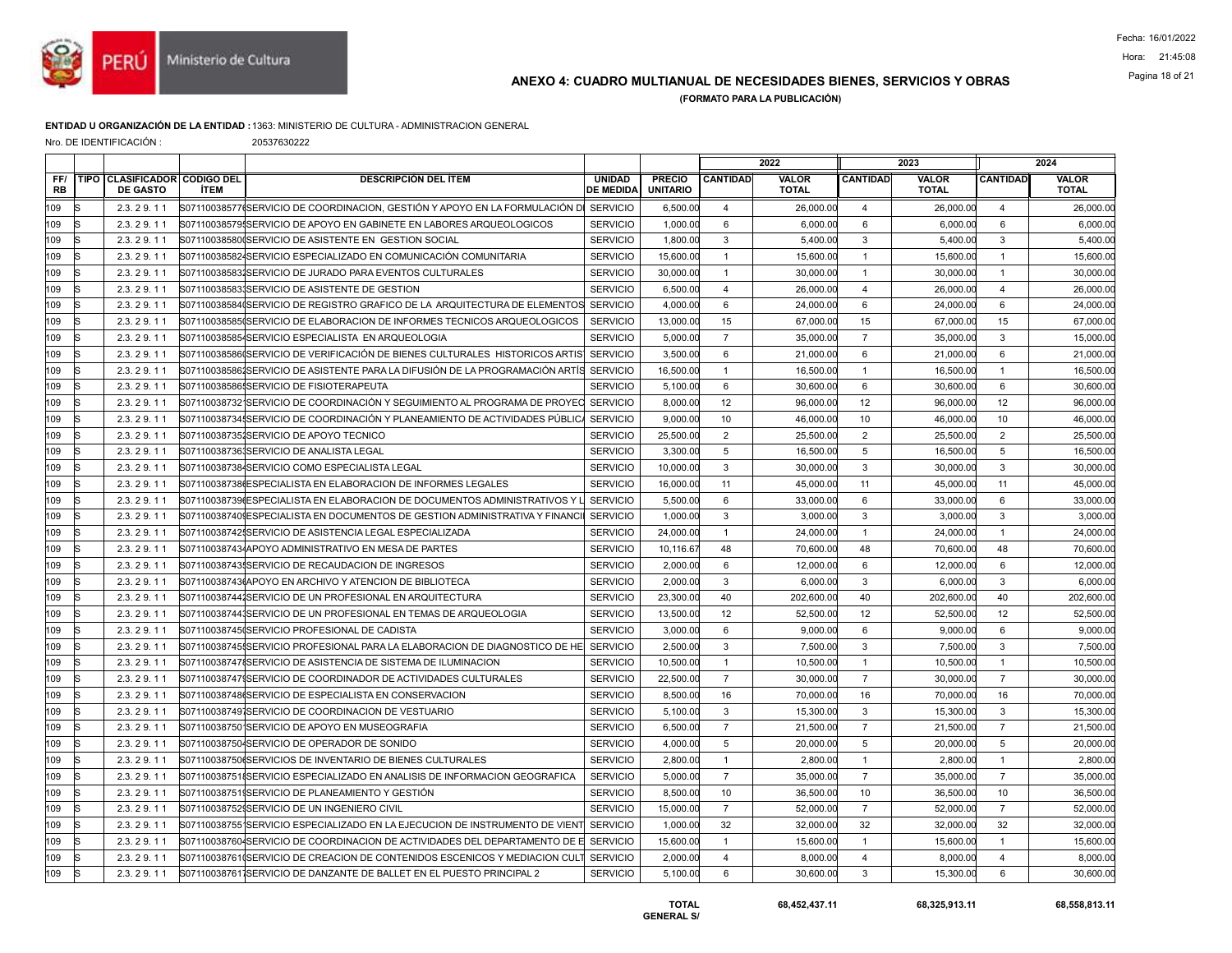

# Pagina 18 of 21 ANEXO 4: CUADRO MULTIANUAL DE NECESIDADES BIENES, SERVICIOS Y OBRAS

(FORMATO PARA LA PUBLICACIÓN)

### ENTIDAD U ORGANIZACIÓN DE LA ENTIDAD :1363: MINISTERIO DE CULTURA - ADMINISTRACION GENERAL

Nro. DE IDENTIFICACIÓN : 20537630222

|                  |    |                                                 |             |                                                                                                 |                                  | 2022            |                              | 2023            |                              |                 | 2024                         |
|------------------|----|-------------------------------------------------|-------------|-------------------------------------------------------------------------------------------------|----------------------------------|-----------------|------------------------------|-----------------|------------------------------|-----------------|------------------------------|
| FF/<br><b>RB</b> |    | TIPO CLASIFICADOR CODIGO DEL<br><b>DE GASTO</b> | <b>İTEM</b> | <b>DESCRIPCIÓN DEL ÍTEM</b><br><b>UNIDAD</b><br><b>DE MEDIDA</b>                                | <b>PRECIO</b><br><b>UNITARIO</b> | <b>CANTIDAD</b> | <b>VALOR</b><br><b>TOTAL</b> | <b>CANTIDAD</b> | <b>VALOR</b><br><b>TOTAL</b> | <b>CANTIDAD</b> | <b>VALOR</b><br><b>TOTAL</b> |
| 109              | R  | 2.3.29.11                                       |             | S07110038577(SERVICIO DE COORDINACION, GESTIÓN Y APOYO EN LA FORMULACIÓN DI_SERVICIO            | 6,500.00                         | $\overline{4}$  | 26,000.00                    | $\overline{4}$  | 26,000.00                    | $\overline{4}$  | 26,000.00                    |
| 109              | lS | 2.3.29.11                                       |             | <b>SERVICIO</b><br>S07110038579ISERVICIO DE APOYO EN GABINETE EN LABORES ARQUEOLOGICOS          | 1,000.00                         | 6               | 6,000.00                     | 6               | 6,000.00                     | 6               | 6,000.00                     |
| 109              |    | 2.3.29.11                                       |             | <b>SERVICIO</b><br>S071100385800SERVICIO DE ASISTENTE EN GESTION SOCIAL                         | 1,800.00                         | 3               | 5,400.00                     | 3               | 5,400.00                     | 3               | 5,400.00                     |
| 109              |    | 2.3.29.11                                       |             | S071100385824SERVICIO ESPECIALIZADO EN COMUNICACIÓN COMUNITARIA<br><b>SERVICIO</b>              | 15,600.00                        | $\overline{1}$  | 15,600.00                    | $\mathbf{1}$    | 15,600.00                    | $\overline{1}$  | 15,600.00                    |
| 109              |    | 2.3.29.11                                       |             | S071100385831SERVICIO DE JURADO PARA EVENTOS CULTURALES<br><b>SERVICIO</b>                      | 30,000.00                        | $\overline{1}$  | 30,000.00                    | $\mathbf{1}$    | 30,000.00                    | $\overline{1}$  | 30,000.00                    |
| 109              |    | 2.3.29.11                                       |             | S071100385831SERVICIO DE ASISTENTE DE GESTION<br><b>SERVICIO</b>                                | 6,500.00                         | $\overline{4}$  | 26,000.00                    | $\overline{4}$  | 26,000.00                    | $\overline{4}$  | 26,000.00                    |
| 109              | R  | 2.3.29.11                                       |             | S07110038584(SERVICIO DE REGISTRO GRAFICO DE LA ARQUITECTURA DE ELEMENTOS<br><b>SERVICIO</b>    | 4.000.00                         | 6               | 24,000.00                    | 6               | 24,000.00                    | 6               | 24,000.00                    |
| 109              | lS | 2.3.29.11                                       |             | <b>SERVICIO</b><br>S07110038585(SERVICIO DE ELABORACION DE INFORMES TECNICOS ARQUEOLOGICOS      | 13,000.00                        | 15              | 67,000.00                    | 15              | 67,000.00                    | 15              | 67,000.00                    |
| 109              |    | 2.3.29.11                                       |             | S071100385854SERVICIO ESPECIALISTA EN ARQUEOLOGIA<br><b>SERVICIO</b>                            | 5,000.00                         | $\overline{7}$  | 35,000.00                    | $\overline{7}$  | 35,000.00                    | $\mathbf{3}$    | 15,000.00                    |
| 109              |    | 2.3.29.11                                       |             | <b>SERVICIO</b><br>S07110038586(SERVICIO DE VERIFICACIÓN DE BIENES CULTURALES  HISTORICOS ARTIS | 3,500.00                         | 6               | 21,000.00                    | 6               | 21,000.00                    | 6               | 21,000.00                    |
| 109              | lS | 2.3.29.11                                       |             | S07110038586 SERVICIO DE ASISTENTE PARA LA DIFUSIÓN DE LA PROGRAMACIÓN ARTÍS SERVICIO           | 16,500.00                        | $\mathbf{1}$    | 16,500.00                    | $\mathbf{1}$    | 16,500.00                    | $\overline{1}$  | 16,500.00                    |
| 109              |    | 2.3.29.11                                       |             | <b>SERVICIO</b><br>S07110038586ISERVICIO DE FISIOTERAPEUTA                                      | 5,100.00                         | 6               | 30.600.00                    | 6               | 30,600.00                    | 6               | 30,600.00                    |
| 109              |    | 2.3.29.11                                       |             | <b>SERVICIO</b><br>S07110038732 SERVICIO DE COORDINACIÓN Y SEGUIMIENTO AL PROGRAMA DE PROYEC    | 8,000.00                         | 12              | 96,000.00                    | 12              | 96,000.00                    | 12              | 96,000.00                    |
| 109              | R  | 2.3.29.11                                       |             | S07110038734{SERVICIO DE COORDINACIÓN Y PLANEAMIENTO DE ACTIVIDADES PÚBLICA<br><b>SERVICIO</b>  | 9,000.00                         | 10              | 46,000.00                    | 10              | 46,000.00                    | 10              | 46,000.00                    |
| 109              |    | 2.3.29.11                                       |             | S071100387351SERVICIO DE APOYO TECNICO<br><b>SERVICIO</b>                                       | 25,500.00                        | $\overline{2}$  | 25,500.00                    | 2               | 25,500.00                    | 2               | 25,500.00                    |
| 109              |    | 2.3.29.11                                       |             | S071100387361SERVICIO DE ANALISTA LEGAL<br><b>SERVICIO</b>                                      | 3,300.00                         | 5               | 16,500.00                    | 5               | 16,500.00                    | 5               | 16,500.00                    |
| 109              | IS | 2.3.29.11                                       |             | S071100387384SERVICIO COMO ESPECIALISTA LEGAL<br><b>SERVICIO</b>                                | 10,000.00                        | 3               | 30,000.00                    | 3               | 30,000.00                    | 3               | 30,000.00                    |
| 109              |    | 2.3.29.11                                       |             | S071100387386ESPECIALISTA EN ELABORACION DE INFORMES LEGALES<br><b>SERVICIO</b>                 | 16,000.00                        | 11              | 45.000.00                    | 11              | 45.000.00                    | 11              | 45,000.00                    |
| 109              |    | 2.3.29.11                                       |             | <b>SERVICIO</b><br>S07110038739(ESPECIALISTA EN ELABORACION DE DOCUMENTOS ADMINISTRATIVOS Y     | 5,500.00                         | 6               | 33,000.00                    | 6               | 33,000.00                    | 6               | 33,000.00                    |
| 109              |    | 2.3.29.11                                       |             | <b>SERVICIO</b><br>S071100387409ESPECIALISTA EN DOCUMENTOS DE GESTION ADMINISTRATIVA Y FINANCI  | 1,000.00                         | 3               | 3,000.00                     | 3               | 3,000.00                     | $\mathbf{3}$    | 3,000.00                     |
| 109              |    | 2.3.29.11                                       |             | <b>SERVICIO</b><br>S071100387425SERVICIO DE ASISTENCIA LEGAL ESPECIALIZADA                      | 24,000.00                        | $\overline{1}$  | 24.000.00                    | $\overline{1}$  | 24,000.00                    | $\overline{1}$  | 24,000.00                    |
| 109              |    | 2.3.29.11                                       |             | <b>SERVICIO</b><br>S07110038743 APOYO ADMINISTRATIVO EN MESA DE PARTES                          | 10,116.67                        | 48              | 70,600.00                    | 48              | 70,600.00                    | 48              | 70,600.00                    |
| 109              |    | 2.3.29.11                                       |             | <b>SERVICIO</b><br>S071100387435SERVICIO DE RECAUDACION DE INGRESOS                             | 2,000.00                         | 6               | 12,000.00                    | 6               | 12,000.00                    | 6               | 12,000.00                    |
| 109              |    | 2.3.29.11                                       |             | <b>SERVICIO</b><br>S071100387436APOYO EN ARCHIVO Y ATENCION DE BIBLIOTECA                       | 2.000.00                         | 3               | 6.000.00                     | 3               | 6.000.00                     | 3               | 6.000.00                     |
| 109              |    | 2.3.29.11                                       |             | S071100387441SERVICIO DE UN PROFESIONAL EN ARQUITECTURA<br><b>SERVICIO</b>                      | 23,300.00                        | 40              | 202,600.00                   | 40              | 202,600.00                   | 40              | 202,600.00                   |
| 109              |    | 2.3.29.11                                       |             | <b>SERVICIO</b><br>S071100387441SERVICIO DE UN PROFESIONAL EN TEMAS DE ARQUEOLOGIA              | 13,500.00                        | 12              | 52,500.00                    | 12              | 52,500.00                    | 12              | 52,500.00                    |
| 109              |    | 2.3.29.11                                       |             | <b>SERVICIO</b><br>S071100387450SERVICIO PROFESIONAL DE CADISTA                                 | 3,000.00                         | 6               | 9.000.00                     | 6               | 9.000.00                     | 6               | 9.000.00                     |
| 109              |    | 2.3.29.11                                       |             | <b>SERVICIO</b><br>S071100387455SERVICIO PROFESIONAL PARA LA ELABORACION DE DIAGNOSTICO DE HE   | 2,500.00                         | 3               | 7,500.00                     | 3               | 7,500.00                     | 3               | 7,500.00                     |
| 109              |    | 2.3.29.11                                       |             | <b>SERVICIO</b><br>S07110038747{SERVICIO DE ASISTENCIA DE SISTEMA DE ILUMINACION                | 10,500.00                        | $\overline{1}$  | 10,500.00                    | $\overline{1}$  | 10,500.00                    | $\overline{1}$  | 10,500.00                    |
| 109              | R  | 2.3.29.11                                       |             | S071100387479SERVICIO DE COORDINADOR DE ACTIVIDADES CULTURALES<br><b>SERVICIO</b>               | 22,500.00                        | $\overline{7}$  | 30,000,00                    | $\overline{7}$  | 30,000.00                    | $\overline{7}$  | 30,000.00                    |
| 109              |    | 2.3.29.11                                       |             | S07110038748(SERVICIO DE ESPECIALISTA EN CONSERVACION<br><b>SERVICIO</b>                        | 8,500.00                         | 16              | 70,000.00                    | 16              | 70,000.00                    | 16              | 70,000.00                    |
| 109              |    | 2.3.29.11                                       |             | <b>SERVICIO</b><br>S071100387491SERVICIO DE COORDINACION DE VESTUARIO                           | 5,100.00                         | 3               | 15,300.00                    | $\mathbf{3}$    | 15,300.00                    | $\mathbf{3}$    | 15,300.00                    |
| 109              | R  | 2.3.29.11                                       |             | S071100387501SERVICIO DE APOYO EN MUSEOGRAFIA<br><b>SERVICIO</b>                                | 6,500.00                         | $\overline{7}$  | 21,500.00                    | $\overline{7}$  | 21,500.00                    | $\overline{7}$  | 21,500.00                    |
| 109              | lS | 2.3.29.11                                       |             | <b>SERVICIO</b><br>S071100387504SERVICIO DE OPERADOR DE SONIDO                                  | 4,000.00                         | 5               | 20,000.00                    | 5               | 20,000.00                    | 5               | 20,000.00                    |
| 109              |    | 2.3.29.11                                       |             | <b>SERVICIO</b><br>S071100387506SERVICIOS DE INVENTARIO DE BIENES CULTURALES                    | 2,800.00                         | $\overline{1}$  | 2.800.00                     | $\mathbf{1}$    | 2,800.00                     | $\overline{1}$  | 2.800.00                     |
| 109              |    | 2.3.29.11                                       |             | S07110038751{SERVICIO ESPECIALIZADO EN ANALISIS DE INFORMACION GEOGRAFICA<br><b>SERVICIO</b>    | 5,000.00                         | $\overline{7}$  | 35,000.00                    | $\overline{7}$  | 35,000.00                    | $\overline{7}$  | 35,000.00                    |
| 109              | lS | 2.3.29.11                                       |             | <b>SERVICIO</b><br>S07110038751 SERVICIO DE PLANEAMIENTO Y GESTIÓN                              | 8,500.00                         | 10              | 36,500.00                    | 10              | 36,500.00                    | 10              | 36,500.00                    |
| 109              |    | 2.3.29.11                                       |             | S071100387529SERVICIO DE UN INGENIERO CIVIL<br><b>SERVICIO</b>                                  | 15,000.00                        | $\overline{7}$  | 52,000.00                    | $\overline{7}$  | 52,000.00                    | $\overline{7}$  | 52,000.00                    |
| 109              |    | 2.3.29.11                                       |             | <b>SERVICIO</b><br>S07110038755 SERVICIO ESPECIALIZADO EN LA EJECUCION DE INSTRUMENTO DE VIENT  | 1,000.00                         | 32              | 32,000.00                    | 32              | 32,000.00                    | 32              | 32,000.00                    |
| 109              | lS | 2.3.29.11                                       |             | S071100387604SERVICIO DE COORDINACION DE ACTIVIDADES DEL DEPARTAMENTO DE E SERVICIO             | 15,600.00                        | $\mathbf{1}$    | 15,600.00                    | $\mathbf{1}$    | 15,600.00                    | $\overline{1}$  | 15,600.00                    |
| 109              |    | 2.3.29.11                                       |             | <b>SERVICIO</b><br>S07110038761(SERVICIO DE CREACION DE CONTENIDOS ESCENICOS Y MEDIACION CULT   | 2,000.00                         | $\overline{4}$  | 8,000.00                     | $\overline{4}$  | 8,000.00                     | $\overline{4}$  | 8,000.00                     |
| 109              | lS | 2.3.29.11                                       |             | S07110038761 SERVICIO DE DANZANTE DE BALLET EN EL PUESTO PRINCIPAL 2<br><b>SERVICIO</b>         | 5,100.00                         | 6               | 30,600.00                    | $\mathbf{3}$    | 15,300.00                    | 6               | 30,600.00                    |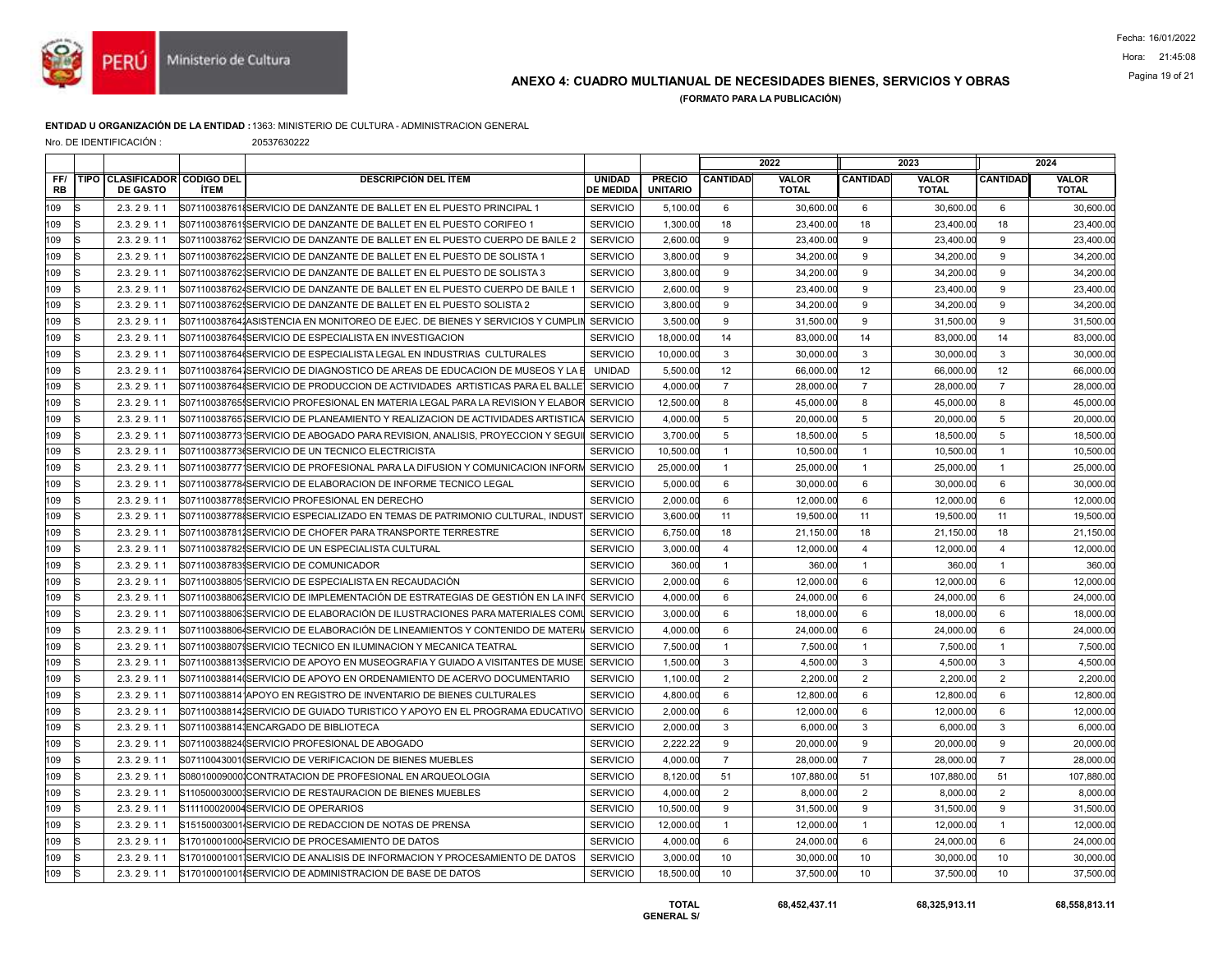

## ANEXO 4: CUADRO MULTIANUAL DE NECESIDADES BIENES, SERVICIOS Y OBRAS Pagina 19 of 21

(FORMATO PARA LA PUBLICACIÓN)

### ENTIDAD U ORGANIZACIÓN DE LA ENTIDAD :1363: MINISTERIO DE CULTURA - ADMINISTRACION GENERAL

| Nro. DE IDENTIFICACIÓN : |  |  |
|--------------------------|--|--|
|--------------------------|--|--|

20537630222

|                  |                                                 |             |                                                                                      |                                   |                                  |                 | 2022                  |                 | 2023                         |                 | 2024                  |
|------------------|-------------------------------------------------|-------------|--------------------------------------------------------------------------------------|-----------------------------------|----------------------------------|-----------------|-----------------------|-----------------|------------------------------|-----------------|-----------------------|
| FF/<br><b>RB</b> | TIPO CLASIFICADOR CODIGO DEL<br><b>DE GASTO</b> | <b>ÍTEM</b> | <b>DESCRIPCIÓN DEL ÍTEM</b>                                                          | <b>UNIDAD</b><br><b>DE MEDIDA</b> | <b>PRECIO</b><br><b>UNITARIO</b> | <b>CANTIDAD</b> | VALOR<br><b>TOTAL</b> | <b>CANTIDAD</b> | <b>VALOR</b><br><b>TOTAL</b> | <b>CANTIDAD</b> | VALOR<br><b>TOTAL</b> |
| 109              | 2.3.29.11                                       |             | S071100387618SERVICIO DE DANZANTE DE BALLET EN EL PUESTO PRINCIPAL 1                 | <b>SERVICIO</b>                   | 5,100.00                         | 6               | 30,600.00             | 6               | 30,600.00                    | 6               | 30,600.0              |
| 109              | 2.3.29.11                                       |             | S071100387619SERVICIO DE DANZANTE DE BALLET EN EL PUESTO CORIFEO 1                   | <b>SERVICIO</b>                   | 1,300.00                         | 18              | 23,400.00             | 18              | 23,400.00                    | 18              | 23,400.00             |
| 109              | 2.3.29.11                                       |             | S071100387621SERVICIO DE DANZANTE DE BALLET EN EL PUESTO CUERPO DE BAILE 2           | <b>SERVICIO</b>                   | 2,600.00                         | 9               | 23,400.00             | 9               | 23,400.00                    | 9               | 23,400.00             |
| 109              | 2.3.29.11                                       |             | S07110038762ISERVICIO DE DANZANTE DE BALLET EN EL PUESTO DE SOLISTA 1                | <b>SERVICIO</b>                   | 3,800.00                         | 9               | 34,200.00             | 9               | 34,200.00                    | 9               | 34,200.00             |
| 109              | 2.3.29.11                                       |             | S071100387623SERVICIO DE DANZANTE DE BALLET EN EL PUESTO DE SOLISTA 3                | <b>SERVICIO</b>                   | 3,800.00                         | 9               | 34,200.00             | 9               | 34,200.00                    | 9               | 34,200.00             |
| 109              | 2.3.29.11                                       |             | S071100387624SERVICIO DE DANZANTE DE BALLET EN EL PUESTO CUERPO DE BAILE 1           | <b>SERVICIO</b>                   | 2,600.00                         | 9               | 23,400.00             | 9               | 23,400.00                    | 9               | 23,400.00             |
| 109              | 2.3.29.11                                       |             | S07110038762ISERVICIO DE DANZANTE DE BALLET EN EL PUESTO SOLISTA 2                   | <b>SERVICIO</b>                   | 3,800.00                         | 9               | 34,200.00             | 9               | 34,200.00                    | 9               | 34,200.00             |
| 109              | 2.3.29.11                                       |             | S071100387641ASISTENCIA EN MONITOREO DE EJEC. DE BIENES Y SERVICIOS Y CUMPLIN        | <b>SERVICIO</b>                   | 3,500.00                         | 9               | 31,500.00             | 9               | 31,500.00                    | 9               | 31,500.00             |
| 109              | 2.3.29.11                                       |             | S07110038764 SERVICIO DE ESPECIALISTA EN INVESTIGACION                               | <b>SERVICIO</b>                   | 18,000.00                        | 14              | 83,000.00             | 14              | 83,000.00                    | 14              | 83,000.00             |
| 109              | 2.3.29.11                                       |             | S07110038764(SERVICIO DE ESPECIALISTA LEGAL EN INDUSTRIAS CULTURALES                 | <b>SERVICIO</b>                   | 10,000.00                        | 3               | 30,000.00             | 3               | 30,000.00                    | 3               | 30,000.0              |
| 109              | 2.3.29.11                                       |             | S071100387641SERVICIO DE DIAGNOSTICO DE AREAS DE EDUCACION DE MUSEOS Y LA E          | <b>UNIDAD</b>                     | 5.500.00                         | 12              | 66,000.00             | 12              | 66,000.00                    | 12              | 66,000.00             |
| 109              | 2.3.29.11                                       |             | S07110038764{SERVICIO DE PRODUCCION DE ACTIVIDADES ARTISTICAS PARA EL BALLE          | <b>SERVICIO</b>                   | 4,000.00                         | $\overline{7}$  | 28,000.00             | $\overline{7}$  | 28,000.00                    | $\overline{7}$  | 28,000.00             |
| 109              | 2.3.29.11                                       |             | S07110038765ISERVICIO PROFESIONAL EN MATERIA LEGAL PARA LA REVISION Y ELABOR         | <b>SERVICIO</b>                   | 12,500.00                        | 8               | 45,000.00             | 8               | 45,000.00                    | 8               | 45,000.00             |
| 109              | 2.3.29.11                                       |             | S07110038765 SERVICIO DE PLANEAMIENTO Y REALIZACION DE ACTIVIDADES ARTISTICA         | <b>SERVICIO</b>                   | 4,000.00                         | 5               | 20,000.00             | $\overline{5}$  | 20,000.00                    | 5               | 20,000.00             |
| 109              | 2.3.29.11                                       |             | S071100387731SERVICIO DE ABOGADO PARA REVISION. ANALISIS. PROYECCION Y SEGUI         | <b>SERVICIO</b>                   | 3,700.00                         | 5               | 18,500.00             | 5               | 18,500.00                    | 5               | 18,500.00             |
| 109              | 2.3.29.11                                       |             | S07110038773(SERVICIO DE UN TECNICO ELECTRICISTA                                     | <b>SERVICIO</b>                   | 10,500.00                        | $\overline{1}$  | 10,500.00             | $\overline{1}$  | 10,500.00                    | $\overline{1}$  | 10,500.0              |
| 109              | 2.3.29.11                                       |             | S07110038777 SERVICIO DE PROFESIONAL PARA LA DIFUSION Y COMUNICACION INFORM SERVICIO |                                   | 25,000.00                        | $\mathbf{1}$    | 25,000.00             | $\overline{1}$  | 25,000.00                    | $\overline{1}$  | 25,000.00             |
| 109              | 2.3.29.11                                       |             | S071100387784SERVICIO DE ELABORACION DE INFORME TECNICO LEGAL                        | <b>SERVICIO</b>                   | 5,000.00                         | 6               | 30,000.00             | 6               | 30,000.00                    | 6               | 30,000.00             |
| 109              | 2.3.29.11                                       |             | S07110038778ISERVICIO PROFESIONAL EN DERECHO                                         | <b>SERVICIO</b>                   | 2,000.00                         | 6               | 12,000.00             | 6               | 12,000.00                    | 6               | 12,000.0              |
| 109              | 2.3.29.11                                       |             | S071100387788SERVICIO ESPECIALIZADO EN TEMAS DE PATRIMONIO CULTURAL, INDUST          | <b>SERVICIO</b>                   | 3,600.00                         | 11              | 19,500.00             | 11              | 19,500.00                    | 11              | 19,500.00             |
| 109              | 2.3.29.11                                       |             | S071100387811SERVICIO DE CHOFER PARA TRANSPORTE TERRESTRE                            | <b>SERVICIO</b>                   | 6,750.00                         | 18              | 21,150.00             | 18              | 21,150.00                    | 18              | 21,150.00             |
| 109              | 2.3.29.11                                       |             | S071100387825SERVICIO DE UN ESPECIALISTA CULTURAL                                    | <b>SERVICIO</b>                   | 3,000.00                         | $\overline{4}$  | 12,000.00             | $\overline{4}$  | 12,000.00                    | $\overline{4}$  | 12,000.00             |
| 109              | 2.3.29.11                                       |             | S071100387839SERVICIO DE COMUNICADOR                                                 | <b>SERVICIO</b>                   | 360.00                           | $\mathbf{1}$    | 360.00                | $\overline{1}$  | 360.00                       | $\overline{1}$  | 360.00                |
| 109              | 2.3.29.11                                       |             | S071100388051SERVICIO DE ESPECIALISTA EN RECAUDACIÓN                                 | <b>SERVICIO</b>                   | 2,000.00                         | 6               | 12.000.00             | 6               | 12,000.00                    | 6               | 12,000.00             |
| 109              | 2.3.29.11                                       |             | S071100388061SERVICIO DE IMPLEMENTACIÓN DE ESTRATEGIAS DE GESTIÓN EN LA INF          | <b>SERVICIO</b>                   | 4,000.00                         | 6               | 24,000.00             | 6               | 24,000.00                    | 6               | 24,000.00             |
| 109              | 2.3.29.11                                       |             | S071100388061SERVICIO DE ELABORACIÓN DE ILUSTRACIONES PARA MATERIALES COMI           | <b>SERVICIO</b>                   | 3,000.00                         | 6               | 18,000.00             | 6               | 18,000.00                    | 6               | 18,000.00             |
| 109              | 2.3.29.11                                       |             | S071100388064SERVICIO DE ELABORACIÓN DE LINEAMIENTOS Y CONTENIDO DE MATERI           | <b>SERVICIO</b>                   | 4,000.00                         | 6               | 24.000.00             | 6               | 24,000.00                    | 6               | 24,000.00             |
| 109              | 2.3.29.11                                       |             | S07110038807\$SERVICIO TECNICO EN ILUMINACION Y MECANICA TEATRAL                     | <b>SERVICIO</b>                   | 7,500.00                         | $\overline{1}$  | 7,500.00              | $\overline{1}$  | 7,500.00                     | $\overline{1}$  | 7,500.0               |
| 109              | 2.3.29.11                                       |             | S07110038813 SERVICIO DE APOYO EN MUSEOGRAFIA Y GUIADO A VISITANTES DE MUSE SERVICIO |                                   | 1,500.00                         | 3               | 4,500.00              | 3               | 4,500.00                     | 3               | 4,500.00              |
| 109              | 2.3.29.11                                       |             | S07110038814(SERVICIO DE APOYO EN ORDENAMIENTO DE ACERVO DOCUMENTARIO                | <b>SERVICIO</b>                   | 1,100.00                         | 2               | 2.200.00              | 2               | 2,200.00                     | $\overline{2}$  | 2,200.0               |
| 109              | 2.3.29.11                                       |             | S071100388141APOYO EN REGISTRO DE INVENTARIO DE BIENES CULTURALES                    | <b>SERVICIO</b>                   | 4,800.00                         | 6               | 12,800.00             | 6               | 12,800.00                    | 6               | 12,800.00             |
| 109              | 2.3.29.11                                       |             | S071100388141SERVICIO DE GUIADO TURISTICO Y APOYO EN EL PROGRAMA EDUCATIVO           | <b>SERVICIO</b>                   | 2,000.00                         | 6               | 12,000.00             | 6               | 12.000.00                    | 6               | 12,000.00             |
| 109              | 2.3.29.11                                       |             | S071100388141ENCARGADO DE BIBLIOTECA                                                 | <b>SERVICIO</b>                   | 2,000.00                         | 3               | 6,000.00              | 3               | 6,000.00                     | 3               | 6,000.00              |
| 109              | 2.3.29.11                                       |             | S07110038824(SERVICIO PROFESIONAL DE ABOGADO                                         | <b>SERVICIO</b>                   | 2,222.22                         | 9               | 20,000.00             | 9               | 20,000.00                    | 9               | 20,000.00             |
| 109              | 2.3.29.11                                       |             | S071100430010SERVICIO DE VERIFICACION DE BIENES MUEBLES                              | <b>SERVICIO</b>                   | 4,000.00                         | $\overline{7}$  | 28,000.00             | $\overline{7}$  | 28,000.00                    | $\overline{7}$  | 28,000.0              |
| 109              | 2.3.29.11                                       |             | S08010009000ICONTRATACION DE PROFESIONAL EN ARQUEOLOGIA                              | <b>SERVICIO</b>                   | 8.120.00                         | 51              | 107.880.00            | 51              | 107.880.00                   | 51              | 107,880.00            |
| 109              | 2.3.29.11                                       |             | S110500030001SERVICIO DE RESTAURACION DE BIENES MUEBLES                              | <b>SERVICIO</b>                   | 4,000.00                         | $\overline{2}$  | 8,000.00              | $\overline{2}$  | 8,000.00                     | $\overline{2}$  | 8,000.00              |
| 109              | 2.3.29.11                                       |             | S111100020004SERVICIO DE OPERARIOS                                                   | <b>SERVICIO</b>                   | 10,500.00                        | 9               | 31,500.00             | 9               | 31,500.00                    | 9               | 31,500.00             |
| 109              | 2.3.29.11                                       |             | S15150003001 SERVICIO DE REDACCION DE NOTAS DE PRENSA                                | <b>SERVICIO</b>                   | 12,000.00                        | $\mathbf{1}$    | 12,000.00             | $\overline{1}$  | 12,000.00                    | $\overline{1}$  | 12,000.00             |
| 109              | 2.3.29.11                                       |             | S17010001000 SERVICIO DE PROCESAMIENTO DE DATOS                                      | <b>SERVICIO</b>                   | 4,000.00                         | 6               | 24,000.00             | 6               | 24,000.00                    | 6               | 24,000.00             |
| 109              | 2.3.29.11                                       |             | S17010001001 SERVICIO DE ANALISIS DE INFORMACION Y PROCESAMIENTO DE DATOS            | <b>SERVICIO</b>                   | 3,000.00                         | 10              | 30,000.00             | 10              | 30,000.00                    | 10              | 30,000.00             |
| 109              | 2.3.29.11                                       |             | S17010001001ISERVICIO DE ADMINISTRACION DE BASE DE DATOS                             | <b>SERVICIO</b>                   | 18,500.00                        | 10              | 37,500.00             | 10              | 37,500.00                    | 10              | 37,500.00             |
|                  |                                                 |             |                                                                                      |                                   |                                  |                 |                       |                 |                              |                 |                       |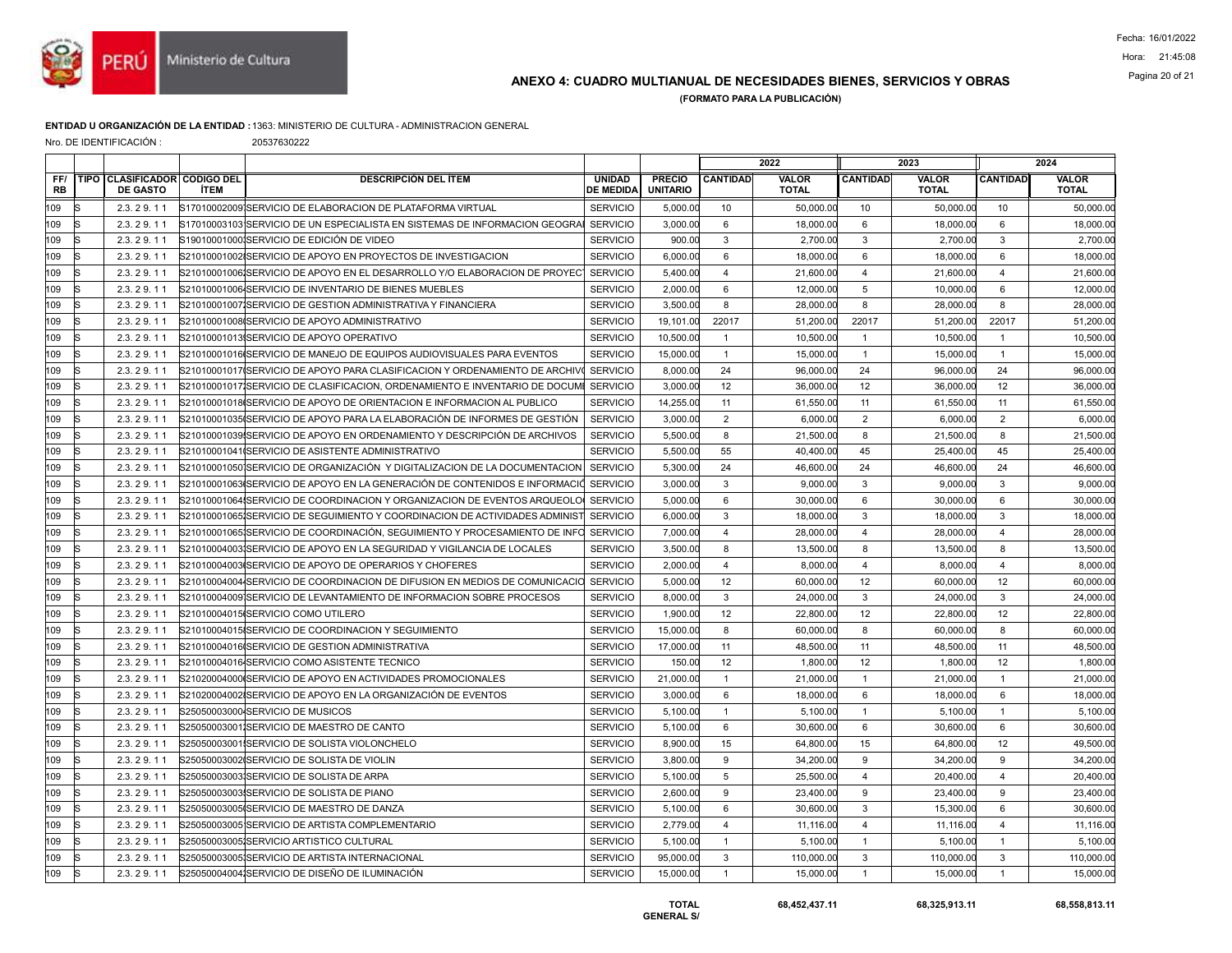

# Pagina 20 of 21 ANEXO 4: CUADRO MULTIANUAL DE NECESIDADES BIENES, SERVICIOS Y OBRAS

(FORMATO PARA LA PUBLICACIÓN)

#### ENTIDAD U ORGANIZACIÓN DE LA ENTIDAD :1363: MINISTERIO DE CULTURA - ADMINISTRACION GENERAL

Nro. DE IDENTIFICACIÓN : 20537630222

| <b>CANTIDAD</b><br><b>VALOR</b><br><b>TOTAL</b>                                                                                                                                                         |
|---------------------------------------------------------------------------------------------------------------------------------------------------------------------------------------------------------|
| 50,000.00                                                                                                                                                                                               |
| 18,000.00                                                                                                                                                                                               |
| 2,700.00                                                                                                                                                                                                |
| 18,000.00                                                                                                                                                                                               |
| 21,600.00                                                                                                                                                                                               |
| 12,000.00                                                                                                                                                                                               |
| 28,000.00                                                                                                                                                                                               |
| 51,200.00                                                                                                                                                                                               |
| 10,500.00                                                                                                                                                                                               |
| 15,000.00                                                                                                                                                                                               |
| 96,000.00                                                                                                                                                                                               |
| 36,000.00                                                                                                                                                                                               |
| 61,550.00                                                                                                                                                                                               |
| 6,000.00                                                                                                                                                                                                |
| 21,500.00                                                                                                                                                                                               |
| 25.400.00                                                                                                                                                                                               |
| 46,600.00                                                                                                                                                                                               |
| 9,000.00                                                                                                                                                                                                |
| 30,000.00                                                                                                                                                                                               |
| 18,000.00                                                                                                                                                                                               |
| 28,000.00                                                                                                                                                                                               |
| 13,500.00                                                                                                                                                                                               |
| 8,000.00                                                                                                                                                                                                |
| 60,000.00                                                                                                                                                                                               |
| 24,000.00                                                                                                                                                                                               |
| 22,800.00                                                                                                                                                                                               |
| 60,000.00                                                                                                                                                                                               |
| 48,500.00                                                                                                                                                                                               |
| 1,800.00                                                                                                                                                                                                |
| 21,000.00                                                                                                                                                                                               |
| 18,000.00                                                                                                                                                                                               |
| 5.100.00                                                                                                                                                                                                |
| 30,600.00                                                                                                                                                                                               |
| 49,500.00                                                                                                                                                                                               |
| 34,200.00                                                                                                                                                                                               |
| 20,400.00                                                                                                                                                                                               |
| 23,400.00                                                                                                                                                                                               |
| 30,600.00                                                                                                                                                                                               |
| 11,116.00                                                                                                                                                                                               |
| 5,100.00                                                                                                                                                                                                |
| 110,000.00                                                                                                                                                                                              |
| 15,000.00                                                                                                                                                                                               |
| 24<br>12<br>11<br>$\overline{2}$<br>8<br>45<br>24<br>3<br>$6\phantom{1}$<br>3<br>8<br>12<br>$\mathbf{3}$<br>12<br>8<br>11<br>12<br>$\overline{1}$<br>6<br>6<br>12<br>9<br>$\overline{4}$<br>9<br>6<br>3 |